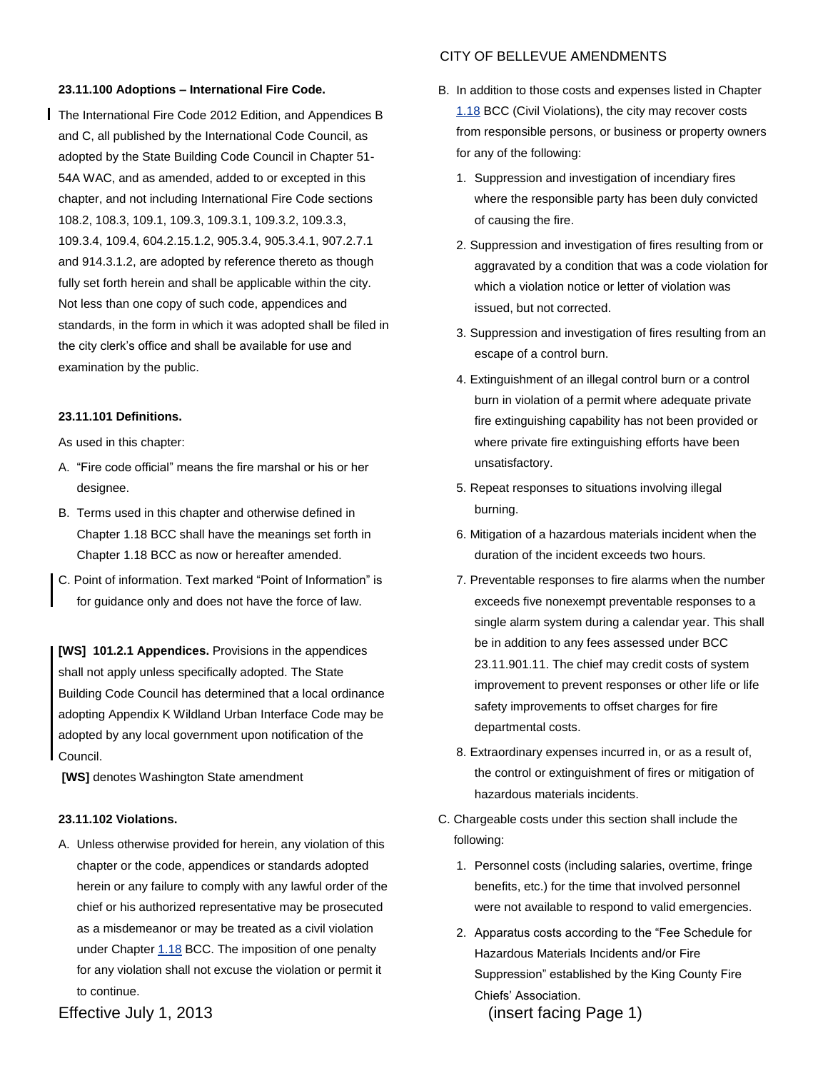### **23.11.100 Adoptions – International Fire Code.**

The International Fire Code 2012 Edition, and Appendices B and C, all published by the International Code Council, as adopted by the State Building Code Council in Chapter 51- 54A WAC, and as amended, added to or excepted in this chapter, and not including International Fire Code sections 108.2, 108.3, 109.1, 109.3, 109.3.1, 109.3.2, 109.3.3, 109.3.4, 109.4, 604.2.15.1.2, 905.3.4, 905.3.4.1, 907.2.7.1 and 914.3.1.2, are adopted by reference thereto as though fully set forth herein and shall be applicable within the city. Not less than one copy of such code, appendices and standards, in the form in which it was adopted shall be filed in the city clerk's office and shall be available for use and examination by the public.

# **23.11.101 Definitions.**

As used in this chapter:

- A. "Fire code official" means the fire marshal or his or her designee.
- B. Terms used in this chapter and otherwise defined in Chapter [1.18](http://www.codepublishing.com/wa/bellevue/html/Bellevue01/Bellevue0118.html#1.18) BCC shall have the meanings set forth in Chapter [1.18](http://www.codepublishing.com/wa/bellevue/html/Bellevue01/Bellevue0118.html#1.18) BCC as now or hereafter amended.
- C. Point of information. Text marked "Point of Information" is for guidance only and does not have the force of law.

**[WS] 101.2.1 Appendices.** Provisions in the appendices shall not apply unless specifically adopted. The State Building Code Council has determined that a local ordinance adopting Appendix K Wildland Urban Interface Code may be adopted by any local government upon notification of the Council.

**[WS]** denotes Washington State amendment

# **23.11.102 Violations.**

A. Unless otherwise provided for herein, any violation of this chapter or the code, appendices or standards adopted herein or any failure to comply with any lawful order of the chief or his authorized representative may be prosecuted as a misdemeanor or may be treated as a civil violation under Chapte[r 1.18](http://www.codepublishing.com/wa/bellevue/html/Bellevue01/Bellevue0118.html#1.18) BCC. The imposition of one penalty for any violation shall not excuse the violation or permit it to continue.

- B. In addition to those costs and expenses listed in Chapter [1.18](http://www.codepublishing.com/wa/bellevue/html/Bellevue01/Bellevue0118.html#1.18) BCC (Civil Violations), the city may recover costs from responsible persons, or business or property owners
	- 1. Suppression and investigation of incendiary fires where the responsible party has been duly convicted of causing the fire.
	- 2. Suppression and investigation of fires resulting from or aggravated by a condition that was a code violation for which a violation notice or letter of violation was issued, but not corrected.
	- 3. Suppression and investigation of fires resulting from an escape of a control burn.
	- 4. Extinguishment of an illegal control burn or a control burn in violation of a permit where adequate private fire extinguishing capability has not been provided or where private fire extinguishing efforts have been unsatisfactory.
	- 5. Repeat responses to situations involving illegal burning.
	- 6. Mitigation of a hazardous materials incident when the duration of the incident exceeds two hours.
	- 7. Preventable responses to fire alarms when the number exceeds five nonexempt preventable responses to a single alarm system during a calendar year. This shall be in addition to any fees assessed under BCC 23.11.901.11. The chief may credit costs of system improvement to prevent responses or other life or life safety improvements to offset charges for fire departmental costs.
	- 8. Extraordinary expenses incurred in, or as a result of, the control or extinguishment of fires or mitigation of hazardous materials incidents.
	- C. Chargeable costs under this section shall include the following:
		- 1. Personnel costs (including salaries, overtime, fringe benefits, etc.) for the time that involved personnel were not available to respond to valid emergencies.
		- 2. Apparatus costs according to the "Fee Schedule for Hazardous Materials Incidents and/or Fire Suppression" established by the King County Fire Chiefs' Association.

Effective July 1, 2013 (insert facing Page 1)

# CITY OF BELLEVUE AMENDMENTS

for any of the following: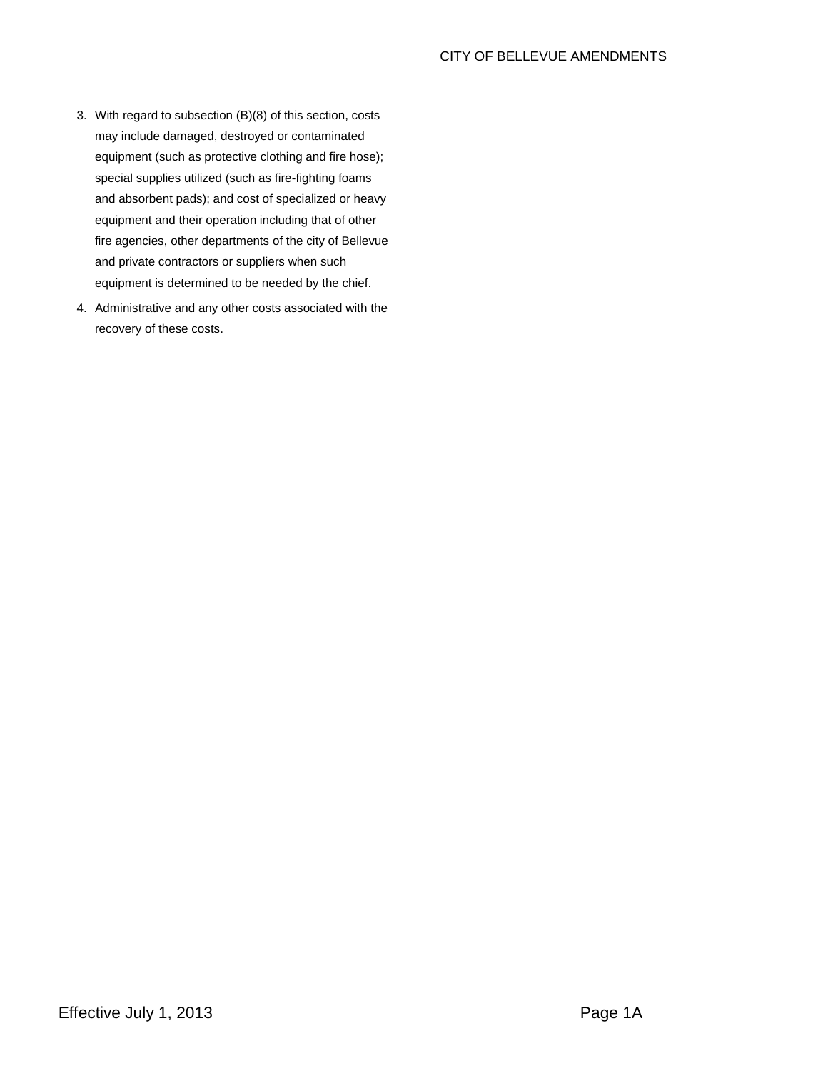- 3. With regard to subsection (B)(8) of this section, costs may include damaged, destroyed or contaminated equipment (such as protective clothing and fire hose); special supplies utilized (such as fire-fighting foams and absorbent pads); and cost of specialized or heavy equipment and their operation including that of other fire agencies, other departments of the city of Bellevue and private contractors or suppliers when such equipment is determined to be needed by the chief.
- 4. Administrative and any other costs associated with the recovery of these costs.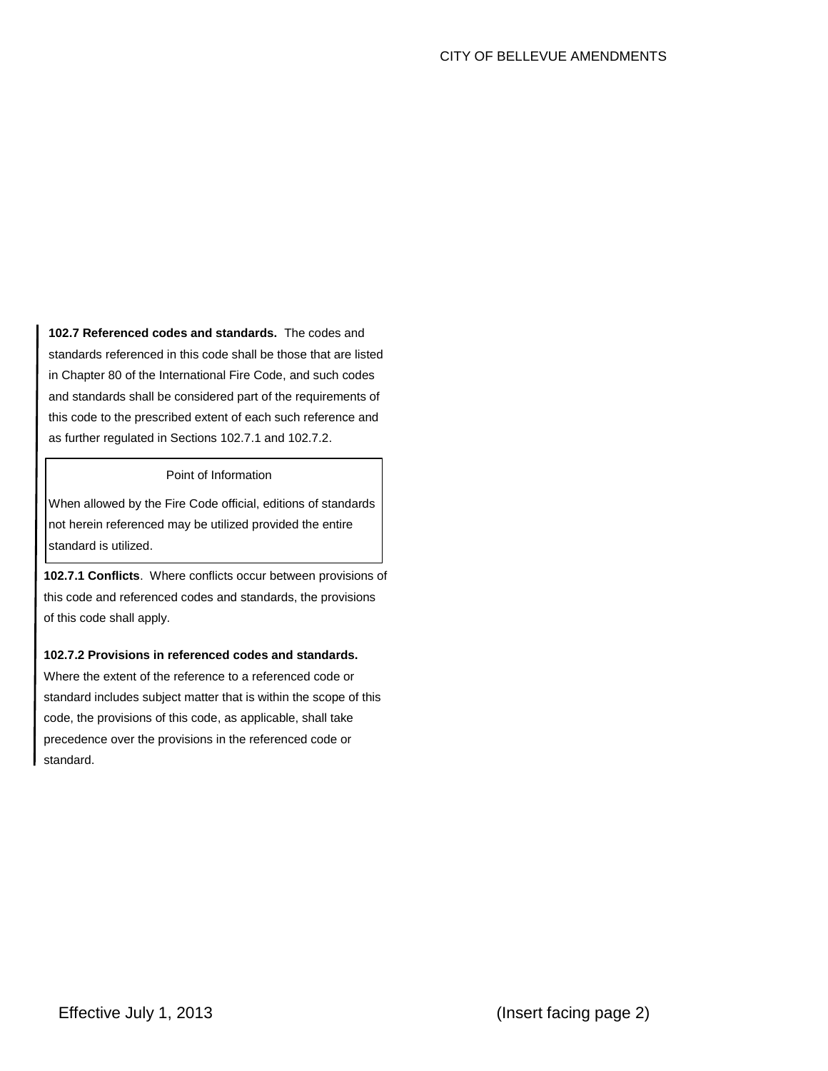**102.7 Referenced codes and standards.** The codes and standards referenced in this code shall be those that are listed in Chapter 80 of the International Fire Code, and such codes and standards shall be considered part of the requirements of this code to the prescribed extent of each such reference and as further regulated in Sections 102.7.1 and 102.7.2.

# Point of Information

When allowed by the Fire Code official, editions of standards not herein referenced may be utilized provided the entire standard is utilized.

**102.7.1 Conflicts**. Where conflicts occur between provisions of this code and referenced codes and standards, the provisions of this code shall apply.

# **102.7.2 Provisions in referenced codes and standards.**

Where the extent of the reference to a referenced code or standard includes subject matter that is within the scope of this code, the provisions of this code, as applicable, shall take precedence over the provisions in the referenced code or standard.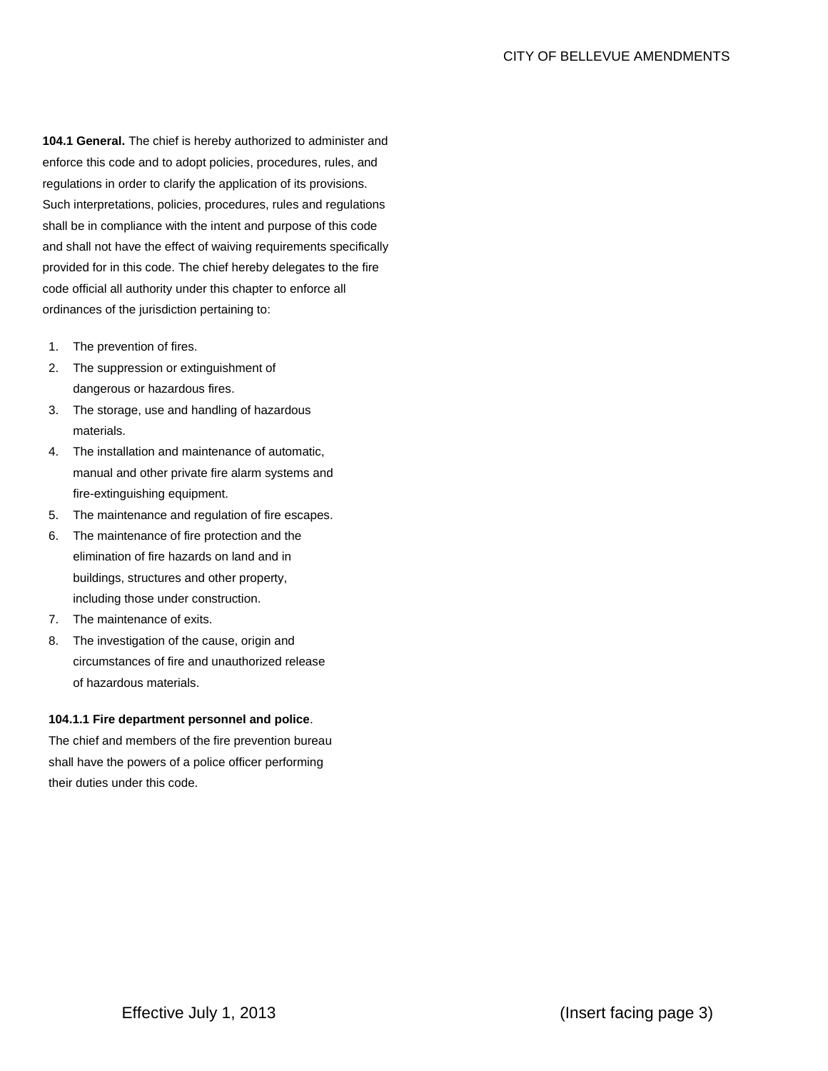**104.1 General.** The chief is hereby authorized to administer and enforce this code and to adopt policies, procedures, rules, and regulations in order to clarify the application of its provisions. Such interpretations, policies, procedures, rules and regulations shall be in compliance with the intent and purpose of this code and shall not have the effect of waiving requirements specifically provided for in this code. The chief hereby delegates to the fire code official all authority under this chapter to enforce all ordinances of the jurisdiction pertaining to:

- 1. The prevention of fires.
- 2. The suppression or extinguishment of dangerous or hazardous fires.
- 3. The storage, use and handling of hazardous materials.
- 4. The installation and maintenance of automatic, manual and other private fire alarm systems and fire-extinguishing equipment.
- 5. The maintenance and regulation of fire escapes.
- 6. The maintenance of fire protection and the elimination of fire hazards on land and in buildings, structures and other property, including those under construction.
- 7. The maintenance of exits.
- 8. The investigation of the cause, origin and circumstances of fire and unauthorized release of hazardous materials.

# **104.1.1 Fire department personnel and police**.

The chief and members of the fire prevention bureau shall have the powers of a police officer performing their duties under this code.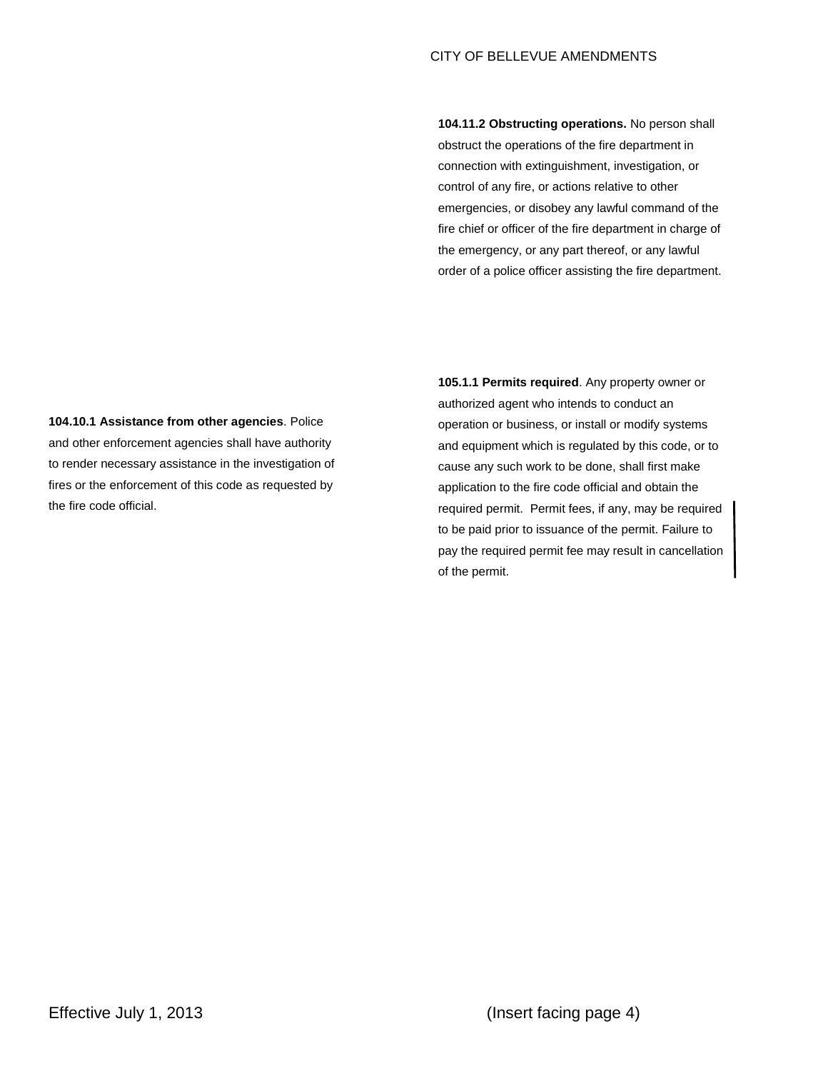**104.11.2 Obstructing operations.** No person shall obstruct the operations of the fire department in connection with extinguishment, investigation, or control of any fire, or actions relative to other emergencies, or disobey any lawful command of the fire chief or officer of the fire department in charge of the emergency, or any part thereof, or any lawful order of a police officer assisting the fire department.

**104.10.1 Assistance from other agencies**. Police and other enforcement agencies shall have authority to render necessary assistance in the investigation of fires or the enforcement of this code as requested by the fire code official.

**105.1.1 Permits required**. Any property owner or authorized agent who intends to conduct an operation or business, or install or modify systems and equipment which is regulated by this code, or to cause any such work to be done, shall first make application to the fire code official and obtain the required permit. Permit fees, if any, may be required to be paid prior to issuance of the permit. Failure to pay the required permit fee may result in cancellation of the permit.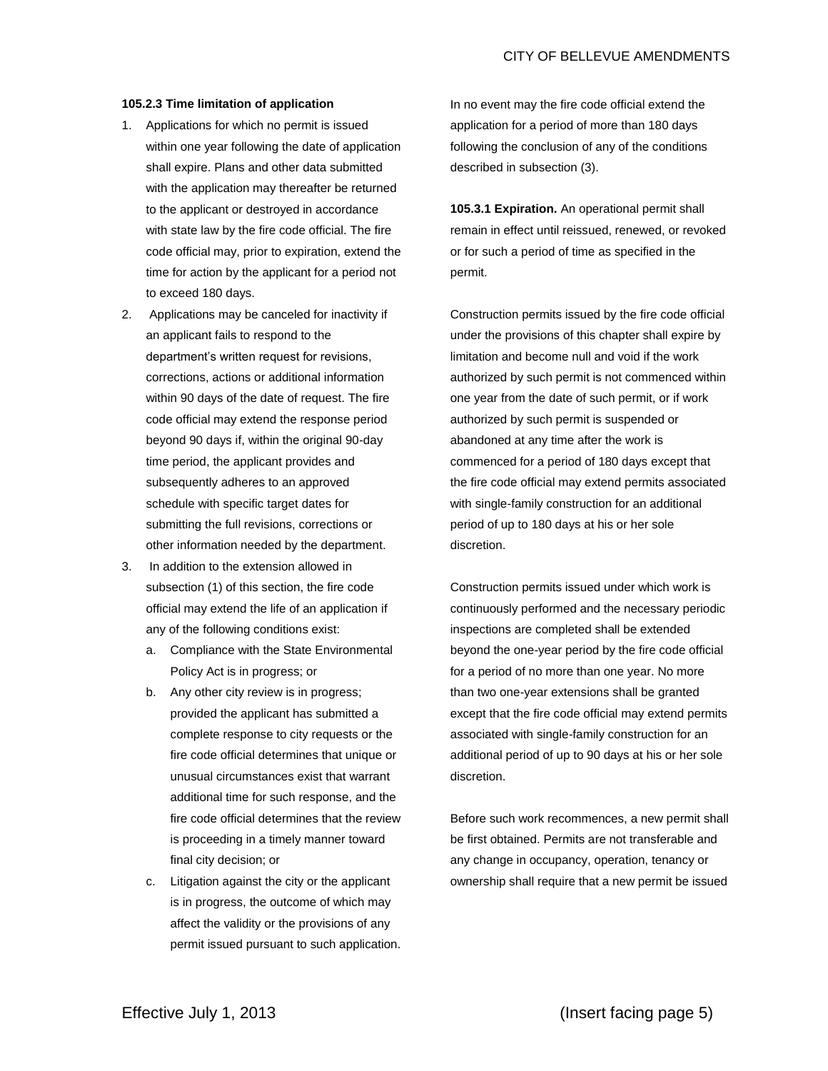#### **105.2.3 Time limitation of application**

- 1. Applications for which no permit is issued within one year following the date of application shall expire. Plans and other data submitted with the application may thereafter be returned to the applicant or destroyed in accordance with state law by the fire code official. The fire code official may, prior to expiration, extend the time for action by the applicant for a period not to exceed 180 days.
- 2. Applications may be canceled for inactivity if an applicant fails to respond to the department's written request for revisions, corrections, actions or additional information within 90 days of the date of request. The fire code official may extend the response period beyond 90 days if, within the original 90-day time period, the applicant provides and subsequently adheres to an approved schedule with specific target dates for submitting the full revisions, corrections or other information needed by the department.
- 3. In addition to the extension allowed in subsection (1) of this section, the fire code official may extend the life of an application if any of the following conditions exist:
	- a. Compliance with the State Environmental Policy Act is in progress; or
	- b. Any other city review is in progress; provided the applicant has submitted a complete response to city requests or the fire code official determines that unique or unusual circumstances exist that warrant additional time for such response, and the fire code official determines that the review is proceeding in a timely manner toward final city decision; or
	- c. Litigation against the city or the applicant is in progress, the outcome of which may affect the validity or the provisions of any permit issued pursuant to such application.

In no event may the fire code official extend the application for a period of more than 180 days following the conclusion of any of the conditions described in subsection (3).

**105.3.1 Expiration.** An operational permit shall remain in effect until reissued, renewed, or revoked or for such a period of time as specified in the permit.

Construction permits issued by the fire code official under the provisions of this chapter shall expire by limitation and become null and void if the work authorized by such permit is not commenced within one year from the date of such permit, or if work authorized by such permit is suspended or abandoned at any time after the work is commenced for a period of 180 days except that the fire code official may extend permits associated with single-family construction for an additional period of up to 180 days at his or her sole discretion.

Construction permits issued under which work is continuously performed and the necessary periodic inspections are completed shall be extended beyond the one-year period by the fire code official for a period of no more than one year. No more than two one-year extensions shall be granted except that the fire code official may extend permits associated with single-family construction for an additional period of up to 90 days at his or her sole discretion.

Before such work recommences, a new permit shall be first obtained. Permits are not transferable and any change in occupancy, operation, tenancy or ownership shall require that a new permit be issued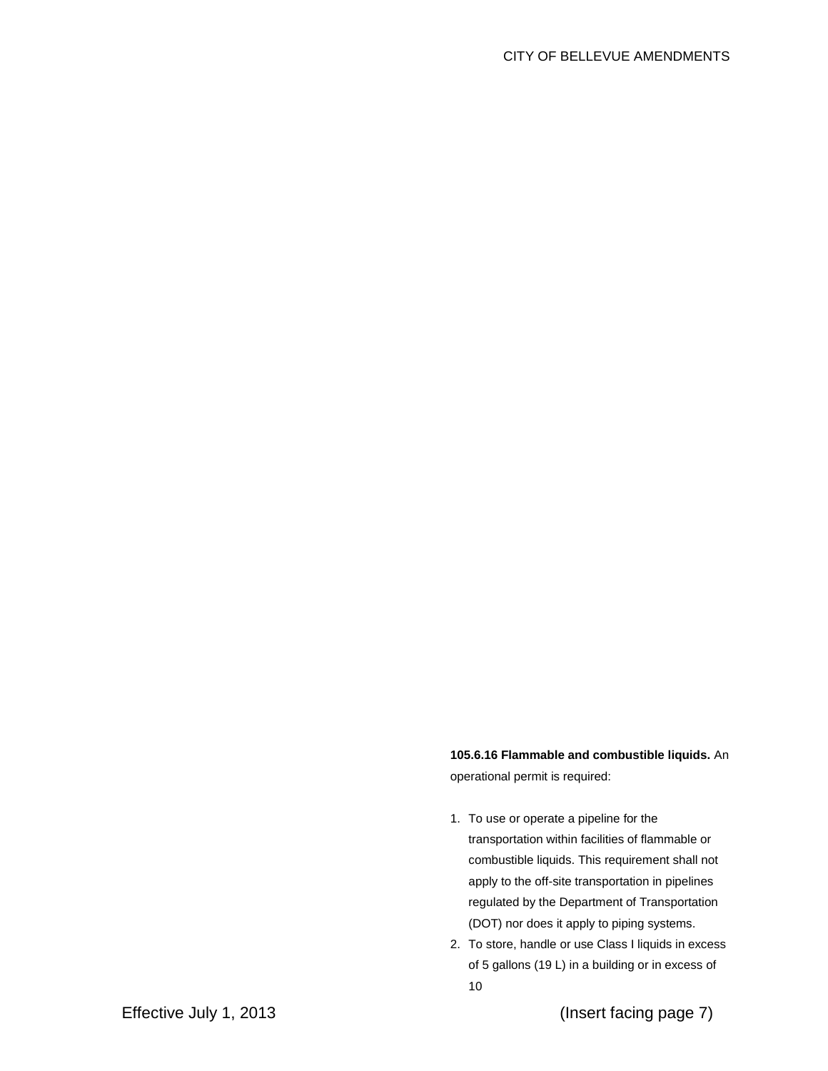**105.6.16 Flammable and combustible liquids.** An operational permit is required:

- 1. To use or operate a pipeline for the transportation within facilities of flammable or combustible liquids. This requirement shall not apply to the off-site transportation in pipelines regulated by the Department of Transportation (DOT) nor does it apply to piping systems.
- 2. To store, handle or use Class I liquids in excess of 5 gallons (19 L) in a building or in excess of 10

Effective July 1, 2013 (Insert facing page 7)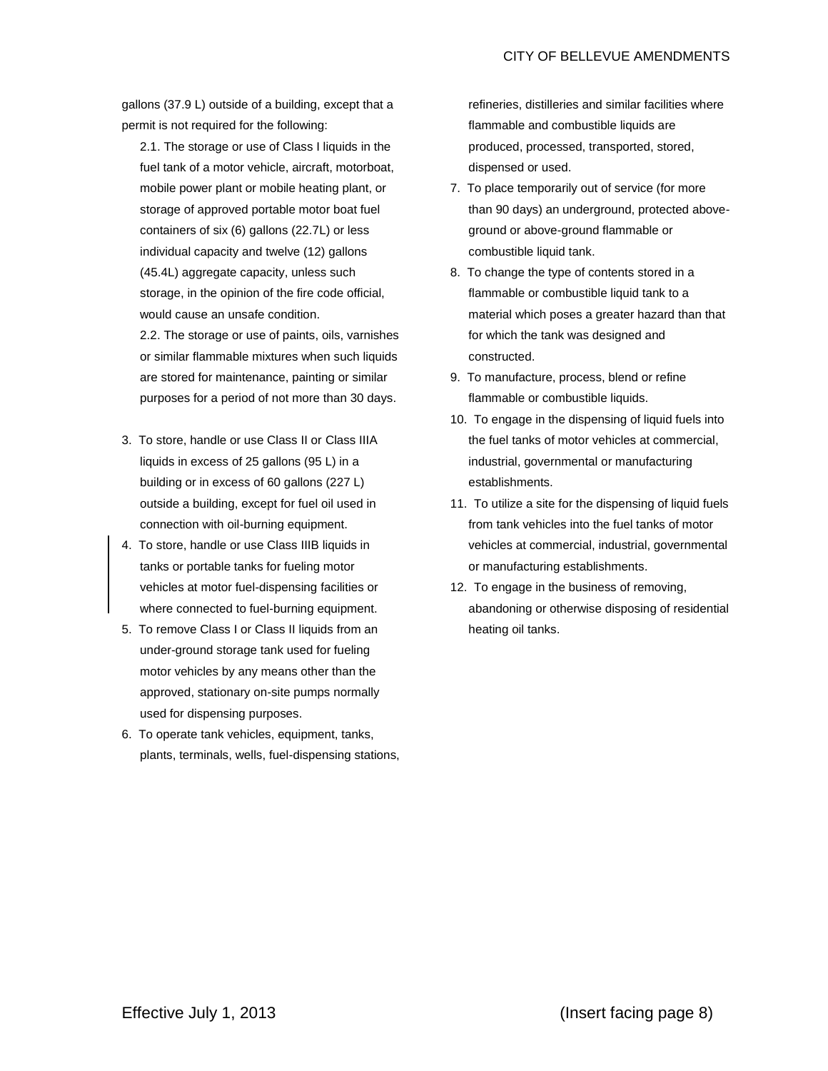gallons (37.9 L) outside of a building, except that a permit is not required for the following:

2.1. The storage or use of Class I liquids in the fuel tank of a motor vehicle, aircraft, motorboat, mobile power plant or mobile heating plant, or storage of approved portable motor boat fuel containers of six (6) gallons (22.7L) or less individual capacity and twelve (12) gallons (45.4L) aggregate capacity, unless such storage, in the opinion of the fire code official, would cause an unsafe condition.

2.2. The storage or use of paints, oils, varnishes or similar flammable mixtures when such liquids are stored for maintenance, painting or similar purposes for a period of not more than 30 days.

- 3. To store, handle or use Class II or Class IIIA liquids in excess of 25 gallons (95 L) in a building or in excess of 60 gallons (227 L) outside a building, except for fuel oil used in connection with oil-burning equipment.
- 4. To store, handle or use Class IIIB liquids in tanks or portable tanks for fueling motor vehicles at motor fuel-dispensing facilities or where connected to fuel-burning equipment.
- 5. To remove Class I or Class II liquids from an under-ground storage tank used for fueling motor vehicles by any means other than the approved, stationary on-site pumps normally used for dispensing purposes.
- 6. To operate tank vehicles, equipment, tanks, plants, terminals, wells, fuel-dispensing stations,

refineries, distilleries and similar facilities where flammable and combustible liquids are produced, processed, transported, stored, dispensed or used.

- 7. To place temporarily out of service (for more than 90 days) an underground, protected aboveground or above-ground flammable or combustible liquid tank.
- 8. To change the type of contents stored in a flammable or combustible liquid tank to a material which poses a greater hazard than that for which the tank was designed and constructed.
- 9. To manufacture, process, blend or refine flammable or combustible liquids.
- 10. To engage in the dispensing of liquid fuels into the fuel tanks of motor vehicles at commercial, industrial, governmental or manufacturing establishments.
- 11. To utilize a site for the dispensing of liquid fuels from tank vehicles into the fuel tanks of motor vehicles at commercial, industrial, governmental or manufacturing establishments.
- 12. To engage in the business of removing, abandoning or otherwise disposing of residential heating oil tanks.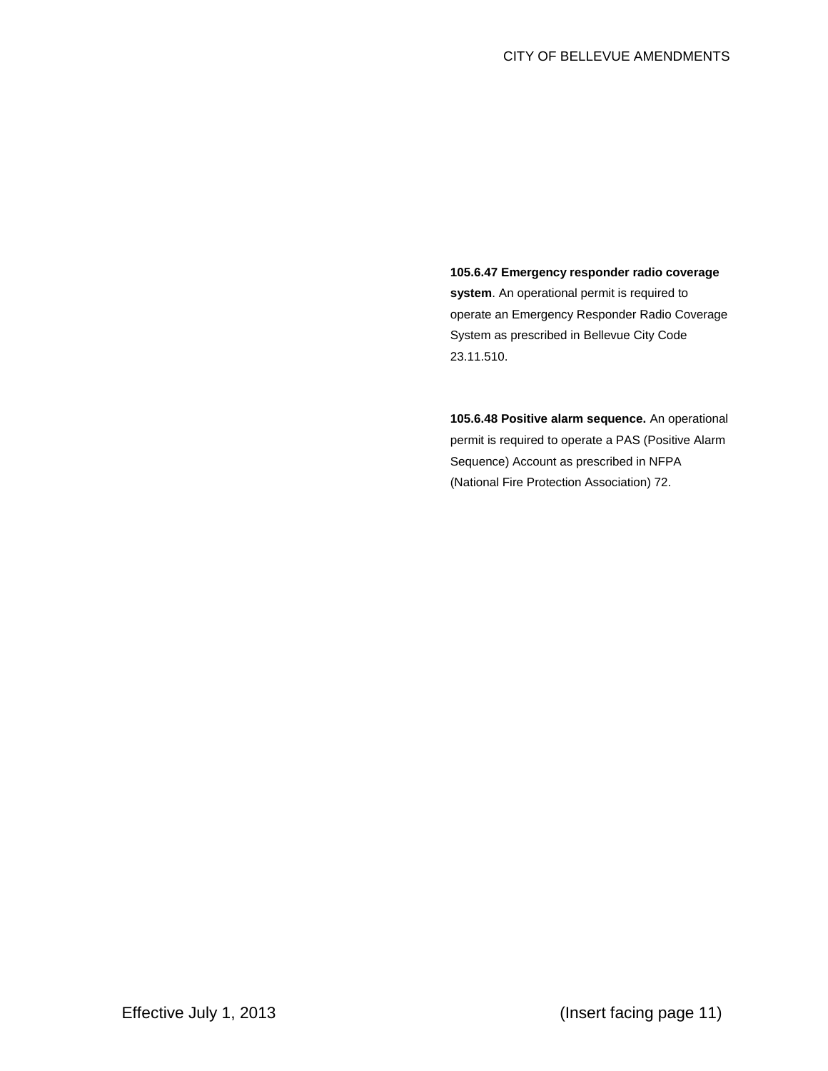**105.6.47 Emergency responder radio coverage system**. An operational permit is required to operate an Emergency Responder Radio Coverage System as prescribed in Bellevue City Code 23.11.510.

**105.6.48 Positive alarm sequence.** An operational permit is required to operate a PAS (Positive Alarm Sequence) Account as prescribed in NFPA (National Fire Protection Association) 72.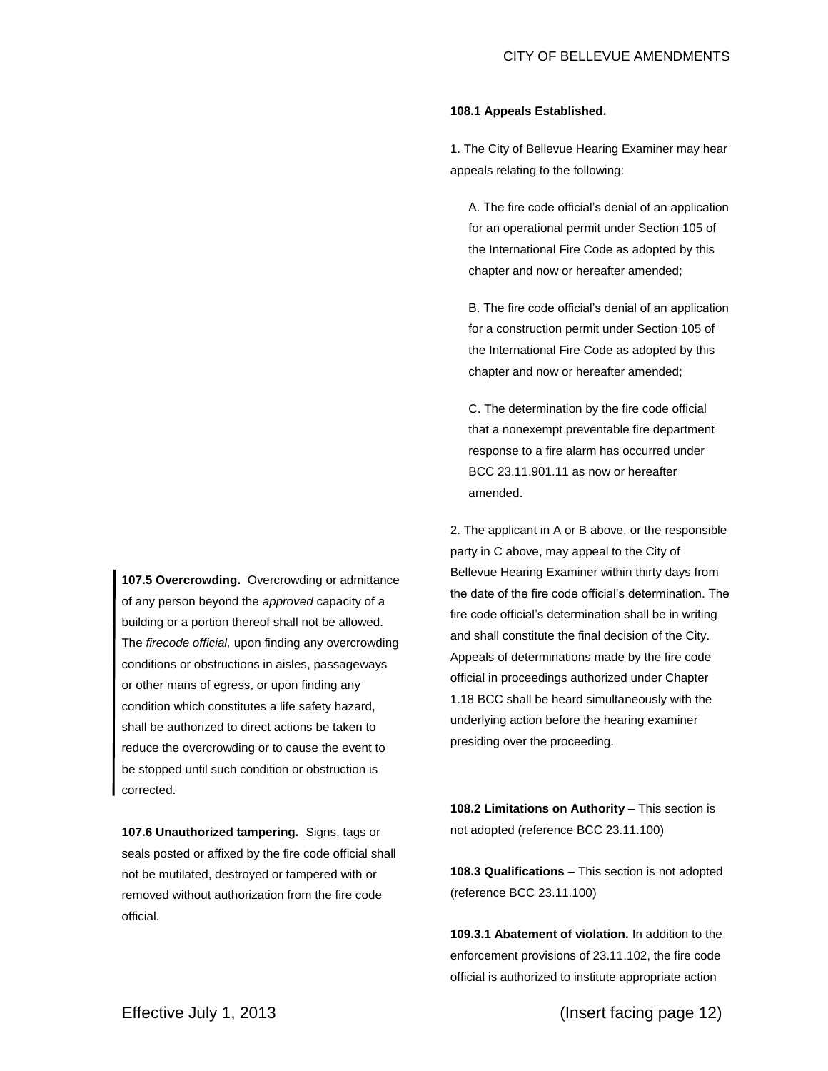## **108.1 Appeals Established.**

1. The City of Bellevue Hearing Examiner may hear appeals relating to the following:

A. The fire code official's denial of an application for an operational permit under Section 105 of the International Fire Code as adopted by this chapter and now or hereafter amended;

B. The fire code official's denial of an application for a construction permit under Section 105 of the International Fire Code as adopted by this chapter and now or hereafter amended;

C. The determination by the fire code official that a nonexempt preventable fire department response to a fire alarm has occurred under BCC 23.11.901.11 as now or hereafter amended.

2. The applicant in A or B above, or the responsible party in C above, may appeal to the City of Bellevue Hearing Examiner within thirty days from the date of the fire code official's determination. The fire code official's determination shall be in writing and shall constitute the final decision of the City. Appeals of determinations made by the fire code official in proceedings authorized under Chapter [1.18](http://www.codepublishing.com/wa/bellevue/html/Bellevue01/Bellevue0118.html#1.18) BCC shall be heard simultaneously with the underlying action before the hearing examiner presiding over the proceeding.

108.2 Limitations on Authority - This section is not adopted (reference BCC 23.11.100)

**108.3 Qualifications** – This section is not adopted (reference BCC 23.11.100)

**109.3.1 Abatement of violation.** In addition to the enforcement provisions of 23.11.102, the fire code official is authorized to institute appropriate action

**107.5 Overcrowding.** Overcrowding or admittance of any person beyond the *approved* capacity of a building or a portion thereof shall not be allowed. The *firecode official,* upon finding any overcrowding conditions or obstructions in aisles, passageways or other mans of egress, or upon finding any condition which constitutes a life safety hazard, shall be authorized to direct actions be taken to reduce the overcrowding or to cause the event to be stopped until such condition or obstruction is corrected.

**107.6 Unauthorized tampering.** Signs, tags or seals posted or affixed by the fire code official shall not be mutilated, destroyed or tampered with or removed without authorization from the fire code official.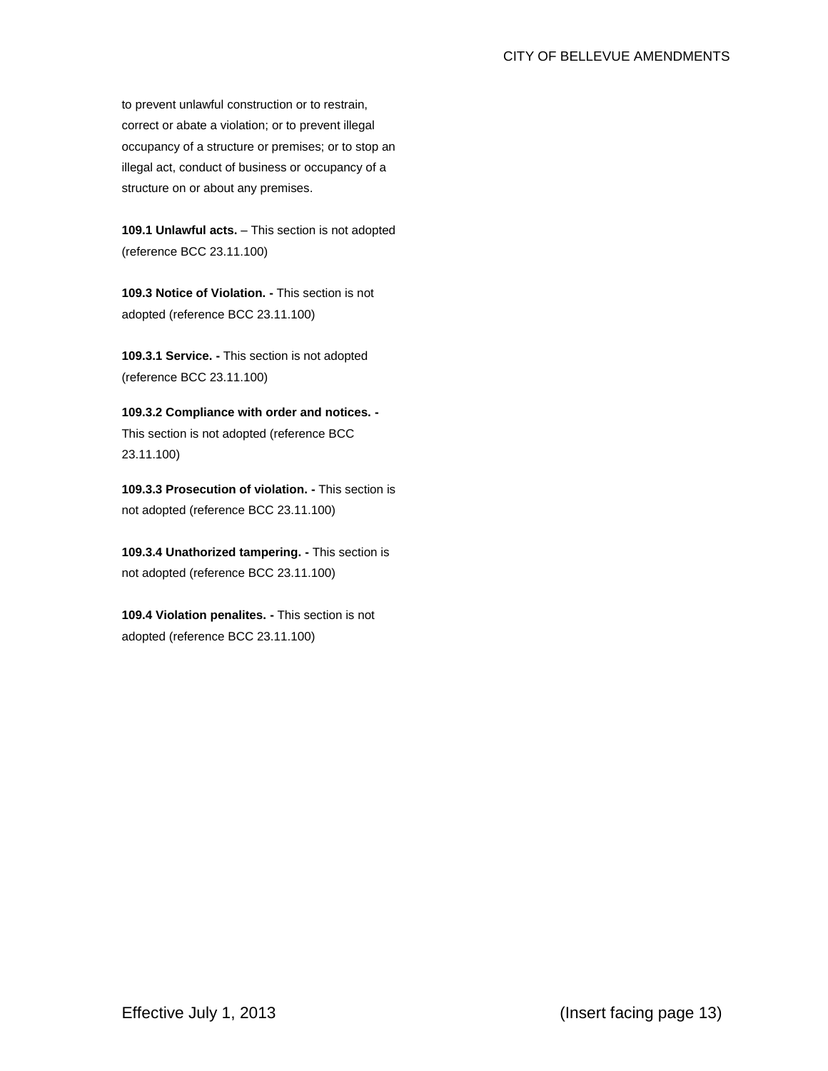# CITY OF BELLEVUE AMENDMENTS

to prevent unlawful construction or to restrain, correct or abate a violation; or to prevent illegal occupancy of a structure or premises; or to stop an illegal act, conduct of business or occupancy of a structure on or about any premises.

**109.1 Unlawful acts.** – This section is not adopted (reference BCC 23.11.100)

**109.3 Notice of Violation. -** This section is not adopted (reference BCC 23.11.100)

**109.3.1 Service. -** This section is not adopted (reference BCC 23.11.100)

**109.3.2 Compliance with order and notices. -** This section is not adopted (reference BCC 23.11.100)

**109.3.3 Prosecution of violation. -** This section is not adopted (reference BCC 23.11.100)

**109.3.4 Unathorized tampering. -** This section is not adopted (reference BCC 23.11.100)

**109.4 Violation penalites. -** This section is not adopted (reference BCC 23.11.100)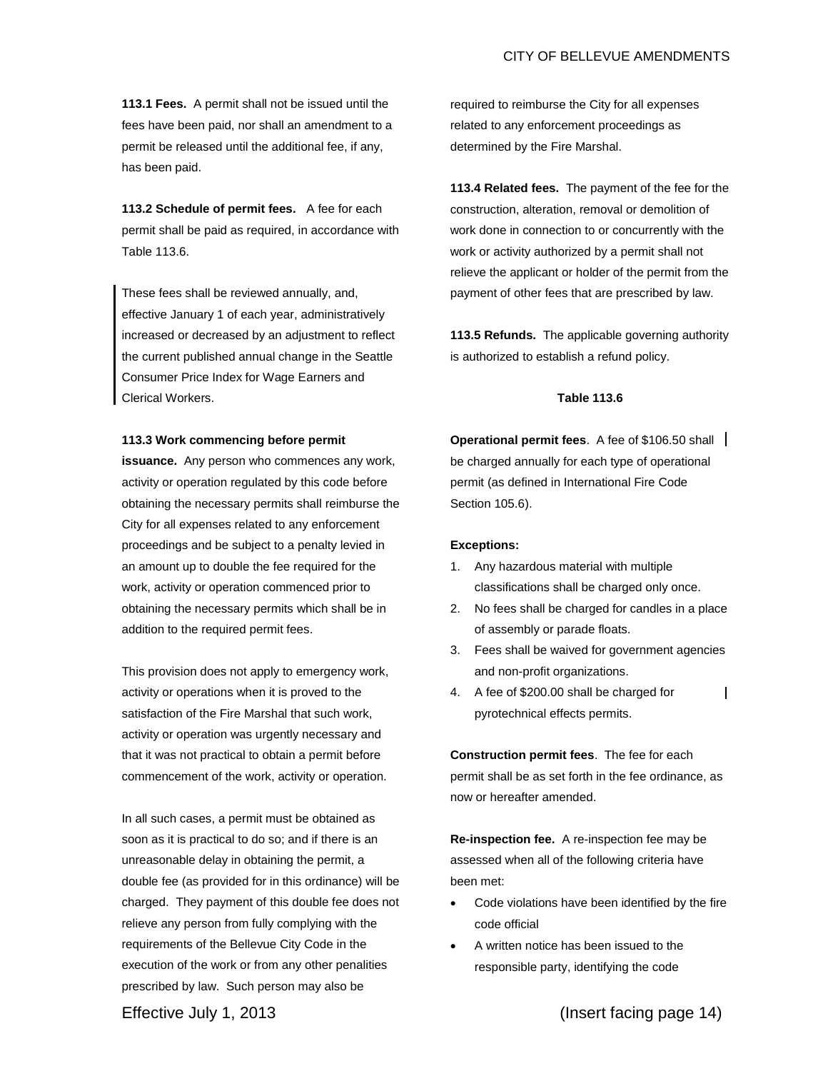# CITY OF BELLEVUE AMENDMENTS

**113.1 Fees.** A permit shall not be issued until the fees have been paid, nor shall an amendment to a permit be released until the additional fee, if any, has been paid.

**113.2 Schedule of permit fees.** A fee for each permit shall be paid as required, in accordance with Table 113.6.

These fees shall be reviewed annually, and, effective January 1 of each year, administratively increased or decreased by an adjustment to reflect the current published annual change in the Seattle Consumer Price Index for Wage Earners and Clerical Workers.

### **113.3 Work commencing before permit**

**issuance.** Any person who commences any work, activity or operation regulated by this code before obtaining the necessary permits shall reimburse the City for all expenses related to any enforcement proceedings and be subject to a penalty levied in an amount up to double the fee required for the work, activity or operation commenced prior to obtaining the necessary permits which shall be in addition to the required permit fees.

This provision does not apply to emergency work, activity or operations when it is proved to the satisfaction of the Fire Marshal that such work, activity or operation was urgently necessary and that it was not practical to obtain a permit before commencement of the work, activity or operation.

In all such cases, a permit must be obtained as soon as it is practical to do so; and if there is an unreasonable delay in obtaining the permit, a double fee (as provided for in this ordinance) will be charged. They payment of this double fee does not relieve any person from fully complying with the requirements of the Bellevue City Code in the execution of the work or from any other penalities prescribed by law. Such person may also be

required to reimburse the City for all expenses related to any enforcement proceedings as determined by the Fire Marshal.

**113.4 Related fees.** The payment of the fee for the construction, alteration, removal or demolition of work done in connection to or concurrently with the work or activity authorized by a permit shall not relieve the applicant or holder of the permit from the payment of other fees that are prescribed by law.

**113.5 Refunds.** The applicable governing authority is authorized to establish a refund policy.

# **Table 113.6**

**Operational permit fees**. A fee of \$106.50 shall be charged annually for each type of operational permit (as defined in International Fire Code Section 105.6).

#### **Exceptions:**

- 1. Any hazardous material with multiple classifications shall be charged only once.
- 2. No fees shall be charged for candles in a place of assembly or parade floats.
- 3. Fees shall be waived for government agencies and non-profit organizations.
- 4. A fee of \$200.00 shall be charged for  $\mathsf{l}$ pyrotechnical effects permits.

**Construction permit fees**. The fee for each permit shall be as set forth in the fee ordinance, as now or hereafter amended.

**Re-inspection fee.** A re-inspection fee may be assessed when all of the following criteria have been met:

- Code violations have been identified by the fire code official
- A written notice has been issued to the responsible party, identifying the code

Effective July 1, 2013 (Insert facing page 14)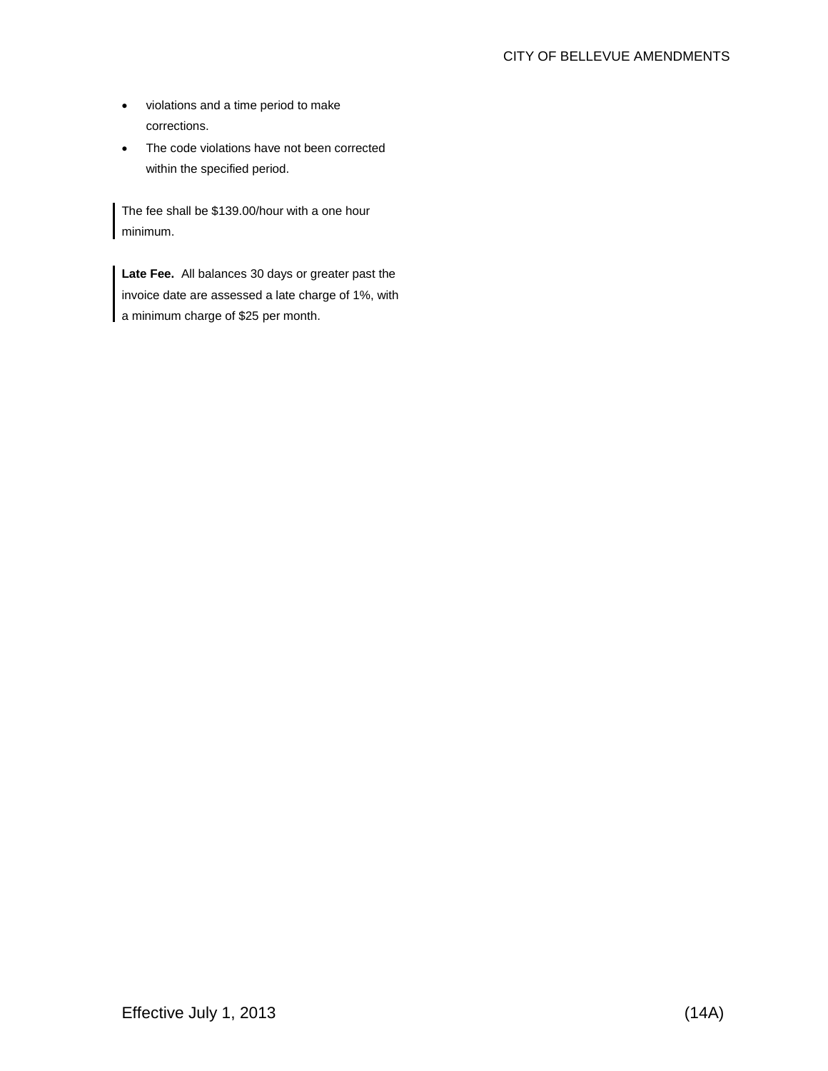- violations and a time period to make corrections.
- The code violations have not been corrected within the specified period.

The fee shall be \$139.00/hour with a one hour minimum.

**Late Fee.** All balances 30 days or greater past the invoice date are assessed a late charge of 1%, with a minimum charge of \$25 per month.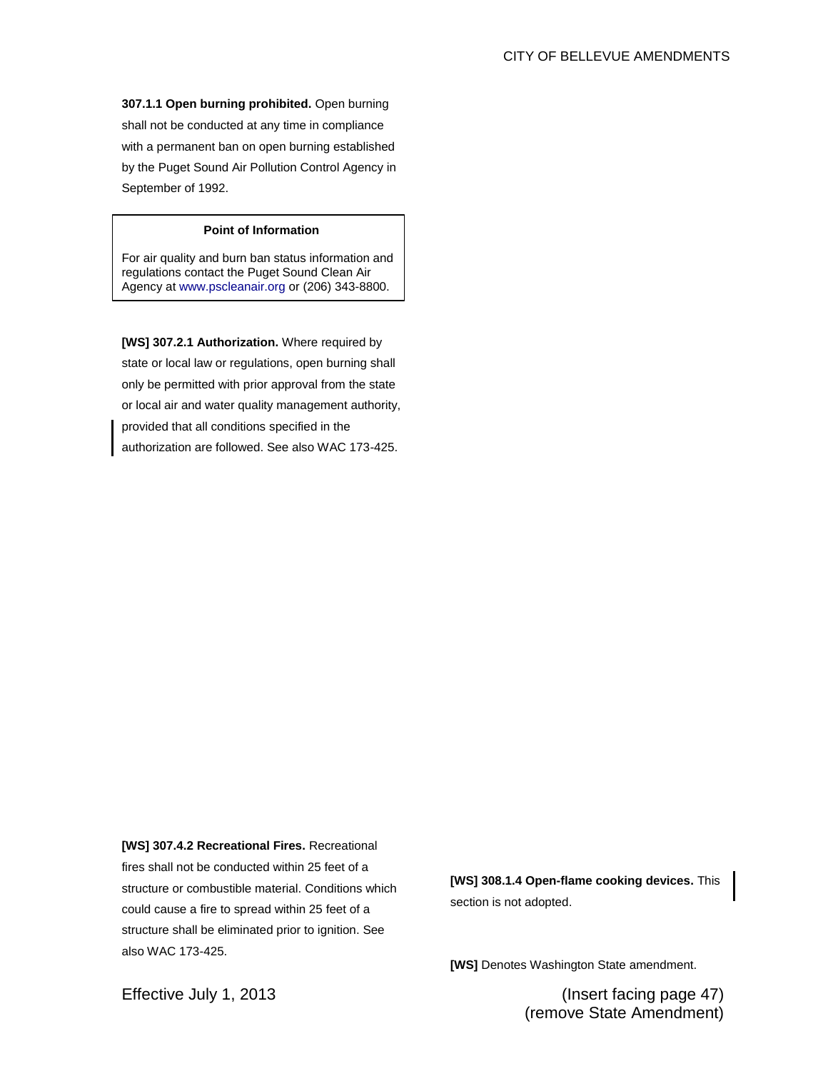**307.1.1 Open burning prohibited.** Open burning shall not be conducted at any time in compliance with a permanent ban on open burning established by the Puget Sound Air Pollution Control Agency in September of 1992.

# **Point of Information**

For air quality and burn ban status information and regulations contact the Puget Sound Clean Air Agency at www.pscleanair.org or (206) 343-8800.

**[WS] 307.2.1 Authorization.** Where required by state or local law or regulations, open burning shall only be permitted with prior approval from the state or local air and water quality management authority, provided that all conditions specified in the authorization are followed. See also WAC 173-425.

**[WS] 307.4.2 Recreational Fires.** Recreational fires shall not be conducted within 25 feet of a structure or combustible material. Conditions which could cause a fire to spread within 25 feet of a structure shall be eliminated prior to ignition. See also WAC 173-425.

**[WS] 308.1.4 Open-flame cooking devices.** This section is not adopted.

**[WS]** Denotes Washington State amendment.

Effective July 1, 2013 (Insert facing page 47) (remove State Amendment)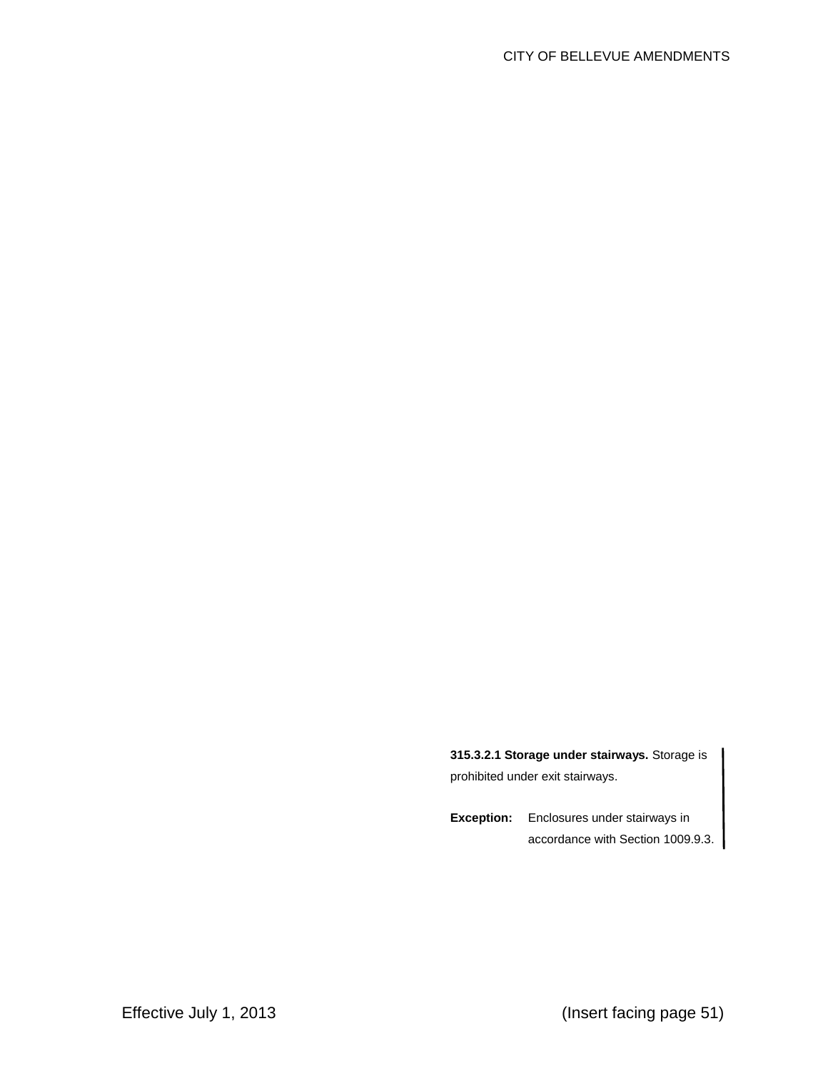**315.3.2.1 Storage under stairways.** Storage is prohibited under exit stairways.

**Exception:** Enclosures under stairways in accordance with Section 1009.9.3.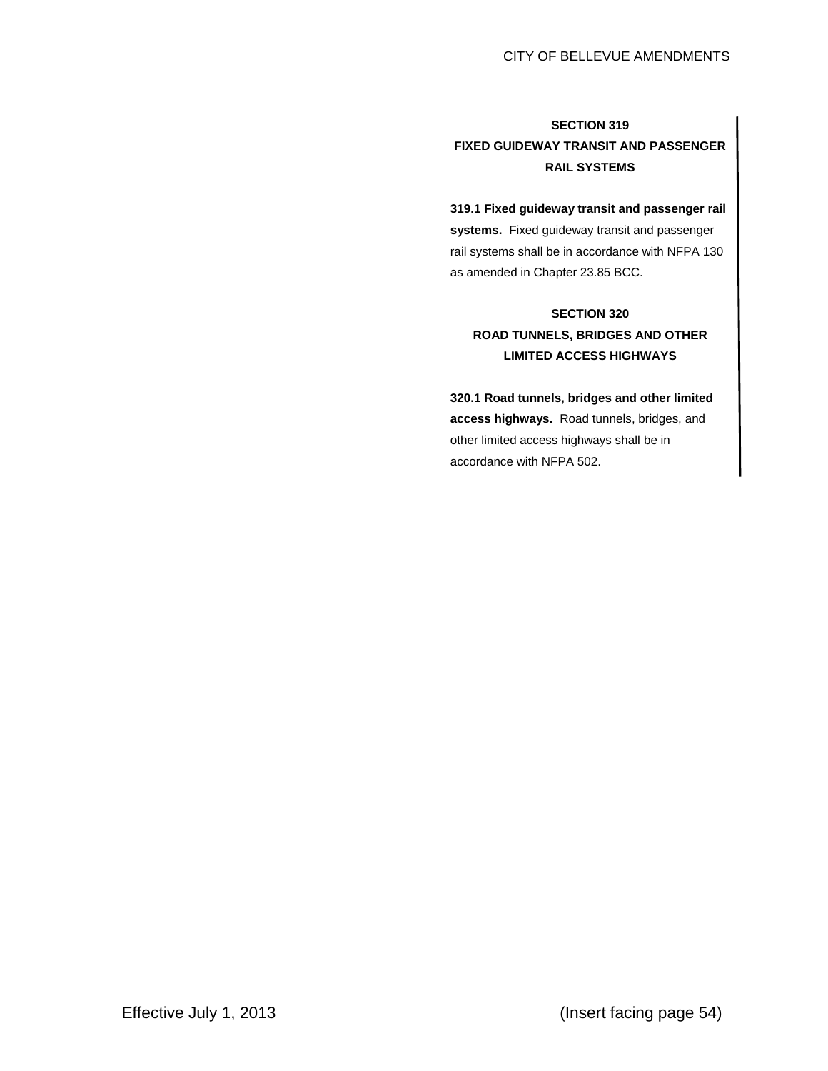# **SECTION 319 FIXED GUIDEWAY TRANSIT AND PASSENGER RAIL SYSTEMS**

**319.1 Fixed guideway transit and passenger rail systems.** Fixed guideway transit and passenger rail systems shall be in accordance with NFPA 130 as amended in Chapter 23.85 BCC.

# **SECTION 320 ROAD TUNNELS, BRIDGES AND OTHER LIMITED ACCESS HIGHWAYS**

**320.1 Road tunnels, bridges and other limited access highways.** Road tunnels, bridges, and other limited access highways shall be in accordance with NFPA 502.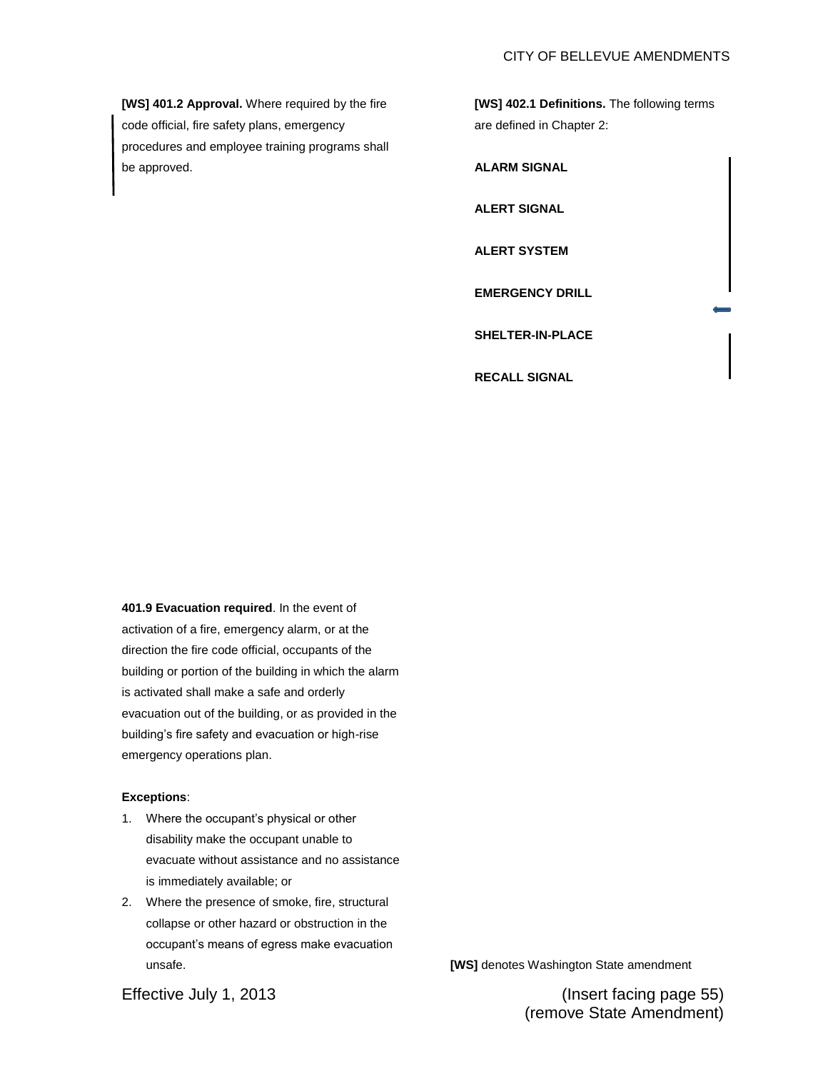**[WS] 401.2 Approval.** Where required by the fire code official, fire safety plans, emergency procedures and employee training programs shall be approved.

**[WS] 402.1 Definitions.** The following terms are defined in Chapter 2:

**ALARM SIGNAL ALERT SIGNAL ALERT SYSTEM EMERGENCY DRILL SHELTER-IN-PLACE RECALL SIGNAL**

**401.9 Evacuation required**. In the event of activation of a fire, emergency alarm, or at the direction the fire code official, occupants of the building or portion of the building in which the alarm is activated shall make a safe and orderly evacuation out of the building, or as provided in the building's fire safety and evacuation or high-rise emergency operations plan.

# **Exceptions**:

- 1. Where the occupant's physical or other disability make the occupant unable to evacuate without assistance and no assistance is immediately available; or
- 2. Where the presence of smoke, fire, structural collapse or other hazard or obstruction in the occupant's means of egress make evacuation unsafe.

**[WS]** denotes Washington State amendment

Effective July 1, 2013 (Insert facing page 55) (remove State Amendment)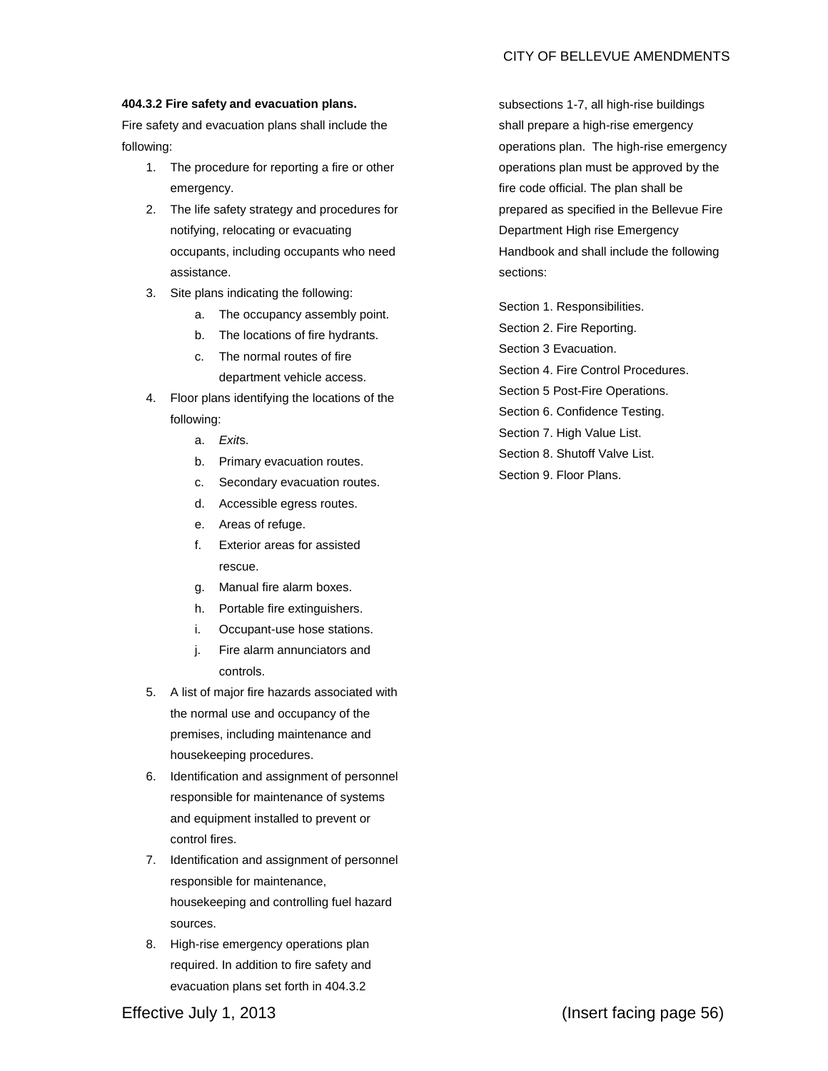# **404.3.2 Fire safety and evacuation plans.**

Fire safety and evacuation plans shall include the following:

- 1. The procedure for reporting a fire or other emergency.
- 2. The life safety strategy and procedures for notifying, relocating or evacuating occupants, including occupants who need assistance.
- 3. Site plans indicating the following:
	- a. The occupancy assembly point.
	- b. The locations of fire hydrants.
	- c. The normal routes of fire department vehicle access.
- 4. Floor plans identifying the locations of the following:
	- a. *Exit*s.
	- b. Primary evacuation routes.
	- c. Secondary evacuation routes.
	- d. Accessible egress routes.
	- e. Areas of refuge.
	- f. Exterior areas for assisted rescue.
	- g. Manual fire alarm boxes.
	- h. Portable fire extinguishers.
	- i. Occupant-use hose stations.
	- j. Fire alarm annunciators and controls.
- 5. A list of major fire hazards associated with the normal use and occupancy of the premises, including maintenance and housekeeping procedures.
- 6. Identification and assignment of personnel responsible for maintenance of systems and equipment installed to prevent or control fires.
- 7. Identification and assignment of personnel responsible for maintenance, housekeeping and controlling fuel hazard sources.
- 8. High-rise emergency operations plan required. In addition to fire safety and evacuation plans set forth in 404.3.2

subsections 1-7, all high-rise buildings shall prepare a high-rise emergency operations plan. The high-rise emergency operations plan must be approved by the fire code official. The plan shall be prepared as specified in the Bellevue Fire Department High rise Emergency Handbook and shall include the following sections:

Section 1. Responsibilities. Section 2. Fire Reporting. Section 3 Evacuation. Section 4. Fire Control Procedures. Section 5 Post-Fire Operations. Section 6. Confidence Testing. Section 7. High Value List. Section 8. Shutoff Valve List. Section 9. Floor Plans.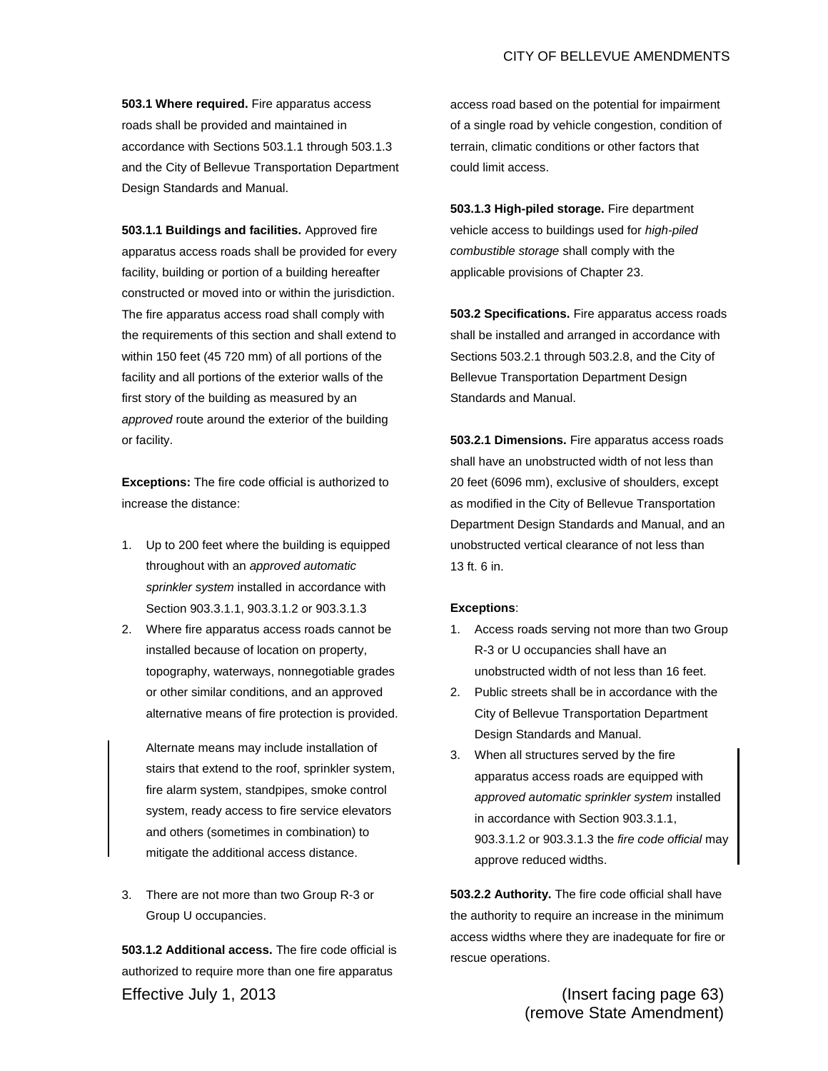# CITY OF BELLEVUE AMENDMENTS

**503.1 Where required.** Fire apparatus access roads shall be provided and maintained in accordance with Sections 503.1.1 through 503.1.3 and the City of Bellevue Transportation Department Design Standards and Manual.

**503.1.1 Buildings and facilities.** Approved fire apparatus access roads shall be provided for every facility, building or portion of a building hereafter constructed or moved into or within the jurisdiction. The fire apparatus access road shall comply with the requirements of this section and shall extend to within 150 feet (45 720 mm) of all portions of the facility and all portions of the exterior walls of the first story of the building as measured by an *approved* route around the exterior of the building or facility.

**Exceptions:** The fire code official is authorized to increase the distance:

- 1. Up to 200 feet where the building is equipped throughout with an *approved automatic sprinkler system* installed in accordance with Section 903.3.1.1, 903.3.1.2 or 903.3.1.3
- 2. Where fire apparatus access roads cannot be installed because of location on property, topography, waterways, nonnegotiable grades or other similar conditions, and an approved alternative means of fire protection is provided.

Alternate means may include installation of stairs that extend to the roof, sprinkler system, fire alarm system, standpipes, smoke control system, ready access to fire service elevators and others (sometimes in combination) to mitigate the additional access distance.

3. There are not more than two Group R-3 or Group U occupancies.

Effective July 1, 2013 (Insert facing page 63) **503.1.2 Additional access.** The fire code official is authorized to require more than one fire apparatus

access road based on the potential for impairment of a single road by vehicle congestion, condition of terrain, climatic conditions or other factors that could limit access.

**503.1.3 High-piled storage.** Fire department vehicle access to buildings used for *high-piled combustible storage* shall comply with the applicable provisions of Chapter 23.

**503.2 Specifications.** Fire apparatus access roads shall be installed and arranged in accordance with Sections 503.2.1 through 503.2.8, and the City of Bellevue Transportation Department Design Standards and Manual.

**503.2.1 Dimensions.** Fire apparatus access roads shall have an unobstructed width of not less than 20 feet (6096 mm), exclusive of shoulders, except as modified in the City of Bellevue Transportation Department Design Standards and Manual, and an unobstructed vertical clearance of not less than 13 ft. 6 in.

#### **Exceptions**:

- 1. Access roads serving not more than two Group R-3 or U occupancies shall have an unobstructed width of not less than 16 feet.
- 2. Public streets shall be in accordance with the City of Bellevue Transportation Department Design Standards and Manual.
- 3. When all structures served by the fire apparatus access roads are equipped with *approved automatic sprinkler system* installed in accordance with Section 903.3.1.1, 903.3.1.2 or 903.3.1.3 the *fire code official* may approve reduced widths.

**503.2.2 Authority.** The fire code official shall have the authority to require an increase in the minimum access widths where they are inadequate for fire or rescue operations.

(remove State Amendment)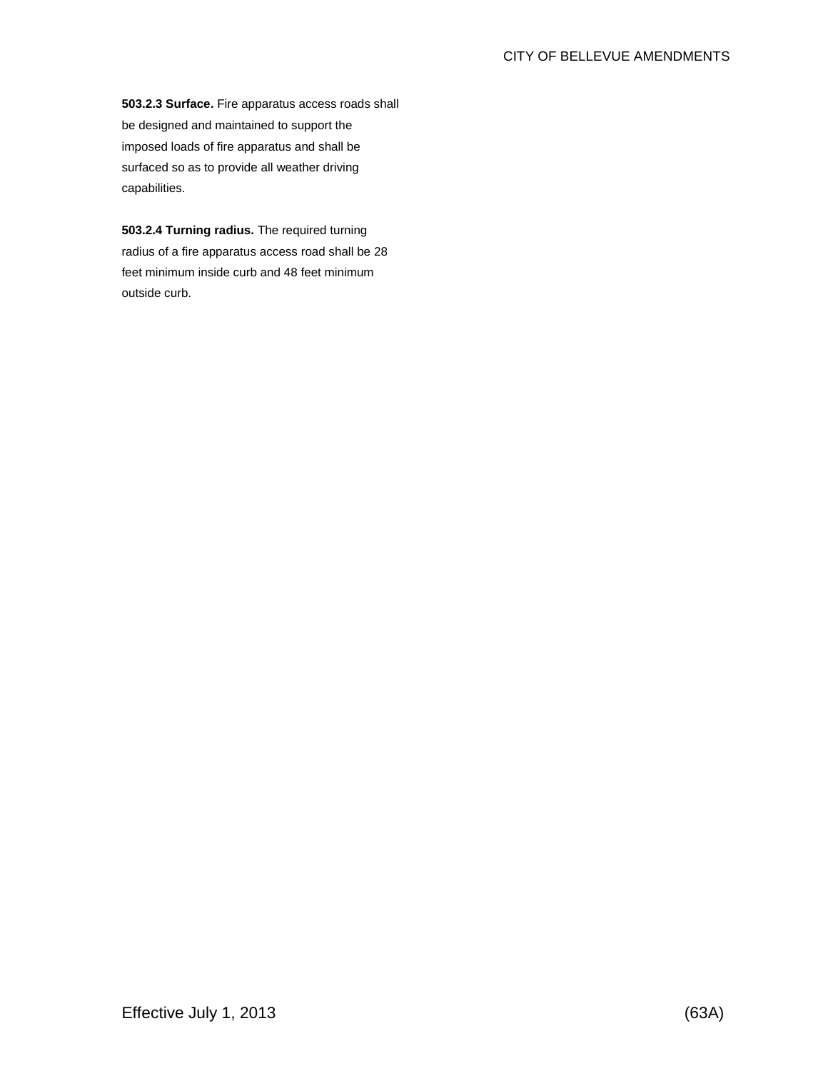**503.2.3 Surface.** Fire apparatus access roads shall be designed and maintained to support the imposed loads of fire apparatus and shall be surfaced so as to provide all weather driving capabilities.

**503.2.4 Turning radius.** The required turning radius of a fire apparatus access road shall be 28 feet minimum inside curb and 48 feet minimum outside curb.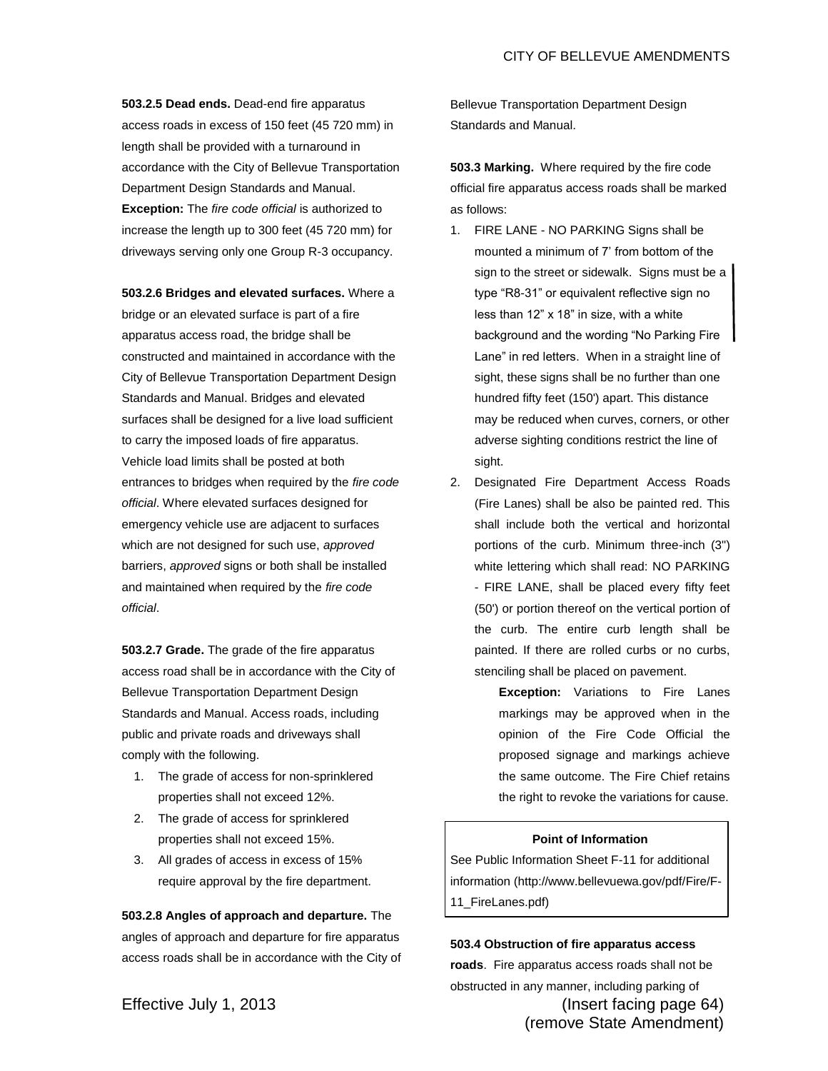**503.2.5 Dead ends.** Dead-end fire apparatus access roads in excess of 150 feet (45 720 mm) in length shall be provided with a turnaround in accordance with the City of Bellevue Transportation Department Design Standards and Manual. **Exception:** The *fire code official* is authorized to increase the length up to 300 feet (45 720 mm) for driveways serving only one Group R-3 occupancy.

**503.2.6 Bridges and elevated surfaces.** Where a bridge or an elevated surface is part of a fire apparatus access road, the bridge shall be constructed and maintained in accordance with the City of Bellevue Transportation Department Design Standards and Manual. Bridges and elevated surfaces shall be designed for a live load sufficient to carry the imposed loads of fire apparatus. Vehicle load limits shall be posted at both entrances to bridges when required by the *fire code official*. Where elevated surfaces designed for emergency vehicle use are adjacent to surfaces which are not designed for such use, *approved*  barriers, *approved* signs or both shall be installed and maintained when required by the *fire code official*.

**503.2.7 Grade.** The grade of the fire apparatus access road shall be in accordance with the City of Bellevue Transportation Department Design Standards and Manual. Access roads, including public and private roads and driveways shall comply with the following.

- 1. The grade of access for non-sprinklered properties shall not exceed 12%.
- 2. The grade of access for sprinklered properties shall not exceed 15%.
- 3. All grades of access in excess of 15% require approval by the fire department.

**503.2.8 Angles of approach and departure.** The angles of approach and departure for fire apparatus access roads shall be in accordance with the City of Bellevue Transportation Department Design Standards and Manual.

**503.3 Marking.** Where required by the fire code official fire apparatus access roads shall be marked as follows:

- 1. FIRE LANE NO PARKING Signs shall be mounted a minimum of 7' from bottom of the sign to the street or sidewalk. Signs must be a type "R8-31" or equivalent reflective sign no less than 12" x 18" in size, with a white background and the wording "No Parking Fire Lane" in red letters. When in a straight line of sight, these signs shall be no further than one hundred fifty feet (150') apart. This distance may be reduced when curves, corners, or other adverse sighting conditions restrict the line of sight.
- 2. Designated Fire Department Access Roads (Fire Lanes) shall be also be painted red. This shall include both the vertical and horizontal portions of the curb. Minimum three-inch (3") white lettering which shall read: NO PARKING - FIRE LANE, shall be placed every fifty feet (50') or portion thereof on the vertical portion of the curb. The entire curb length shall be painted. If there are rolled curbs or no curbs, stenciling shall be placed on pavement.

**Exception:** Variations to Fire Lanes markings may be approved when in the opinion of the Fire Code Official the proposed signage and markings achieve the same outcome. The Fire Chief retains the right to revoke the variations for cause.

#### **Point of Information**

See Public Information Sheet F-11 for additional information (http://www.bellevuewa.gov/pdf/Fire/F-11\_FireLanes.pdf)

**503.4 Obstruction of fire apparatus access** 

Effective July 1, 2013 (Insert facing page 64) (remove State Amendment) **roads**. Fire apparatus access roads shall not be obstructed in any manner, including parking of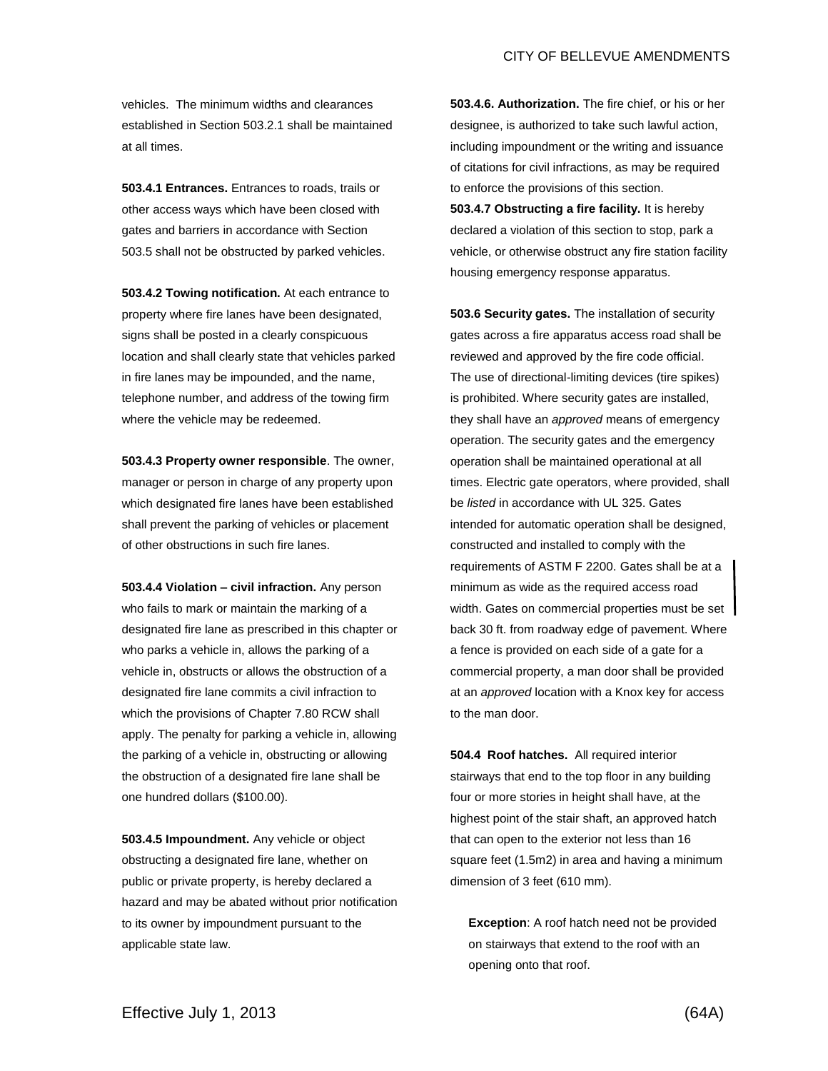vehicles. The minimum widths and clearances established in Section 503.2.1 shall be maintained at all times.

**503.4.1 Entrances.** Entrances to roads, trails or other access ways which have been closed with gates and barriers in accordance with Section 503.5 shall not be obstructed by parked vehicles.

**503.4.2 Towing notification.** At each entrance to property where fire lanes have been designated, signs shall be posted in a clearly conspicuous location and shall clearly state that vehicles parked in fire lanes may be impounded, and the name, telephone number, and address of the towing firm where the vehicle may be redeemed.

**503.4.3 Property owner responsible**. The owner, manager or person in charge of any property upon which designated fire lanes have been established shall prevent the parking of vehicles or placement of other obstructions in such fire lanes.

**503.4.4 Violation – civil infraction.** Any person who fails to mark or maintain the marking of a designated fire lane as prescribed in this chapter or who parks a vehicle in, allows the parking of a vehicle in, obstructs or allows the obstruction of a designated fire lane commits a civil infraction to which the provisions of Chapter 7.80 RCW shall apply. The penalty for parking a vehicle in, allowing the parking of a vehicle in, obstructing or allowing the obstruction of a designated fire lane shall be one hundred dollars (\$100.00).

**503.4.5 Impoundment.** Any vehicle or object obstructing a designated fire lane, whether on public or private property, is hereby declared a hazard and may be abated without prior notification to its owner by impoundment pursuant to the applicable state law.

**503.4.6. Authorization.** The fire chief, or his or her designee, is authorized to take such lawful action, including impoundment or the writing and issuance of citations for civil infractions, as may be required to enforce the provisions of this section. **503.4.7 Obstructing a fire facility.** It is hereby declared a violation of this section to stop, park a vehicle, or otherwise obstruct any fire station facility housing emergency response apparatus.

**503.6 Security gates.** The installation of security gates across a fire apparatus access road shall be reviewed and approved by the fire code official. The use of directional-limiting devices (tire spikes) is prohibited. Where security gates are installed, they shall have an *approved* means of emergency operation. The security gates and the emergency operation shall be maintained operational at all times. Electric gate operators, where provided, shall be *listed* in accordance with UL 325. Gates intended for automatic operation shall be designed, constructed and installed to comply with the requirements of ASTM F 2200. Gates shall be at a minimum as wide as the required access road width. Gates on commercial properties must be set back 30 ft. from roadway edge of pavement. Where a fence is provided on each side of a gate for a commercial property, a man door shall be provided at an *approved* location with a Knox key for access to the man door.

**504.4 Roof hatches.** All required interior stairways that end to the top floor in any building four or more stories in height shall have, at the highest point of the stair shaft, an approved hatch that can open to the exterior not less than 16 square feet (1.5m2) in area and having a minimum dimension of 3 feet (610 mm).

**Exception**: A roof hatch need not be provided on stairways that extend to the roof with an opening onto that roof.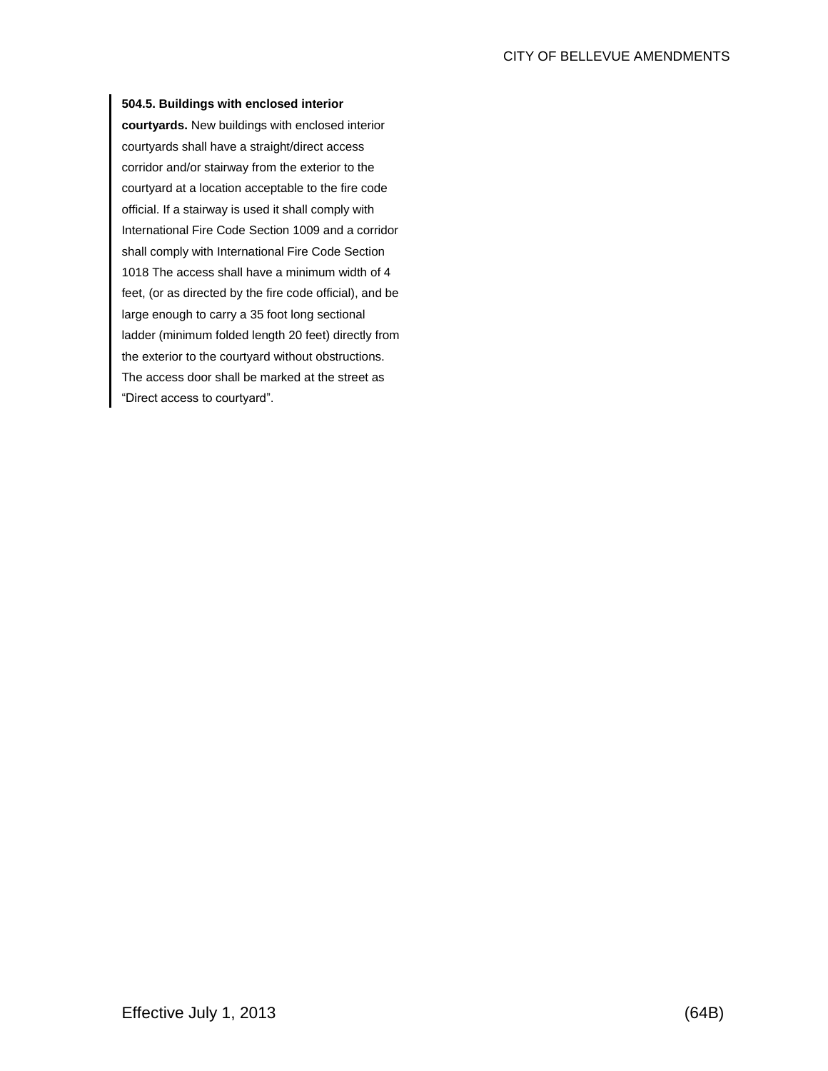# **504.5. Buildings with enclosed interior**

**courtyards.** New buildings with enclosed interior courtyards shall have a straight/direct access corridor and/or stairway from the exterior to the courtyard at a location acceptable to the fire code official. If a stairway is used it shall comply with International Fire Code Section 1009 and a corridor shall comply with International Fire Code Section 1018 The access shall have a minimum width of 4 feet, (or as directed by the fire code official), and be large enough to carry a 35 foot long sectional ladder (minimum folded length 20 feet) directly from the exterior to the courtyard without obstructions. The access door shall be marked at the street as "Direct access to courtyard".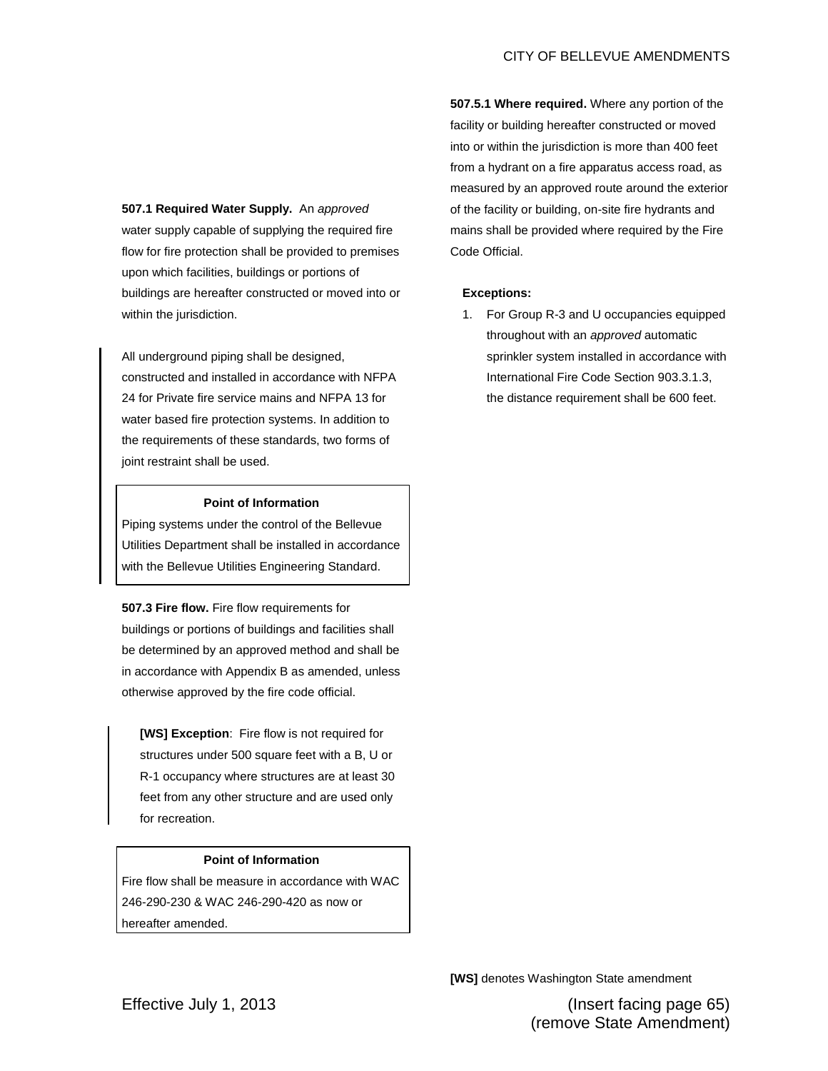**507.1 Required Water Supply.** An *approved* water supply capable of supplying the required fire flow for fire protection shall be provided to premises upon which facilities, buildings or portions of buildings are hereafter constructed or moved into or within the jurisdiction.

All underground piping shall be designed, constructed and installed in accordance with NFPA 24 for Private fire service mains and NFPA 13 for water based fire protection systems. In addition to the requirements of these standards, two forms of joint restraint shall be used.

# **Point of Information**

Piping systems under the control of the Bellevue Utilities Department shall be installed in accordance with the Bellevue Utilities Engineering Standard.

**507.3 Fire flow.** Fire flow requirements for buildings or portions of buildings and facilities shall be determined by an approved method and shall be in accordance with Appendix B as amended, unless otherwise approved by the fire code official.

**[WS] Exception**: Fire flow is not required for structures under 500 square feet with a B, U or R-1 occupancy where structures are at least 30 feet from any other structure and are used only for recreation.

# **Point of Information**

Fire flow shall be measure in accordance with WAC 246-290-230 & WAC 246-290-420 as now or hereafter amended.

**507.5.1 Where required.** Where any portion of the facility or building hereafter constructed or moved into or within the jurisdiction is more than 400 feet from a hydrant on a fire apparatus access road, as measured by an approved route around the exterior of the facility or building, on-site fire hydrants and mains shall be provided where required by the Fire Code Official.

### **Exceptions:**

1. For Group R-3 and U occupancies equipped throughout with an *approved* automatic sprinkler system installed in accordance with International Fire Code Section 903.3.1.3, the distance requirement shall be 600 feet.

**[WS]** denotes Washington State amendment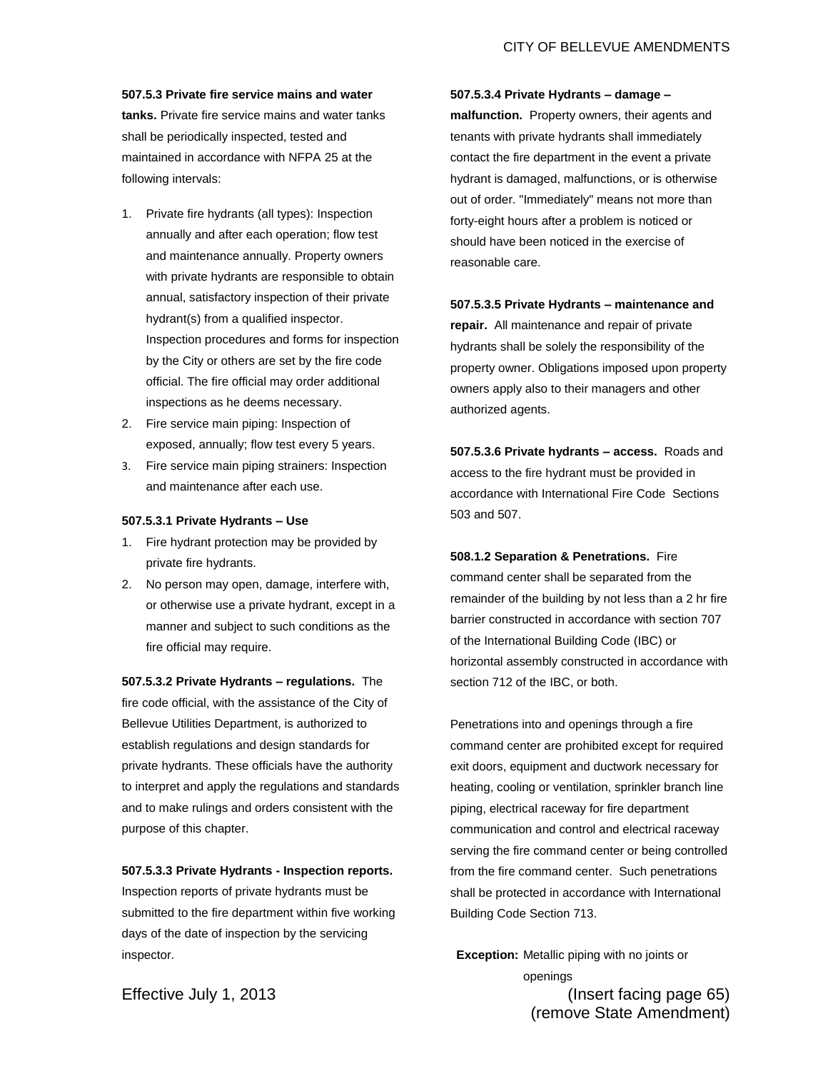#### **507.5.3 Private fire service mains and water**

**tanks.** Private fire service mains and water tanks shall be periodically inspected, tested and maintained in accordance with NFPA 25 at the following intervals:

- 1. Private fire hydrants (all types): Inspection annually and after each operation; flow test and maintenance annually. Property owners with private hydrants are responsible to obtain annual, satisfactory inspection of their private hydrant(s) from a qualified inspector. Inspection procedures and forms for inspection by the City or others are set by the fire code official. The fire official may order additional inspections as he deems necessary.
- 2. Fire service main piping: Inspection of exposed, annually; flow test every 5 years.
- 3. Fire service main piping strainers: Inspection and maintenance after each use.

#### **507.5.3.1 Private Hydrants – Use**

- 1. Fire hydrant protection may be provided by private fire hydrants.
- 2. No person may open, damage, interfere with, or otherwise use a private hydrant, except in a manner and subject to such conditions as the fire official may require.

**[507.5.3.2](http://www.spokanecity.org/services/documents/smc/?Section=17F.080.380) Private Hydrants – regulations.** The fire code official, with the assistance of the City of Bellevue Utilities Department, is authorized to establish regulations and design standards for private hydrants. These officials have the authority to interpret and apply the regulations and standards and to make rulings and orders consistent with the purpose of this chapter.

# **507.5.3.3 Private Hydrants - Inspection reports.**  Inspection reports of private hydrants must be submitted to the fire department within five working days of the date of inspection by the servicing inspector.

**507.5.3.4 Private Hydrants – damage – malfunction.** Property owners, their agents and tenants with private hydrants shall immediately contact the fire department in the event a private hydrant is damaged, malfunctions, or is otherwise out of order. "Immediately" means not more than forty-eight hours after a problem is noticed or should have been noticed in the exercise of reasonable care.

#### **507.5.3.5 Private Hydrants – maintenance and**

**repair.** All maintenance and repair of private hydrants shall be solely the responsibility of the property owner. Obligations imposed upon property owners apply also to their managers and other authorized agents.

**507.5.3.6 Private hydrants – access.** Roads and access to the fire hydrant must be provided in accordance with International Fire Code Sections 503 and 507.

**508.1.2 Separation & Penetrations.** Fire command center shall be separated from the remainder of the building by not less than a 2 hr fire barrier constructed in accordance with section 707 of the International Building Code (IBC) or horizontal assembly constructed in accordance with section 712 of the IBC, or both.

Penetrations into and openings through a fire command center are prohibited except for required exit doors, equipment and ductwork necessary for heating, cooling or ventilation, sprinkler branch line piping, electrical raceway for fire department communication and control and electrical raceway serving the fire command center or being controlled from the fire command center. Such penetrations shall be protected in accordance with International Building Code Section 713.

Effective July 1, 2013 (Insert facing page 65) **Exception:** Metallic piping with no joints or openings

(remove State Amendment)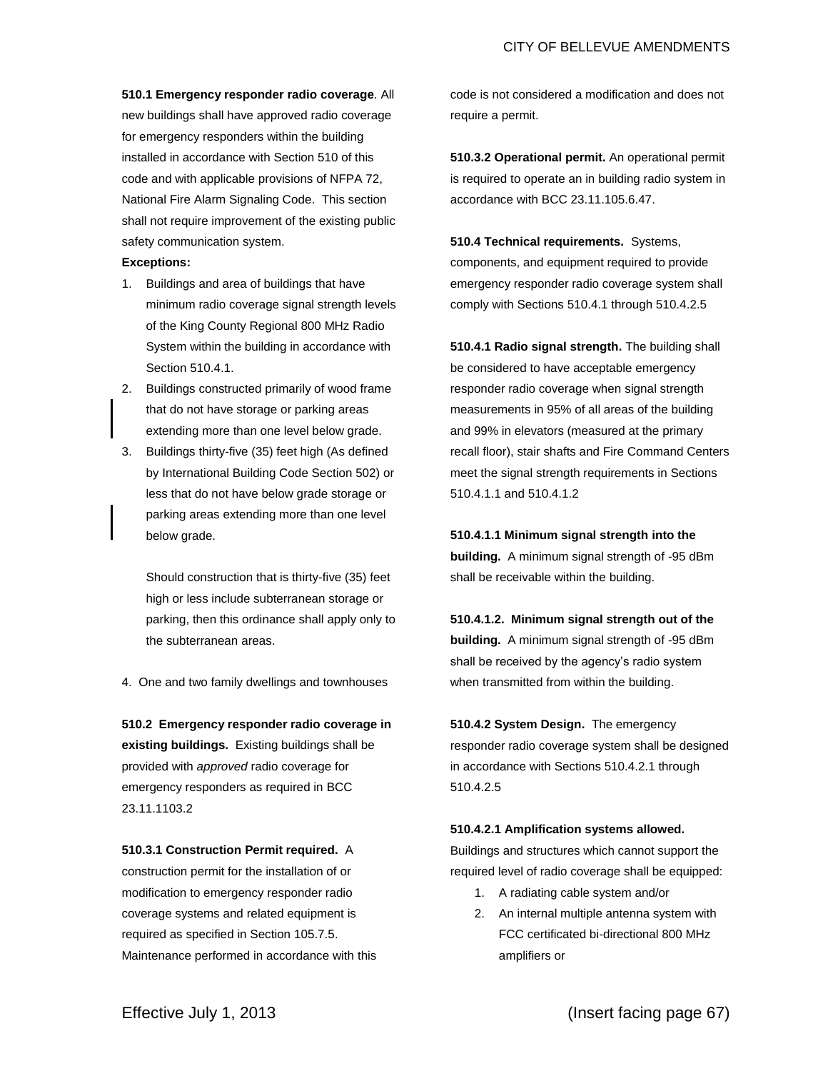**510.1 Emergency responder radio coverage**. All new buildings shall have approved radio coverage for emergency responders within the building installed in accordance with Section 510 of this code and with applicable provisions of NFPA 72, National Fire Alarm Signaling Code. This section shall not require improvement of the existing public safety communication system.

#### **Exceptions:**

- 1. Buildings and area of buildings that have minimum radio coverage signal strength levels of the King County Regional 800 MHz Radio System within the building in accordance with Section 510.4.1.
- 2. Buildings constructed primarily of wood frame that do not have storage or parking areas extending more than one level below grade.
- 3. Buildings thirty-five (35) feet high (As defined by International Building Code Section 502) or less that do not have below grade storage or parking areas extending more than one level below grade.

Should construction that is thirty-five (35) feet high or less include subterranean storage or parking, then this ordinance shall apply only to the subterranean areas.

4. One and two family dwellings and townhouses

**510.2 Emergency responder radio coverage in existing buildings.** Existing buildings shall be provided with *approved* radio coverage for emergency responders as required in BCC 23.11.1103.2

**510.3.1 Construction Permit required.** A construction permit for the installation of or modification to emergency responder radio coverage systems and related equipment is required as specified in Section 105.7.5. Maintenance performed in accordance with this code is not considered a modification and does not require a permit.

**510.3.2 Operational permit.** An operational permit is required to operate an in building radio system in accordance with BCC 23.11.105.6.47.

**510.4 Technical requirements.** Systems, components, and equipment required to provide emergency responder radio coverage system shall comply with Sections 510.4.1 through 510.4.2.5

**510.4.1 Radio signal strength.** The building shall be considered to have acceptable emergency responder radio coverage when signal strength measurements in 95% of all areas of the building and 99% in elevators (measured at the primary recall floor), stair shafts and Fire Command Centers meet the signal strength requirements in Sections 510.4.1.1 and 510.4.1.2

**510.4.1.1 Minimum signal strength into the building.** A minimum signal strength of -95 dBm shall be receivable within the building.

**510.4.1.2. Minimum signal strength out of the building.** A minimum signal strength of -95 dBm shall be received by the agency's radio system when transmitted from within the building.

**510.4.2 System Design.** The emergency responder radio coverage system shall be designed in accordance with Sections 510.4.2.1 through 510.4.2.5

#### **510.4.2.1 Amplification systems allowed.**

Buildings and structures which cannot support the required level of radio coverage shall be equipped:

- 1. A radiating cable system and/or
- 2. An internal multiple antenna system with FCC certificated bi-directional 800 MHz amplifiers or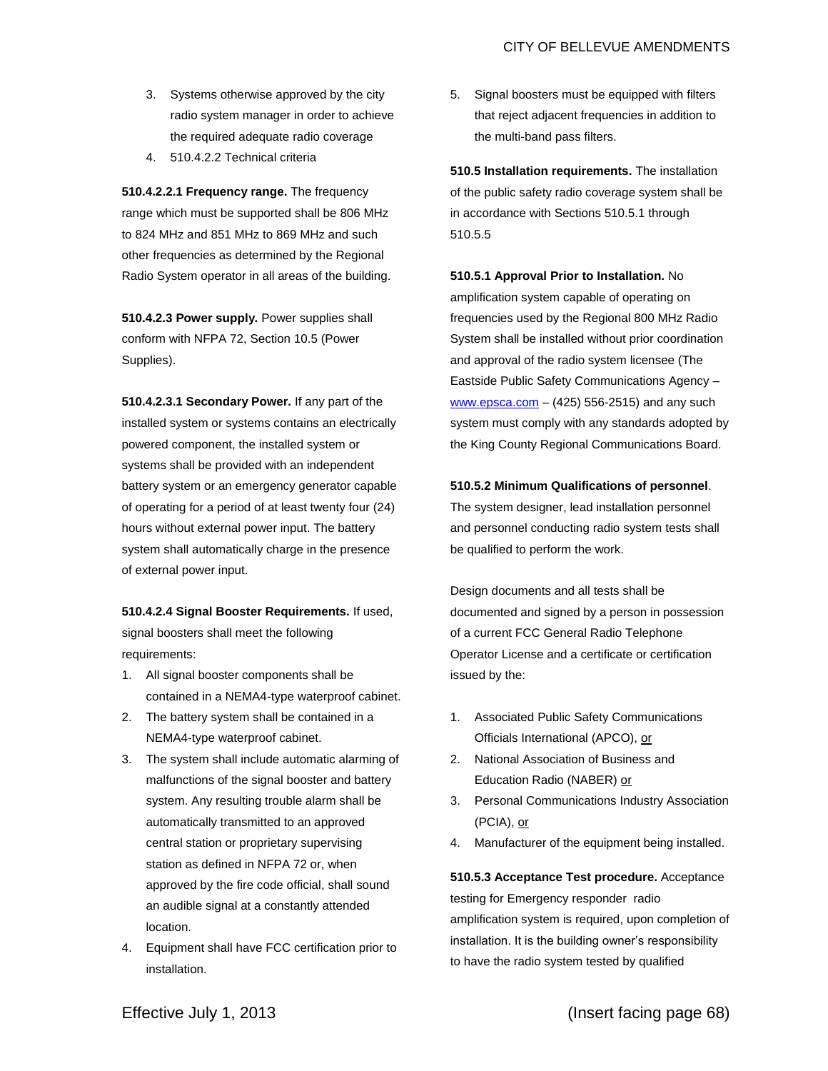- 3. Systems otherwise approved by the city radio system manager in order to achieve the required adequate radio coverage
- 4. 510.4.2.2 Technical criteria

**510.4.2.2.1 Frequency range.** The frequency range which must be supported shall be 806 MHz to 824 MHz and 851 MHz to 869 MHz and such other frequencies as determined by the Regional Radio System operator in all areas of the building.

**510.4.2.3 Power supply.** Power supplies shall conform with NFPA 72, Section 10.5 (Power Supplies).

**510.4.2.3.1 Secondary Power.** If any part of the installed system or systems contains an electrically powered component, the installed system or systems shall be provided with an independent battery system or an emergency generator capable of operating for a period of at least twenty four (24) hours without external power input. The battery system shall automatically charge in the presence of external power input.

**510.4.2.4 Signal Booster Requirements.** If used, signal boosters shall meet the following requirements:

- 1. All signal booster components shall be contained in a NEMA4-type waterproof cabinet.
- 2. The battery system shall be contained in a NEMA4-type waterproof cabinet.
- 3. The system shall include automatic alarming of malfunctions of the signal booster and battery system. Any resulting trouble alarm shall be automatically transmitted to an approved central station or proprietary supervising station as defined in NFPA 72 or, when approved by the fire code official, shall sound an audible signal at a constantly attended location.
- 4. Equipment shall have FCC certification prior to installation.

5. Signal boosters must be equipped with filters that reject adjacent frequencies in addition to the multi-band pass filters.

**510.5 Installation requirements.** The installation of the public safety radio coverage system shall be in accordance with Sections 510.5.1 through 510.5.5

**510.5.1 Approval Prior to Installation.** No amplification system capable of operating on frequencies used by the Regional 800 MHz Radio System shall be installed without prior coordination and approval of the radio system licensee (The Eastside Public Safety Communications Agency –  $www.epsca.com - (425) 556-2515)$  $www.epsca.com - (425) 556-2515)$  and any such system must comply with any standards adopted by the King County Regional Communications Board.

### **510.5.2 Minimum Qualifications of personnel**.

The system designer, lead installation personnel and personnel conducting radio system tests shall be qualified to perform the work.

Design documents and all tests shall be documented and signed by a person in possession of a current FCC General Radio Telephone Operator License and a certificate or certification issued by the:

- 1. Associated Public Safety Communications Officials International (APCO), or
- 2. National Association of Business and Education Radio (NABER) or
- 3. Personal Communications Industry Association (PCIA), or
- 4. Manufacturer of the equipment being installed.

**510.5.3 Acceptance Test procedure.** Acceptance testing for Emergency responder radio amplification system is required, upon completion of installation. It is the building owner's responsibility to have the radio system tested by qualified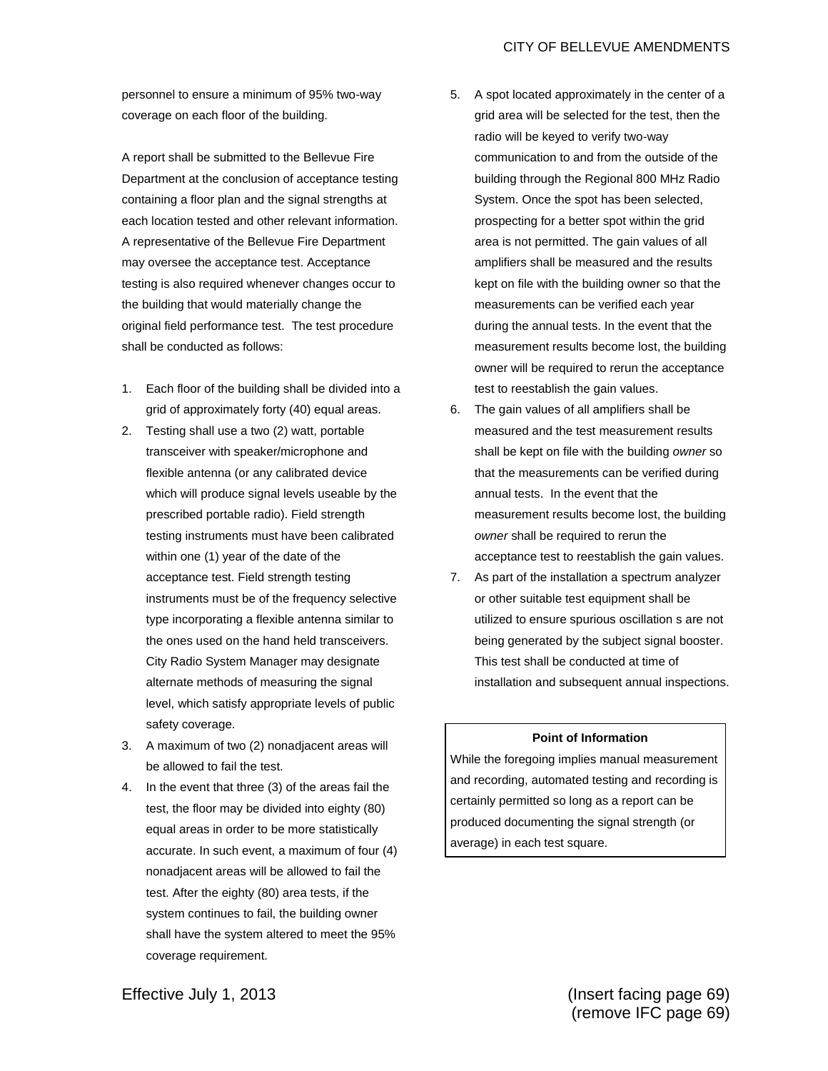personnel to ensure a minimum of 95% two-way coverage on each floor of the building.

A report shall be submitted to the Bellevue Fire Department at the conclusion of acceptance testing containing a floor plan and the signal strengths at each location tested and other relevant information. A representative of the Bellevue Fire Department may oversee the acceptance test. Acceptance testing is also required whenever changes occur to the building that would materially change the original field performance test. The test procedure shall be conducted as follows:

- 1. Each floor of the building shall be divided into a grid of approximately forty (40) equal areas.
- 2. Testing shall use a two (2) watt, portable transceiver with speaker/microphone and flexible antenna (or any calibrated device which will produce signal levels useable by the prescribed portable radio). Field strength testing instruments must have been calibrated within one (1) year of the date of the acceptance test. Field strength testing instruments must be of the frequency selective type incorporating a flexible antenna similar to the ones used on the hand held transceivers. City Radio System Manager may designate alternate methods of measuring the signal level, which satisfy appropriate levels of public safety coverage.
- 3. A maximum of two (2) nonadjacent areas will be allowed to fail the test.
- 4. In the event that three (3) of the areas fail the test, the floor may be divided into eighty (80) equal areas in order to be more statistically accurate. In such event, a maximum of four (4) nonadjacent areas will be allowed to fail the test. After the eighty (80) area tests, if the system continues to fail, the building owner shall have the system altered to meet the 95% coverage requirement.
- 5. A spot located approximately in the center of a grid area will be selected for the test, then the radio will be keyed to verify two-way communication to and from the outside of the building through the Regional 800 MHz Radio System. Once the spot has been selected, prospecting for a better spot within the grid area is not permitted. The gain values of all amplifiers shall be measured and the results kept on file with the building owner so that the measurements can be verified each year during the annual tests. In the event that the measurement results become lost, the building owner will be required to rerun the acceptance test to reestablish the gain values.
- 6. The gain values of all amplifiers shall be measured and the test measurement results shall be kept on file with the building *owner* so that the measurements can be verified during annual tests. In the event that the measurement results become lost, the building *owner* shall be required to rerun the acceptance test to reestablish the gain values.
- 7. As part of the installation a spectrum analyzer or other suitable test equipment shall be utilized to ensure spurious oscillation s are not being generated by the subject signal booster. This test shall be conducted at time of installation and subsequent annual inspections.

#### **Point of Information**

While the foregoing implies manual measurement and recording, automated testing and recording is certainly permitted so long as a report can be produced documenting the signal strength (or average) in each test square.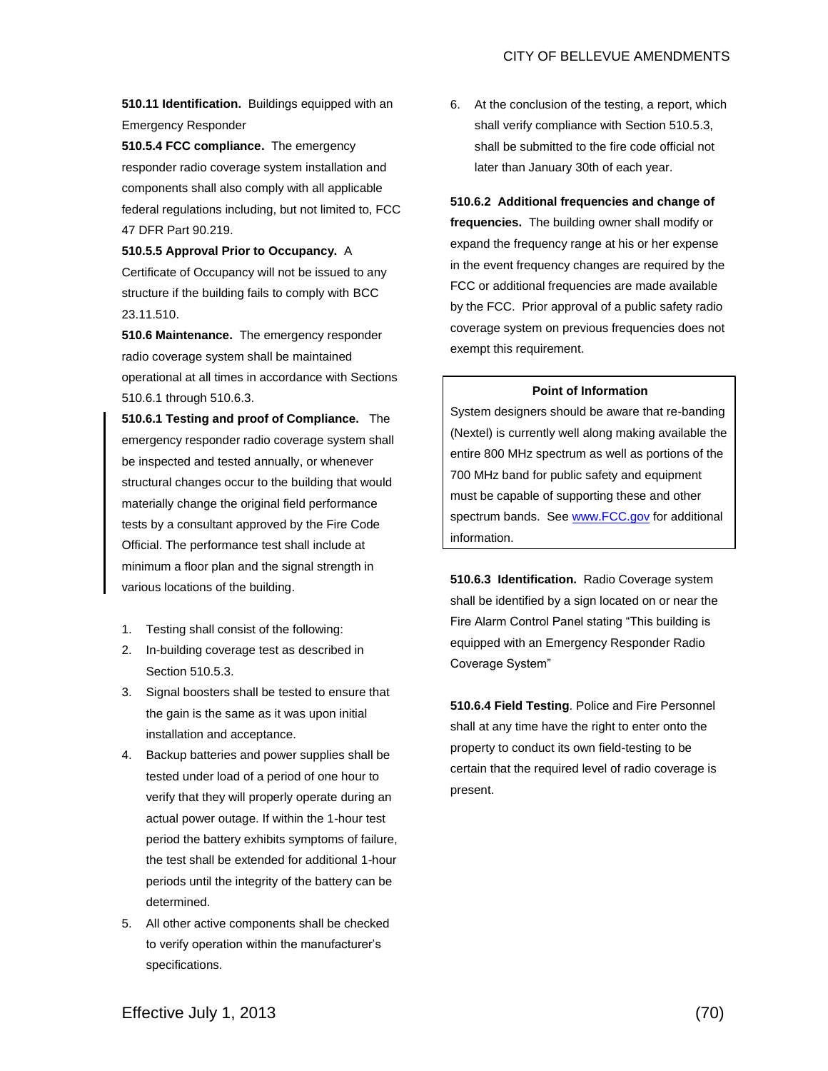**510.11 Identification.** Buildings equipped with an Emergency Responder

**510.5.4 FCC compliance.** The emergency responder radio coverage system installation and components shall also comply with all applicable federal regulations including, but not limited to, FCC 47 DFR Part 90.219.

**510.5.5 Approval Prior to Occupancy.** A Certificate of Occupancy will not be issued to any structure if the building fails to comply with BCC 23.11.510.

**510.6 Maintenance.** The emergency responder radio coverage system shall be maintained operational at all times in accordance with Sections 510.6.1 through 510.6.3.

**510.6.1 Testing and proof of Compliance.** The emergency responder radio coverage system shall be inspected and tested annually, or whenever structural changes occur to the building that would materially change the original field performance tests by a consultant approved by the Fire Code Official. The performance test shall include at minimum a floor plan and the signal strength in various locations of the building.

- 1. Testing shall consist of the following:
- 2. In-building coverage test as described in Section 510.5.3.
- 3. Signal boosters shall be tested to ensure that the gain is the same as it was upon initial installation and acceptance.
- 4. Backup batteries and power supplies shall be tested under load of a period of one hour to verify that they will properly operate during an actual power outage. If within the 1-hour test period the battery exhibits symptoms of failure, the test shall be extended for additional 1-hour periods until the integrity of the battery can be determined.
- 5. All other active components shall be checked to verify operation within the manufacturer's specifications.

6. At the conclusion of the testing, a report, which shall verify compliance with Section 510.5.3, shall be submitted to the fire code official not later than January 30th of each year.

**510.6.2 Additional frequencies and change of frequencies.** The building owner shall modify or expand the frequency range at his or her expense in the event frequency changes are required by the FCC or additional frequencies are made available by the FCC. Prior approval of a public safety radio coverage system on previous frequencies does not exempt this requirement.

# **Point of Information**

System designers should be aware that re-banding (Nextel) is currently well along making available the entire 800 MHz spectrum as well as portions of the 700 MHz band for public safety and equipment must be capable of supporting these and other spectrum bands. See [www.FCC.gov](http://www.fcc.gov/) for additional information.

**510.6.3 Identification.** Radio Coverage system shall be identified by a sign located on or near the Fire Alarm Control Panel stating "This building is equipped with an Emergency Responder Radio Coverage System"

**510.6.4 Field Testing**. Police and Fire Personnel shall at any time have the right to enter onto the property to conduct its own field-testing to be certain that the required level of radio coverage is present.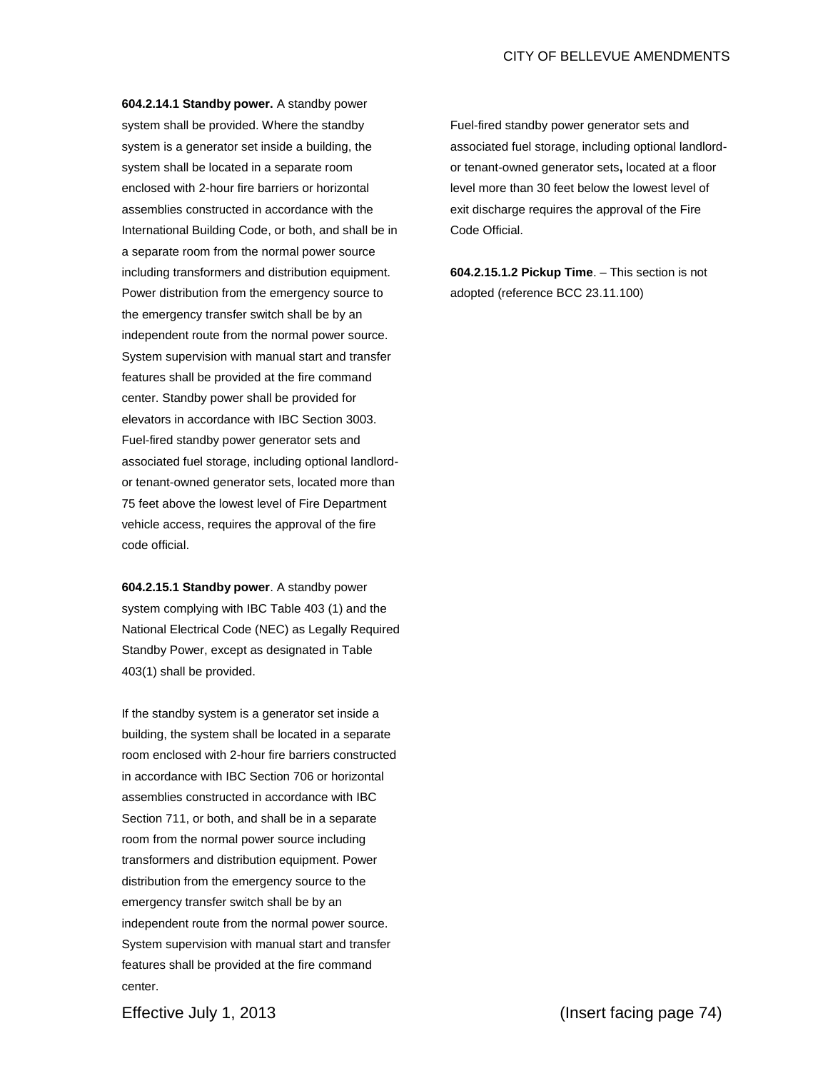**604.2.14.1 Standby power.** A standby power system shall be provided. Where the standby system is a generator set inside a building, the system shall be located in a separate room enclosed with 2-hour fire barriers or horizontal assemblies constructed in accordance with the International Building Code, or both, and shall be in a separate room from the normal power source including transformers and distribution equipment. Power distribution from the emergency source to the emergency transfer switch shall be by an independent route from the normal power source. System supervision with manual start and transfer features shall be provided at the fire command center. Standby power shall be provided for elevators in accordance with IBC Section 3003. Fuel-fired standby power generator sets and associated fuel storage, including optional landlordor tenant-owned generator sets, located more than 75 feet above the lowest level of Fire Department vehicle access, requires the approval of the fire code official.

**604.2.15.1 Standby power**. A standby power system complying with IBC Table 403 (1) and the National Electrical Code (NEC) as Legally Required Standby Power, except as designated in Table 403(1) shall be provided.

If the standby system is a generator set inside a building, the system shall be located in a separate room enclosed with 2-hour fire barriers constructed in accordance with IBC Section 706 or horizontal assemblies constructed in accordance with IBC Section 711, or both, and shall be in a separate room from the normal power source including transformers and distribution equipment. Power distribution from the emergency source to the emergency transfer switch shall be by an independent route from the normal power source. System supervision with manual start and transfer features shall be provided at the fire command center.

Fuel-fired standby power generator sets and associated fuel storage, including optional landlordor tenant-owned generator sets**,** located at a floor level more than 30 feet below the lowest level of exit discharge requires the approval of the Fire Code Official.

**604.2.15.1.2 Pickup Time**. – This section is not adopted (reference BCC 23.11.100)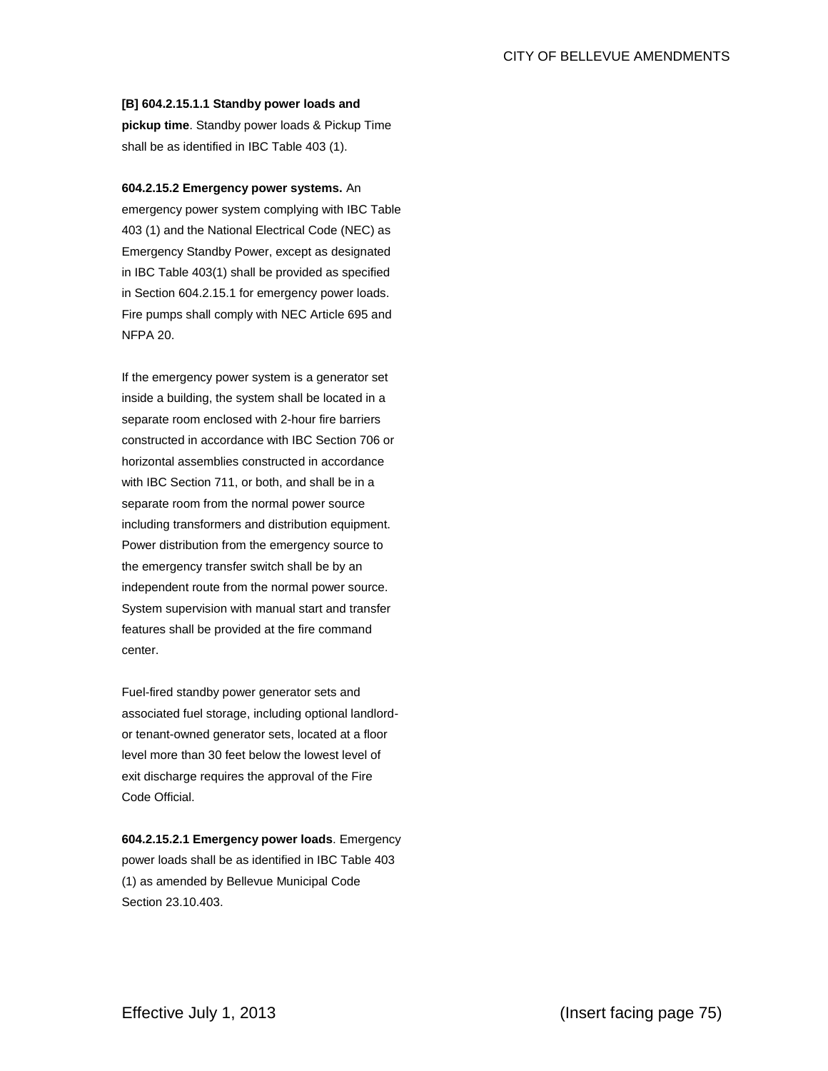### **[B] 604.2.15.1.1 Standby power loads and**

**pickup time**. Standby power loads & Pickup Time shall be as identified in IBC Table 403 (1).

# **604.2.15.2 Emergency power systems.** An

emergency power system complying with IBC Table 403 (1) and the National Electrical Code (NEC) as Emergency Standby Power, except as designated in IBC Table 403(1) shall be provided as specified in Section 604.2.15.1 for emergency power loads. Fire pumps shall comply with NEC Article 695 and NFPA 20.

If the emergency power system is a generator set inside a building, the system shall be located in a separate room enclosed with 2-hour fire barriers constructed in accordance with IBC Section 706 or horizontal assemblies constructed in accordance with IBC Section 711, or both, and shall be in a separate room from the normal power source including transformers and distribution equipment. Power distribution from the emergency source to the emergency transfer switch shall be by an independent route from the normal power source. System supervision with manual start and transfer features shall be provided at the fire command center.

Fuel-fired standby power generator sets and associated fuel storage, including optional landlordor tenant-owned generator sets, located at a floor level more than 30 feet below the lowest level of exit discharge requires the approval of the Fire Code Official.

**604.2.15.2.1 Emergency power loads**. Emergency power loads shall be as identified in IBC Table 403 (1) as amended by Bellevue Municipal Code Section 23.10.403.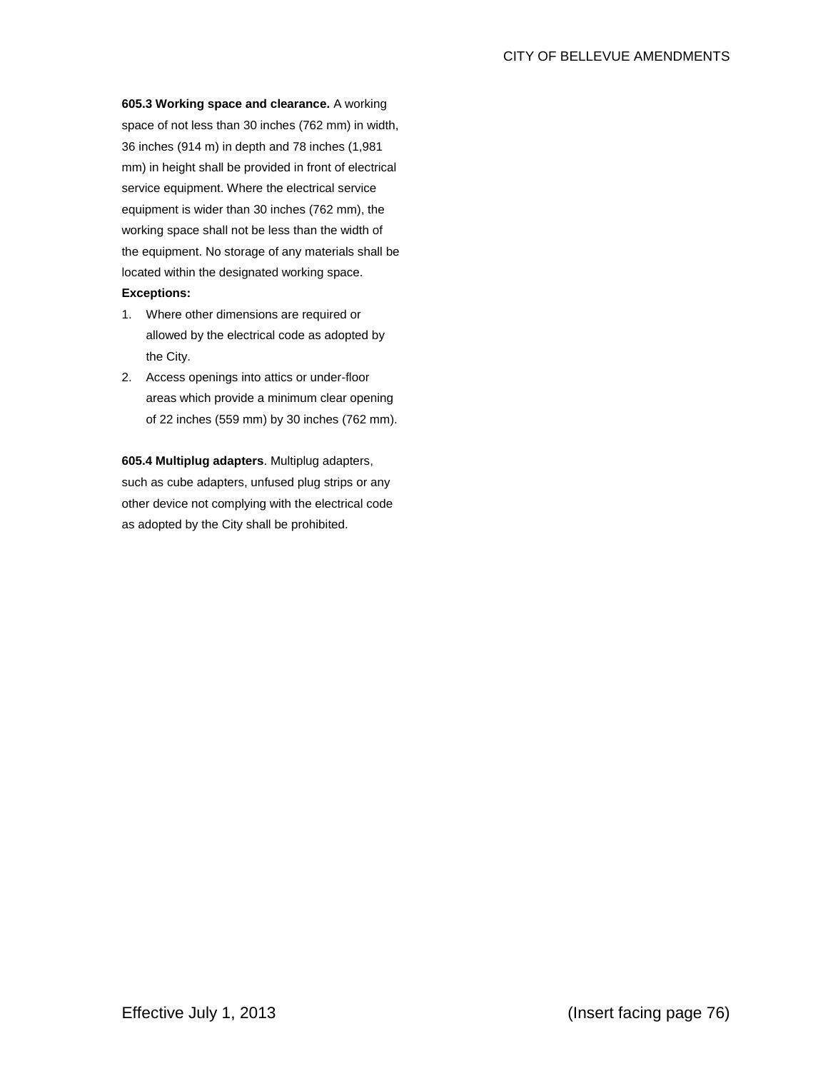**605.3 Working space and clearance.** A working space of not less than 30 inches (762 mm) in width, 36 inches (914 m) in depth and 78 inches (1,981 mm) in height shall be provided in front of electrical service equipment. Where the electrical service equipment is wider than 30 inches (762 mm), the working space shall not be less than the width of the equipment. No storage of any materials shall be located within the designated working space. **Exceptions:**

- 1. Where other dimensions are required or allowed by the electrical code as adopted by the City.
- 2. Access openings into attics or under-floor areas which provide a minimum clear opening of 22 inches (559 mm) by 30 inches (762 mm).

**605.4 Multiplug adapters**. Multiplug adapters, such as cube adapters, unfused plug strips or any other device not complying with the electrical code as adopted by the City shall be prohibited.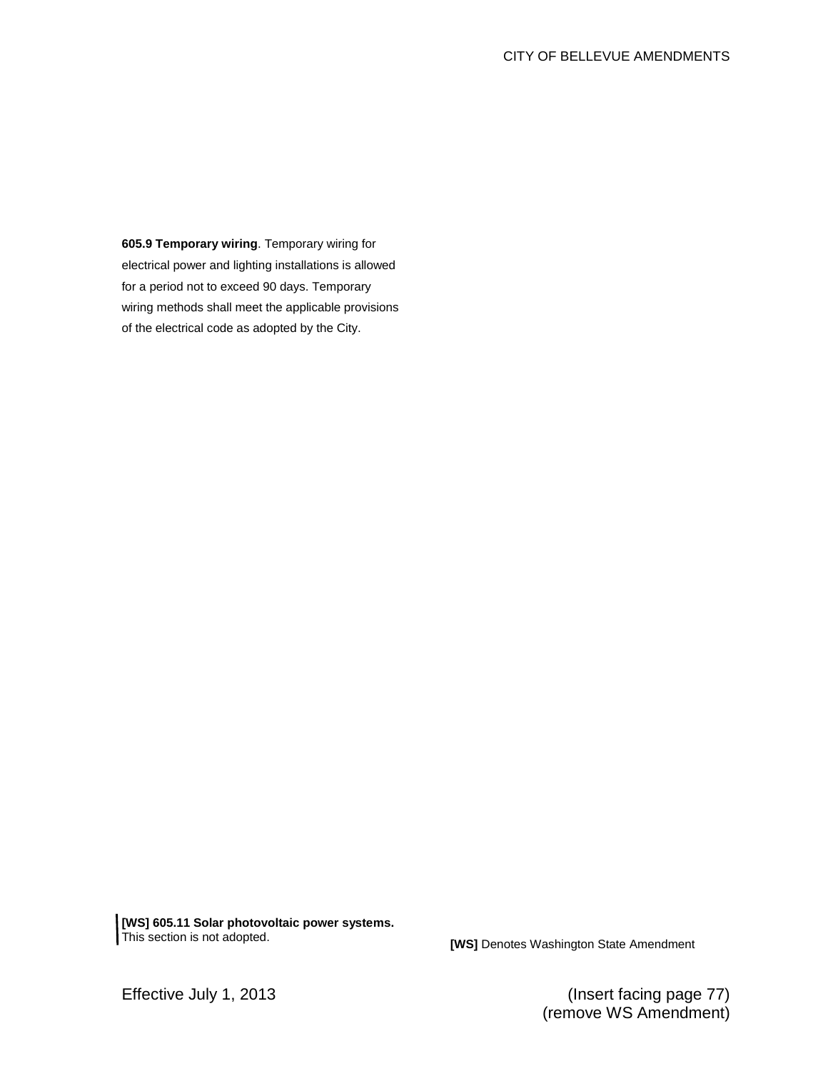**605.9 Temporary wiring**. Temporary wiring for electrical power and lighting installations is allowed for a period not to exceed 90 days. Temporary wiring methods shall meet the applicable provisions of the electrical code as adopted by the City.

**[WS] 605.11 Solar photovoltaic power systems.** 

**[WS]** Denotes Washington State Amendment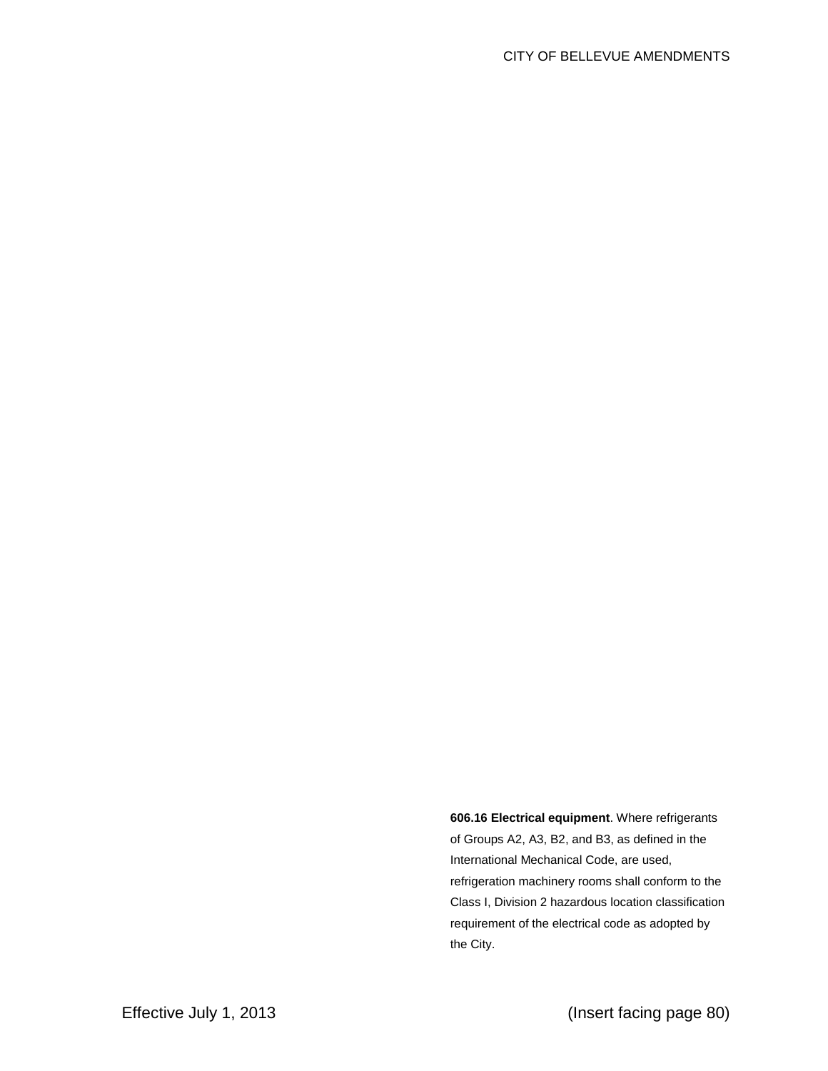**606.16 Electrical equipment**. Where refrigerants of Groups A2, A3, B2, and B3, as defined in the International Mechanical Code, are used, refrigeration machinery rooms shall conform to the Class I, Division 2 hazardous location classification requirement of the electrical code as adopted by the City.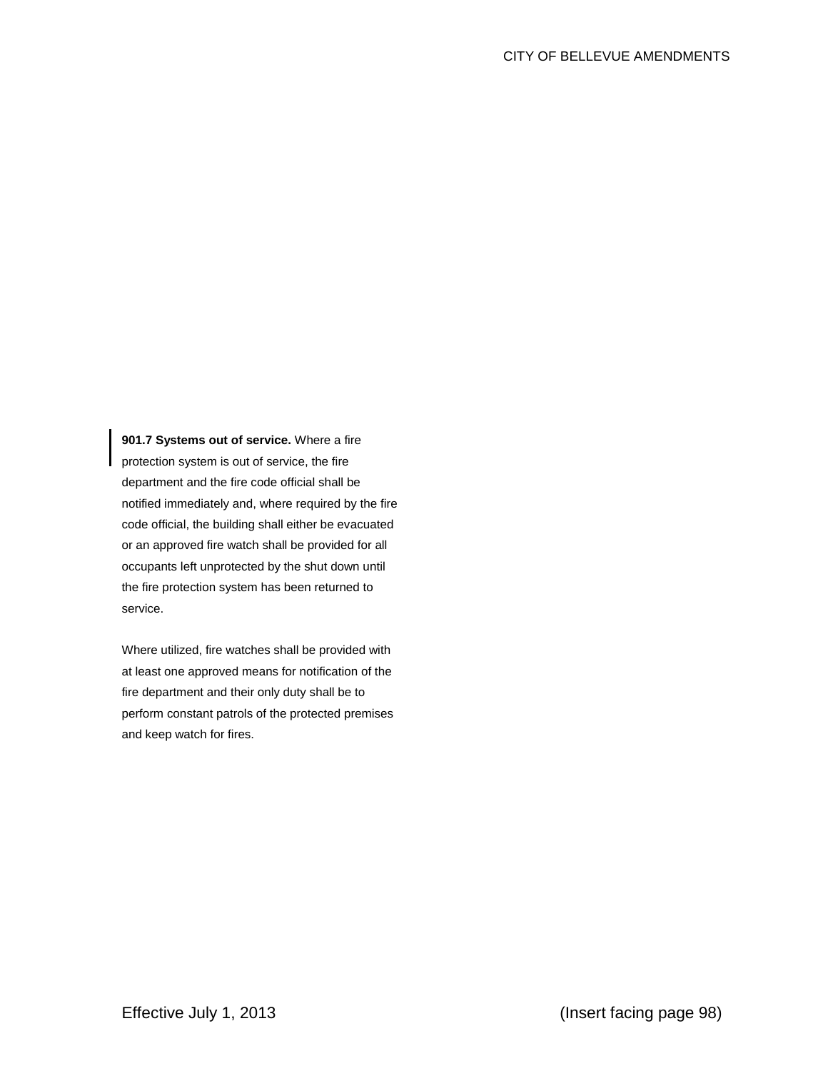**901.7 Systems out of service.** Where a fire protection system is out of service, the fire department and the fire code official shall be notified immediately and, where required by the fire code official, the building shall either be evacuated or an approved fire watch shall be provided for all occupants left unprotected by the shut down until the fire protection system has been returned to service.

Where utilized, fire watches shall be provided with at least one approved means for notification of the fire department and their only duty shall be to perform constant patrols of the protected premises and keep watch for fires.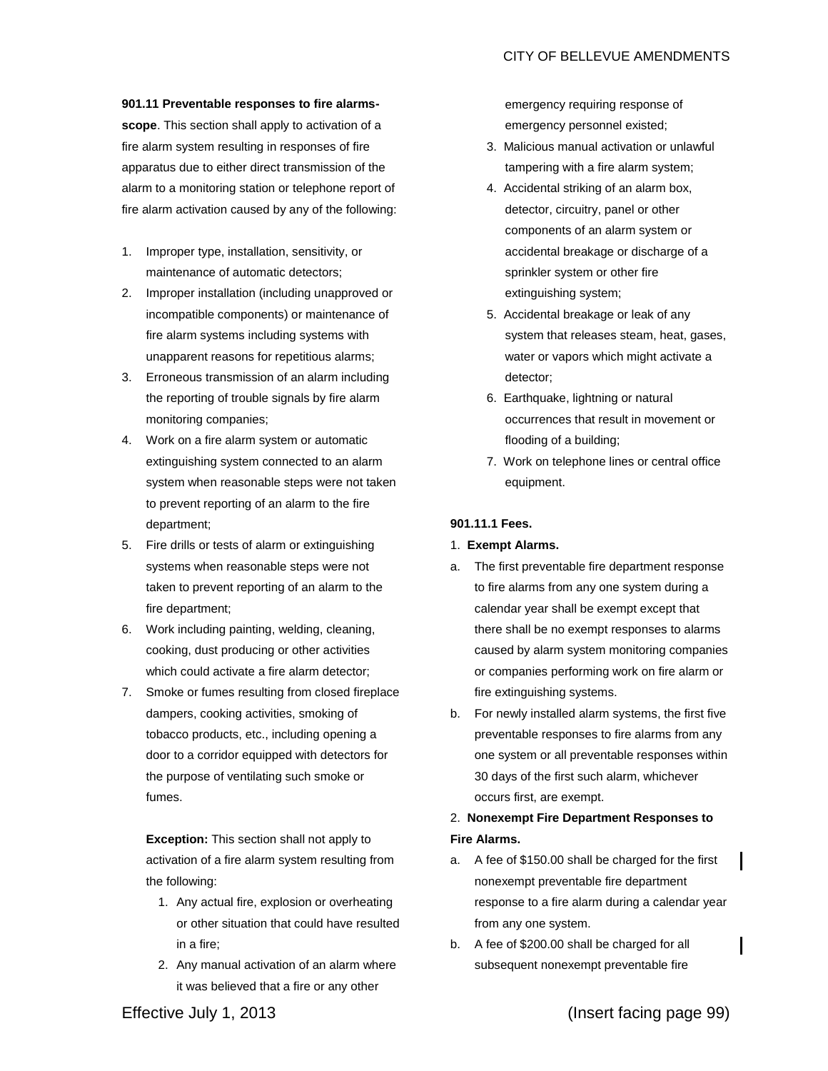# **901.11 Preventable responses to fire alarms-**

**scope**. This section shall apply to activation of a fire alarm system resulting in responses of fire apparatus due to either direct transmission of the alarm to a monitoring station or telephone report of fire alarm activation caused by any of the following:

- 1. Improper type, installation, sensitivity, or maintenance of automatic detectors;
- 2. Improper installation (including unapproved or incompatible components) or maintenance of fire alarm systems including systems with unapparent reasons for repetitious alarms;
- 3. Erroneous transmission of an alarm including the reporting of trouble signals by fire alarm monitoring companies;
- 4. Work on a fire alarm system or automatic extinguishing system connected to an alarm system when reasonable steps were not taken to prevent reporting of an alarm to the fire department;
- 5. Fire drills or tests of alarm or extinguishing systems when reasonable steps were not taken to prevent reporting of an alarm to the fire department;
- 6. Work including painting, welding, cleaning, cooking, dust producing or other activities which could activate a fire alarm detector;
- 7. Smoke or fumes resulting from closed fireplace dampers, cooking activities, smoking of tobacco products, etc., including opening a door to a corridor equipped with detectors for the purpose of ventilating such smoke or fumes.

**Exception:** This section shall not apply to activation of a fire alarm system resulting from the following:

- 1. Any actual fire, explosion or overheating or other situation that could have resulted in a fire;
- 2. Any manual activation of an alarm where it was believed that a fire or any other

emergency requiring response of emergency personnel existed;

- 3. Malicious manual activation or unlawful tampering with a fire alarm system;
- 4. Accidental striking of an alarm box, detector, circuitry, panel or other components of an alarm system or accidental breakage or discharge of a sprinkler system or other fire extinguishing system;
- 5. Accidental breakage or leak of any system that releases steam, heat, gases, water or vapors which might activate a detector;
- 6. Earthquake, lightning or natural occurrences that result in movement or flooding of a building;
- 7. Work on telephone lines or central office equipment.

## **901.11.1 Fees.**

- 1. **Exempt Alarms.**
- a. The first preventable fire department response to fire alarms from any one system during a calendar year shall be exempt except that there shall be no exempt responses to alarms caused by alarm system monitoring companies or companies performing work on fire alarm or fire extinguishing systems.
- b. For newly installed alarm systems, the first five preventable responses to fire alarms from any one system or all preventable responses within 30 days of the first such alarm, whichever occurs first, are exempt.

# 2. **Nonexempt Fire Department Responses to Fire Alarms.**

- a. A fee of \$150.00 shall be charged for the first nonexempt preventable fire department response to a fire alarm during a calendar year from any one system.
- b. A fee of \$200.00 shall be charged for all subsequent nonexempt preventable fire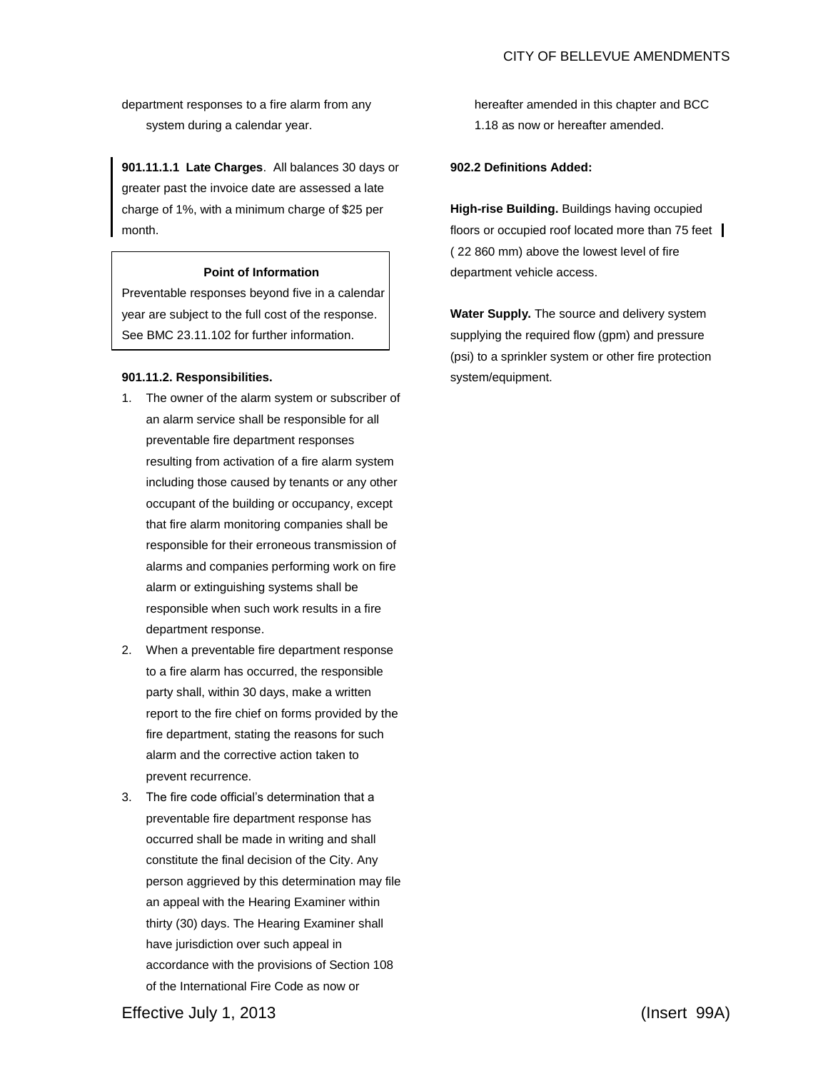department responses to a fire alarm from any system during a calendar year.

**901.11.1.1 Late Charges**. All balances 30 days or greater past the invoice date are assessed a late charge of 1%, with a minimum charge of \$25 per month.

## **Point of Information**

Preventable responses beyond five in a calendar year are subject to the full cost of the response. See BMC 23.11.102 for further information.

## **901.11.2. Responsibilities.**

- 1. The owner of the alarm system or subscriber of an alarm service shall be responsible for all preventable fire department responses resulting from activation of a fire alarm system including those caused by tenants or any other occupant of the building or occupancy, except that fire alarm monitoring companies shall be responsible for their erroneous transmission of alarms and companies performing work on fire alarm or extinguishing systems shall be responsible when such work results in a fire department response.
- 2. When a preventable fire department response to a fire alarm has occurred, the responsible party shall, within 30 days, make a written report to the fire chief on forms provided by the fire department, stating the reasons for such alarm and the corrective action taken to prevent recurrence.
- 3. The fire code official's determination that a preventable fire department response has occurred shall be made in writing and shall constitute the final decision of the City. Any person aggrieved by this determination may file an appeal with the Hearing Examiner within thirty (30) days. The Hearing Examiner shall have jurisdiction over such appeal in accordance with the provisions of Section 108 of the International Fire Code as now or

hereafter amended in this chapter and BCC 1.18 as now or hereafter amended.

## **902.2 Definitions Added:**

**High-rise Building.** Buildings having occupied floors or occupied roof located more than 75 feet ( 22 860 mm) above the lowest level of fire department vehicle access.

**Water Supply.** The source and delivery system supplying the required flow (gpm) and pressure (psi) to a sprinkler system or other fire protection system/equipment.

Effective July 1, 2013 (Insert 99A)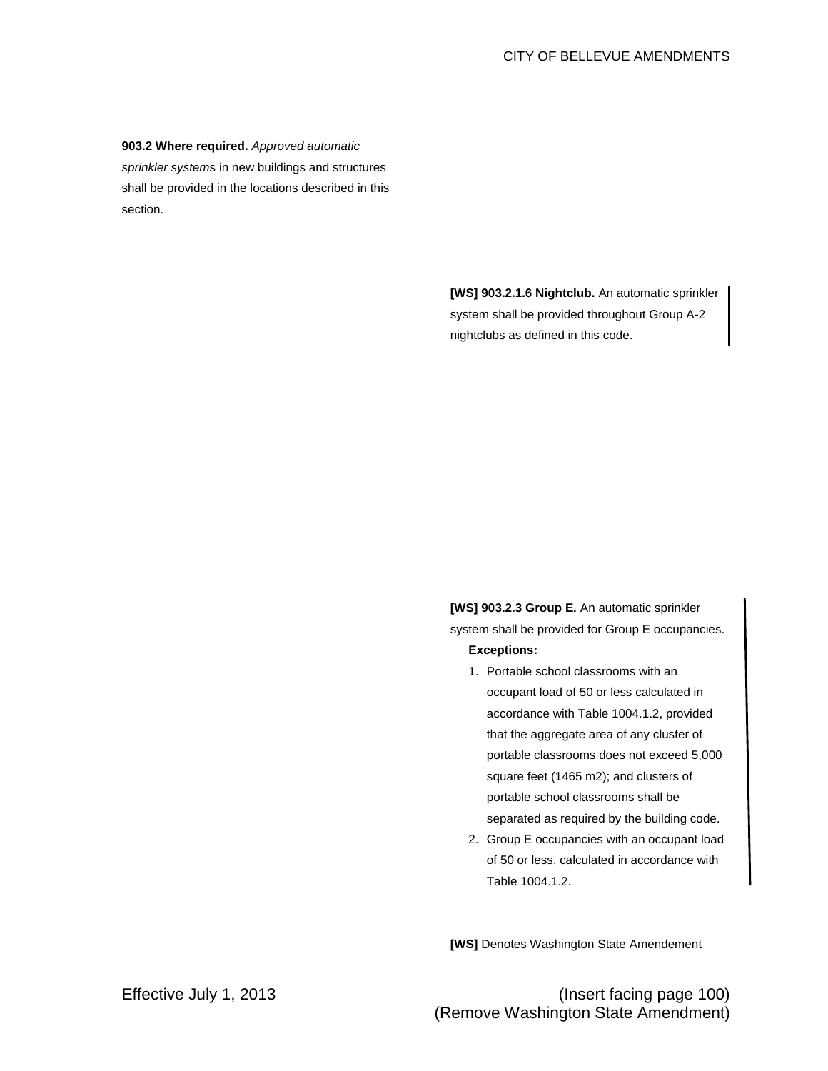## **903.2 Where required.** *Approved automatic*

*sprinkler system*s in new buildings and structures shall be provided in the locations described in this section.

> **[WS] 903.2.1.6 Nightclub.** An automatic sprinkler system shall be provided throughout Group A-2 nightclubs as defined in this code.

**[WS] 903.2.3 Group E.** An automatic sprinkler system shall be provided for Group E occupancies. **Exceptions:** 

- 1. Portable school classrooms with an occupant load of 50 or less calculated in accordance with Table 1004.1.2, provided that the aggregate area of any cluster of portable classrooms does not exceed 5,000 square feet (1465 m2); and clusters of portable school classrooms shall be separated as required by the building code.
- 2. Group E occupancies with an occupant load of 50 or less, calculated in accordance with Table 1004.1.2.

**[WS]** Denotes Washington State Amendement

Effective July 1, 2013 (Insert facing page 100) (Remove Washington State Amendment)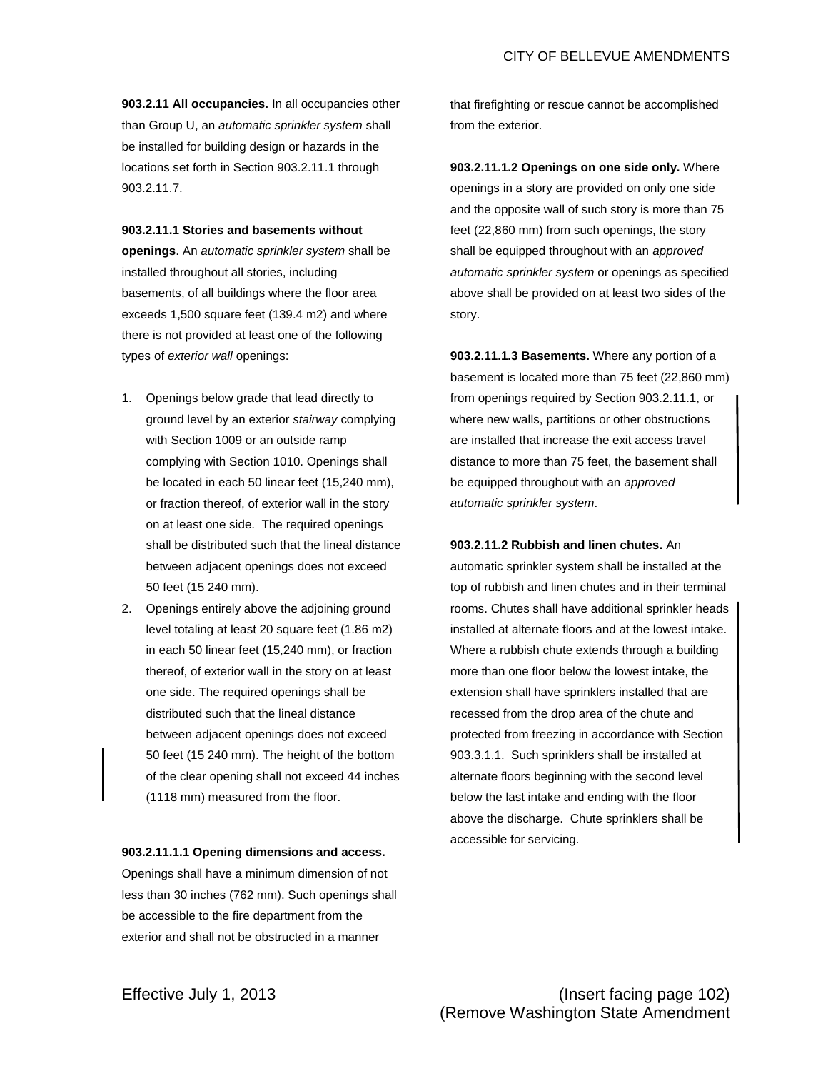**903.2.11 All occupancies.** In all occupancies other than Group U, an *automatic sprinkler system* shall be installed for building design or hazards in the locations set forth in Section 903.2.11.1 through 903.2.11.7.

## **903.2.11.1 Stories and basements without**

**openings**. An *automatic sprinkler system* shall be installed throughout all stories, including basements, of all buildings where the floor area exceeds 1,500 square feet (139.4 m2) and where there is not provided at least one of the following types of *exterior wall* openings:

- 1. Openings below grade that lead directly to ground level by an exterior *stairway* complying with Section 1009 or an outside ramp complying with Section 1010. Openings shall be located in each 50 linear feet (15,240 mm), or fraction thereof, of exterior wall in the story on at least one side. The required openings shall be distributed such that the lineal distance between adjacent openings does not exceed 50 feet (15 240 mm).
- 2. Openings entirely above the adjoining ground level totaling at least 20 square feet (1.86 m2) in each 50 linear feet (15,240 mm), or fraction thereof, of exterior wall in the story on at least one side. The required openings shall be distributed such that the lineal distance between adjacent openings does not exceed 50 feet (15 240 mm). The height of the bottom of the clear opening shall not exceed 44 inches (1118 mm) measured from the floor.

## **903.2.11.1.1 Opening dimensions and access.**

Openings shall have a minimum dimension of not less than 30 inches (762 mm). Such openings shall be accessible to the fire department from the exterior and shall not be obstructed in a manner

that firefighting or rescue cannot be accomplished from the exterior.

**903.2.11.1.2 Openings on one side only.** Where openings in a story are provided on only one side and the opposite wall of such story is more than 75 feet (22,860 mm) from such openings, the story shall be equipped throughout with an *approved automatic sprinkler system* or openings as specified above shall be provided on at least two sides of the story.

**903.2.11.1.3 Basements.** Where any portion of a basement is located more than 75 feet (22,860 mm) from openings required by Section 903.2.11.1, or where new walls, partitions or other obstructions are installed that increase the exit access travel distance to more than 75 feet, the basement shall be equipped throughout with an *approved automatic sprinkler system*.

## **903.2.11.2 Rubbish and linen chutes.** An

automatic sprinkler system shall be installed at the top of rubbish and linen chutes and in their terminal rooms. Chutes shall have additional sprinkler heads installed at alternate floors and at the lowest intake. Where a rubbish chute extends through a building more than one floor below the lowest intake, the extension shall have sprinklers installed that are recessed from the drop area of the chute and protected from freezing in accordance with Section 903.3.1.1. Such sprinklers shall be installed at alternate floors beginning with the second level below the last intake and ending with the floor above the discharge. Chute sprinklers shall be accessible for servicing.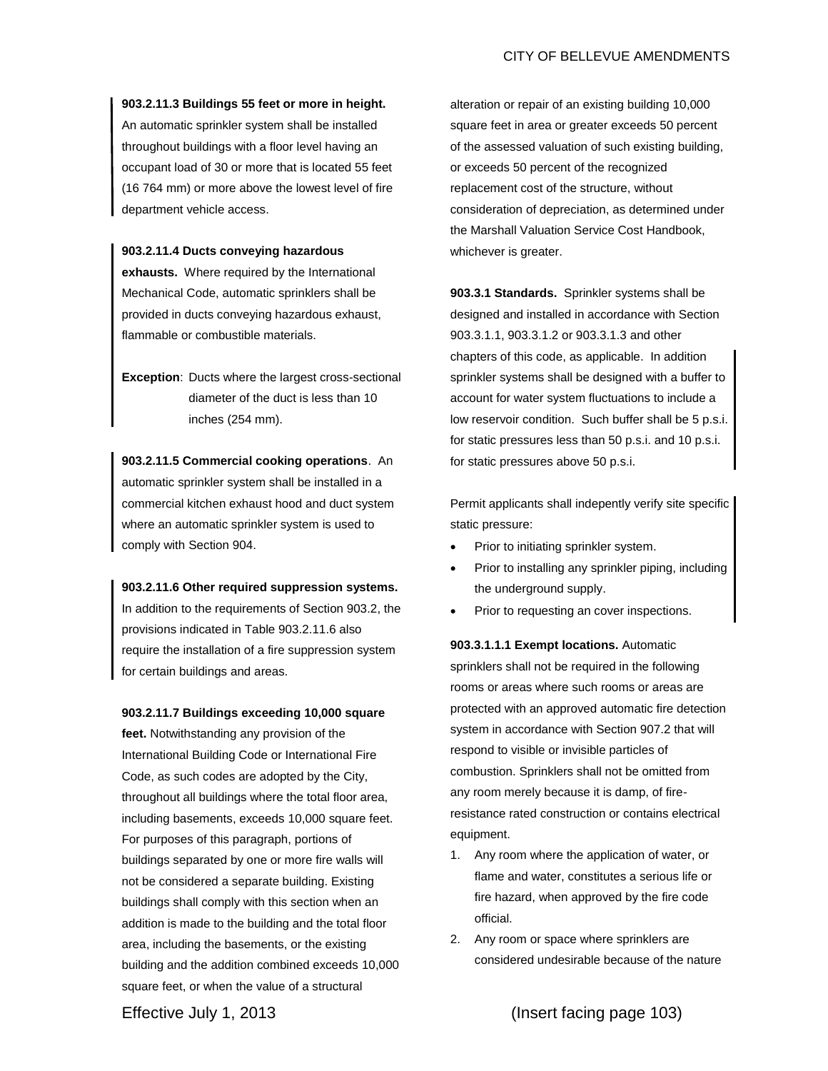## **903.2.11.3 Buildings 55 feet or more in height.**

An automatic sprinkler system shall be installed throughout buildings with a floor level having an occupant load of 30 or more that is located 55 feet (16 764 mm) or more above the lowest level of fire department vehicle access.

### **903.2.11.4 Ducts conveying hazardous**

**exhausts.** Where required by the International Mechanical Code, automatic sprinklers shall be provided in ducts conveying hazardous exhaust, flammable or combustible materials.

**Exception**: Ducts where the largest cross-sectional diameter of the duct is less than 10 inches (254 mm).

**903.2.11.5 Commercial cooking operations**. An automatic sprinkler system shall be installed in a commercial kitchen exhaust hood and duct system where an automatic sprinkler system is used to comply with Section 904.

**903.2.11.6 Other required suppression systems.**  In addition to the requirements of Section 903.2, the provisions indicated in Table 903.2.11.6 also require the installation of a fire suppression system for certain buildings and areas.

## **903.2.11.7 Buildings exceeding 10,000 square**

**feet.** Notwithstanding any provision of the International Building Code or International Fire Code, as such codes are adopted by the City, throughout all buildings where the total floor area, including basements, exceeds 10,000 square feet. For purposes of this paragraph, portions of buildings separated by one or more fire walls will not be considered a separate building. Existing buildings shall comply with this section when an addition is made to the building and the total floor area, including the basements, or the existing building and the addition combined exceeds 10,000 square feet, or when the value of a structural

alteration or repair of an existing building 10,000 square feet in area or greater exceeds 50 percent of the assessed valuation of such existing building, or exceeds 50 percent of the recognized replacement cost of the structure, without consideration of depreciation, as determined under the Marshall Valuation Service Cost Handbook, whichever is greater.

**903.3.1 Standards.** Sprinkler systems shall be designed and installed in accordance with Section 903.3.1.1, 903.3.1.2 or 903.3.1.3 and other chapters of this code, as applicable. In addition sprinkler systems shall be designed with a buffer to account for water system fluctuations to include a low reservoir condition. Such buffer shall be 5 p.s.i. for static pressures less than 50 p.s.i. and 10 p.s.i. for static pressures above 50 p.s.i.

Permit applicants shall indepently verify site specific static pressure:

- Prior to initiating sprinkler system.
- Prior to installing any sprinkler piping, including the underground supply.
- Prior to requesting an cover inspections.

**903.3.1.1.1 Exempt locations.** Automatic sprinklers shall not be required in the following rooms or areas where such rooms or areas are protected with an approved automatic fire detection system in accordance with Section 907.2 that will respond to visible or invisible particles of combustion. Sprinklers shall not be omitted from any room merely because it is damp, of fireresistance rated construction or contains electrical equipment.

- 1. Any room where the application of water, or flame and water, constitutes a serious life or fire hazard, when approved by the fire code official.
- 2. Any room or space where sprinklers are considered undesirable because of the nature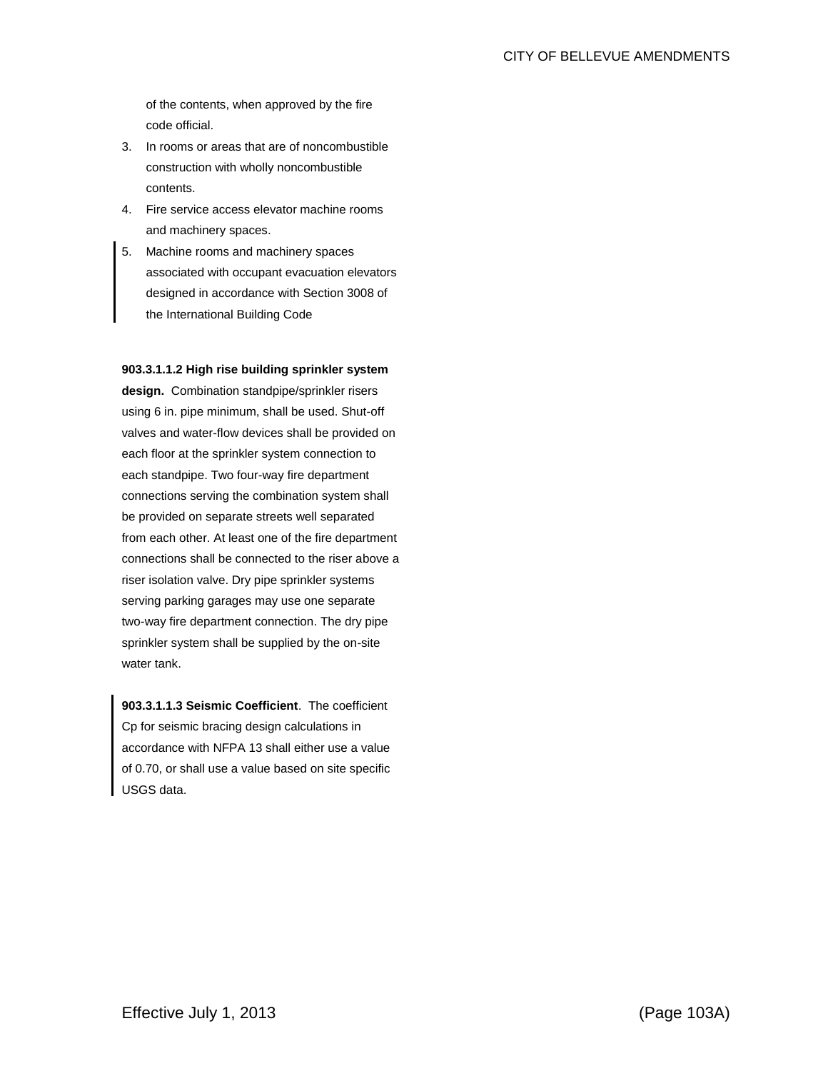of the contents, when approved by the fire code official.

- 3. In rooms or areas that are of noncombustible construction with wholly noncombustible contents.
- 4. Fire service access elevator machine rooms and machinery spaces.
- 5. Machine rooms and machinery spaces associated with occupant evacuation elevators designed in accordance with Section 3008 of the International Building Code

## **903.3.1.1.2 High rise building sprinkler system**

**design.** Combination standpipe/sprinkler risers using 6 in. pipe minimum, shall be used. Shut-off valves and water-flow devices shall be provided on each floor at the sprinkler system connection to each standpipe. Two four-way fire department connections serving the combination system shall be provided on separate streets well separated from each other. At least one of the fire department connections shall be connected to the riser above a riser isolation valve. Dry pipe sprinkler systems serving parking garages may use one separate two-way fire department connection. The dry pipe sprinkler system shall be supplied by the on-site water tank.

**903.3.1.1.3 Seismic Coefficient**. The coefficient Cp for seismic bracing design calculations in accordance with NFPA 13 shall either use a value of 0.70, or shall use a value based on site specific USGS data.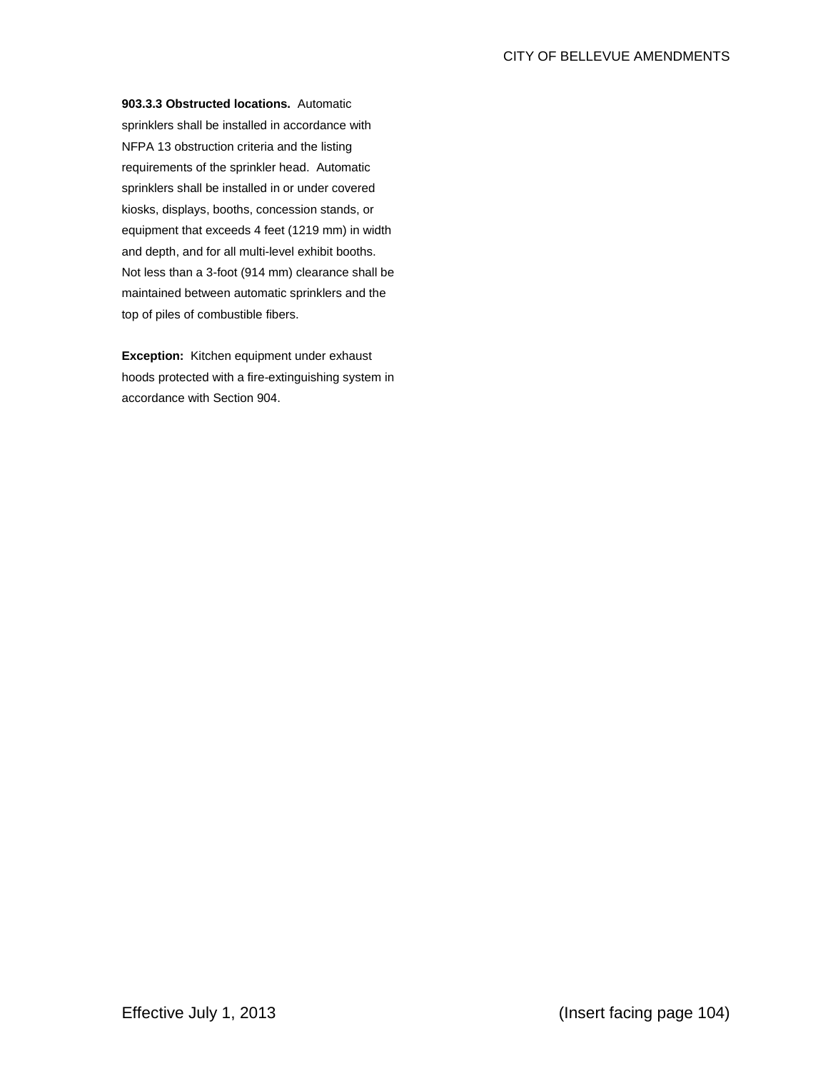**903.3.3 Obstructed locations.** Automatic sprinklers shall be installed in accordance with NFPA 13 obstruction criteria and the listing requirements of the sprinkler head. Automatic sprinklers shall be installed in or under covered kiosks, displays, booths, concession stands, or equipment that exceeds 4 feet (1219 mm) in width and depth, and for all multi-level exhibit booths. Not less than a 3-foot (914 mm) clearance shall be maintained between automatic sprinklers and the top of piles of combustible fibers.

**Exception:** Kitchen equipment under exhaust hoods protected with a fire-extinguishing system in accordance with Section 904.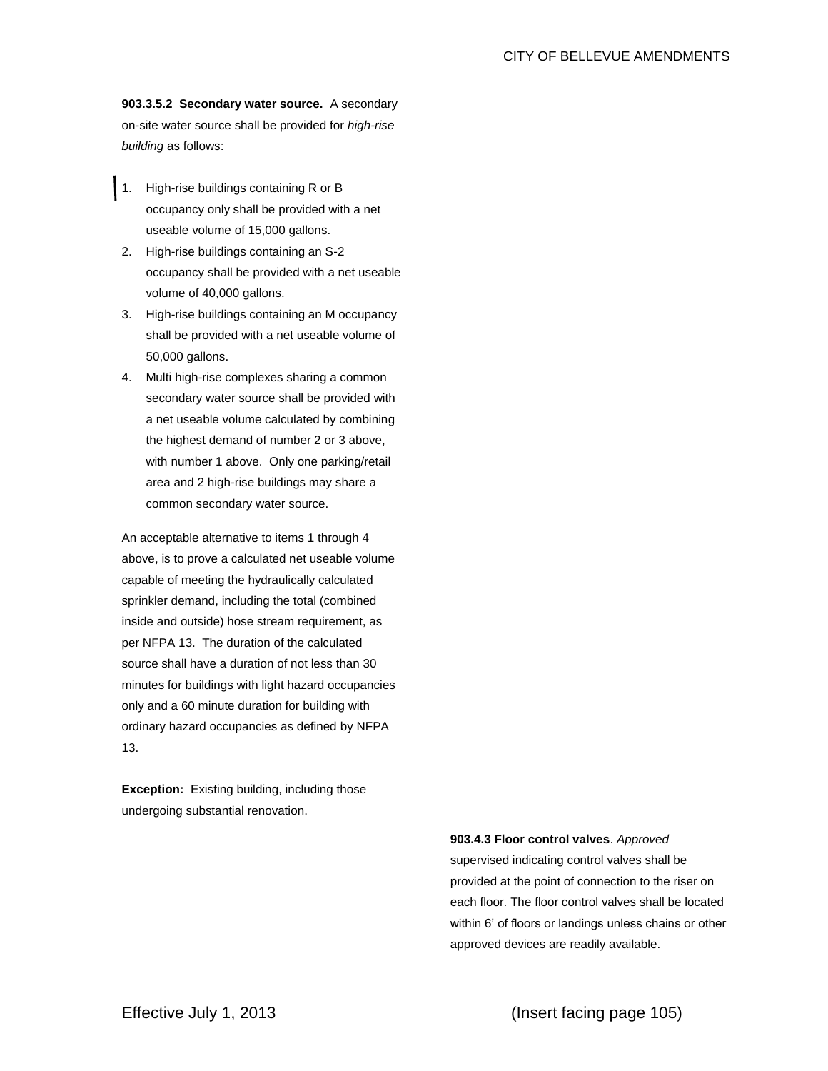**903.3.5.2 Secondary water source.** A secondary on-site water source shall be provided for *high-rise building* as follows:

- 1. High-rise buildings containing R or B occupancy only shall be provided with a net useable volume of 15,000 gallons.
- 2. High-rise buildings containing an S-2 occupancy shall be provided with a net useable volume of 40,000 gallons.
- 3. High-rise buildings containing an M occupancy shall be provided with a net useable volume of 50,000 gallons.
- 4. Multi high-rise complexes sharing a common secondary water source shall be provided with a net useable volume calculated by combining the highest demand of number 2 or 3 above, with number 1 above. Only one parking/retail area and 2 high-rise buildings may share a common secondary water source.

An acceptable alternative to items 1 through 4 above, is to prove a calculated net useable volume capable of meeting the hydraulically calculated sprinkler demand, including the total (combined inside and outside) hose stream requirement, as per NFPA 13. The duration of the calculated source shall have a duration of not less than 30 minutes for buildings with light hazard occupancies only and a 60 minute duration for building with ordinary hazard occupancies as defined by NFPA 13.

**Exception:** Existing building, including those undergoing substantial renovation.

**903.4.3 Floor control valves**. *Approved*

supervised indicating control valves shall be provided at the point of connection to the riser on each floor. The floor control valves shall be located within 6' of floors or landings unless chains or other approved devices are readily available.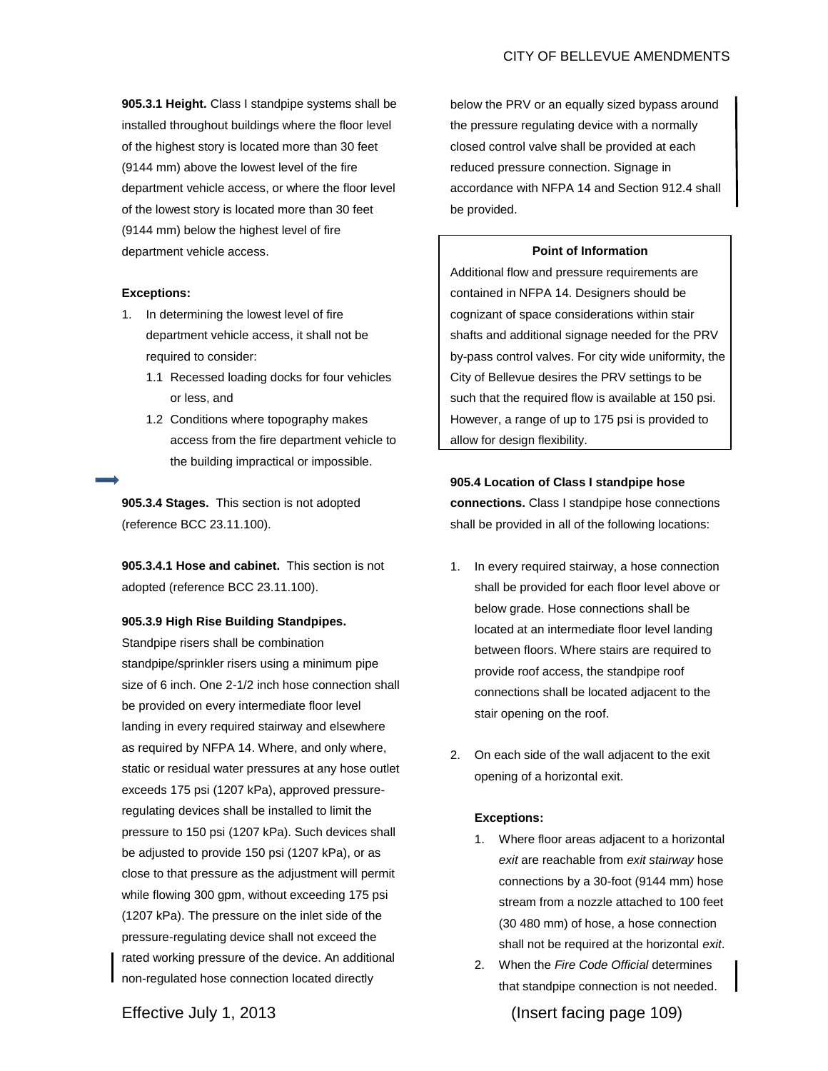**905.3.1 Height.** Class I standpipe systems shall be installed throughout buildings where the floor level of the highest story is located more than 30 feet (9144 mm) above the lowest level of the fire department vehicle access, or where the floor level of the lowest story is located more than 30 feet (9144 mm) below the highest level of fire department vehicle access.

## **Exceptions:**

- 1. In determining the lowest level of fire department vehicle access, it shall not be required to consider:
	- 1.1 Recessed loading docks for four vehicles or less, and
	- 1.2 Conditions where topography makes access from the fire department vehicle to the building impractical or impossible.

**905.3.4 Stages.** This section is not adopted (reference BCC 23.11.100).

**905.3.4.1 Hose and cabinet.** This section is not adopted (reference BCC 23.11.100).

### **905.3.9 High Rise Building Standpipes.**

Standpipe risers shall be combination standpipe/sprinkler risers using a minimum pipe size of 6 inch. One 2-1/2 inch hose connection shall be provided on every intermediate floor level landing in every required stairway and elsewhere as required by NFPA 14. Where, and only where, static or residual water pressures at any hose outlet exceeds 175 psi (1207 kPa), approved pressureregulating devices shall be installed to limit the pressure to 150 psi (1207 kPa). Such devices shall be adjusted to provide 150 psi (1207 kPa), or as close to that pressure as the adjustment will permit while flowing 300 gpm, without exceeding 175 psi (1207 kPa). The pressure on the inlet side of the pressure-regulating device shall not exceed the rated working pressure of the device. An additional non-regulated hose connection located directly

below the PRV or an equally sized bypass around the pressure regulating device with a normally closed control valve shall be provided at each reduced pressure connection. Signage in accordance with NFPA 14 and Section 912.4 shall be provided.

#### **Point of Information**

Additional flow and pressure requirements are contained in NFPA 14. Designers should be cognizant of space considerations within stair shafts and additional signage needed for the PRV by-pass control valves. For city wide uniformity, the City of Bellevue desires the PRV settings to be such that the required flow is available at 150 psi. However, a range of up to 175 psi is provided to allow for design flexibility.

# **905.4 Location of Class I standpipe hose**

**connections.** Class I standpipe hose connections shall be provided in all of the following locations:

- 1. In every required stairway, a hose connection shall be provided for each floor level above or below grade. Hose connections shall be located at an intermediate floor level landing between floors. Where stairs are required to provide roof access, the standpipe roof connections shall be located adjacent to the stair opening on the roof.
- 2. On each side of the wall adjacent to the exit opening of a horizontal exit.

## **Exceptions:**

- 1. Where floor areas adjacent to a horizontal *exit* are reachable from *exit stairway* hose connections by a 30-foot (9144 mm) hose stream from a nozzle attached to 100 feet (30 480 mm) of hose, a hose connection shall not be required at the horizontal *exit*.
- 2. When the *Fire Code Official* determines that standpipe connection is not needed.

Effective July 1, 2013 (Insert facing page 109)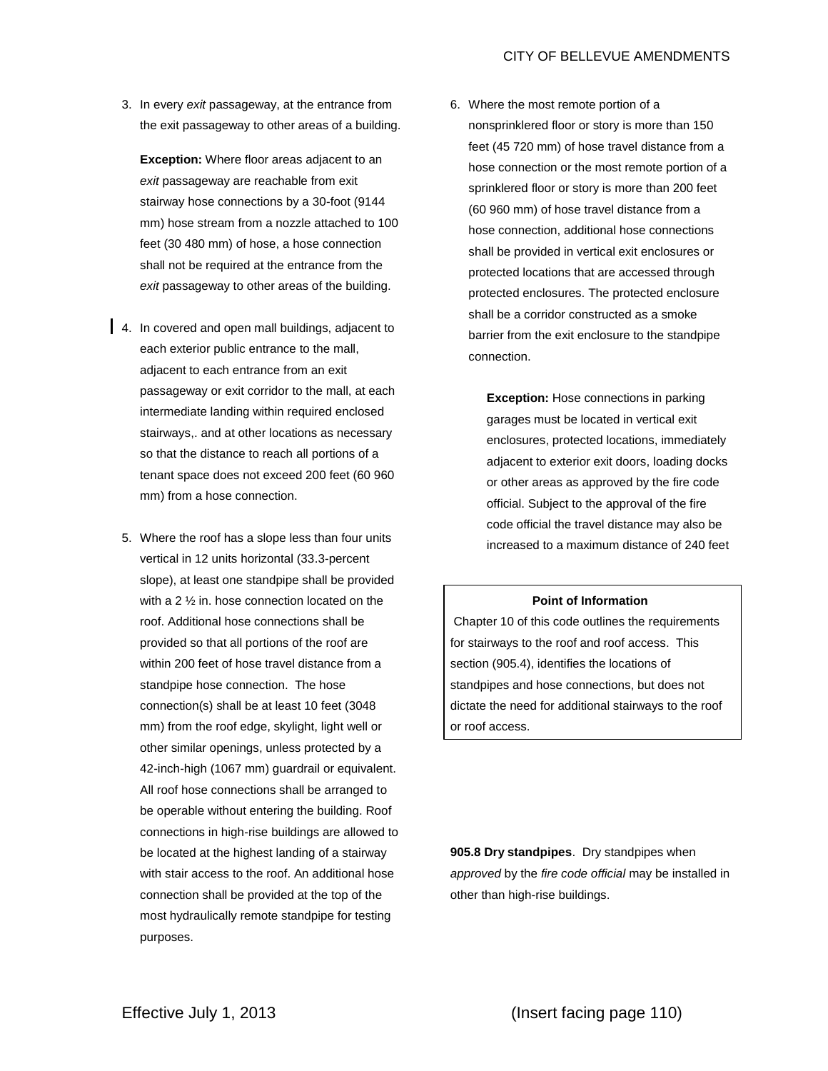3. In every *exit* passageway, at the entrance from the exit passageway to other areas of a building.

**Exception:** Where floor areas adjacent to an *exit* passageway are reachable from exit stairway hose connections by a 30-foot (9144 mm) hose stream from a nozzle attached to 100 feet (30 480 mm) of hose, a hose connection shall not be required at the entrance from the *exit* passageway to other areas of the building.

- 4. In covered and open mall buildings, adjacent to each exterior public entrance to the mall, adjacent to each entrance from an exit passageway or exit corridor to the mall, at each intermediate landing within required enclosed stairways,. and at other locations as necessary so that the distance to reach all portions of a tenant space does not exceed 200 feet (60 960 mm) from a hose connection.
	- 5. Where the roof has a slope less than four units vertical in 12 units horizontal (33.3-percent slope), at least one standpipe shall be provided with a 2 ½ in. hose connection located on the roof. Additional hose connections shall be provided so that all portions of the roof are within 200 feet of hose travel distance from a standpipe hose connection. The hose connection(s) shall be at least 10 feet (3048 mm) from the roof edge, skylight, light well or other similar openings, unless protected by a 42-inch-high (1067 mm) guardrail or equivalent. All roof hose connections shall be arranged to be operable without entering the building. Roof connections in high-rise buildings are allowed to be located at the highest landing of a stairway with stair access to the roof. An additional hose connection shall be provided at the top of the most hydraulically remote standpipe for testing purposes.

6. Where the most remote portion of a nonsprinklered floor or story is more than 150 feet (45 720 mm) of hose travel distance from a hose connection or the most remote portion of a sprinklered floor or story is more than 200 feet (60 960 mm) of hose travel distance from a hose connection, additional hose connections shall be provided in vertical exit enclosures or protected locations that are accessed through protected enclosures. The protected enclosure shall be a corridor constructed as a smoke barrier from the exit enclosure to the standpipe connection.

> **Exception:** Hose connections in parking garages must be located in vertical exit enclosures, protected locations, immediately adjacent to exterior exit doors, loading docks or other areas as approved by the fire code official. Subject to the approval of the fire code official the travel distance may also be increased to a maximum distance of 240 feet

## **Point of Information**

Chapter 10 of this code outlines the requirements for stairways to the roof and roof access. This section (905.4), identifies the locations of standpipes and hose connections, but does not dictate the need for additional stairways to the roof or roof access.

**905.8 Dry standpipes**. Dry standpipes when *approved* by the *fire code official* may be installed in other than high-rise buildings.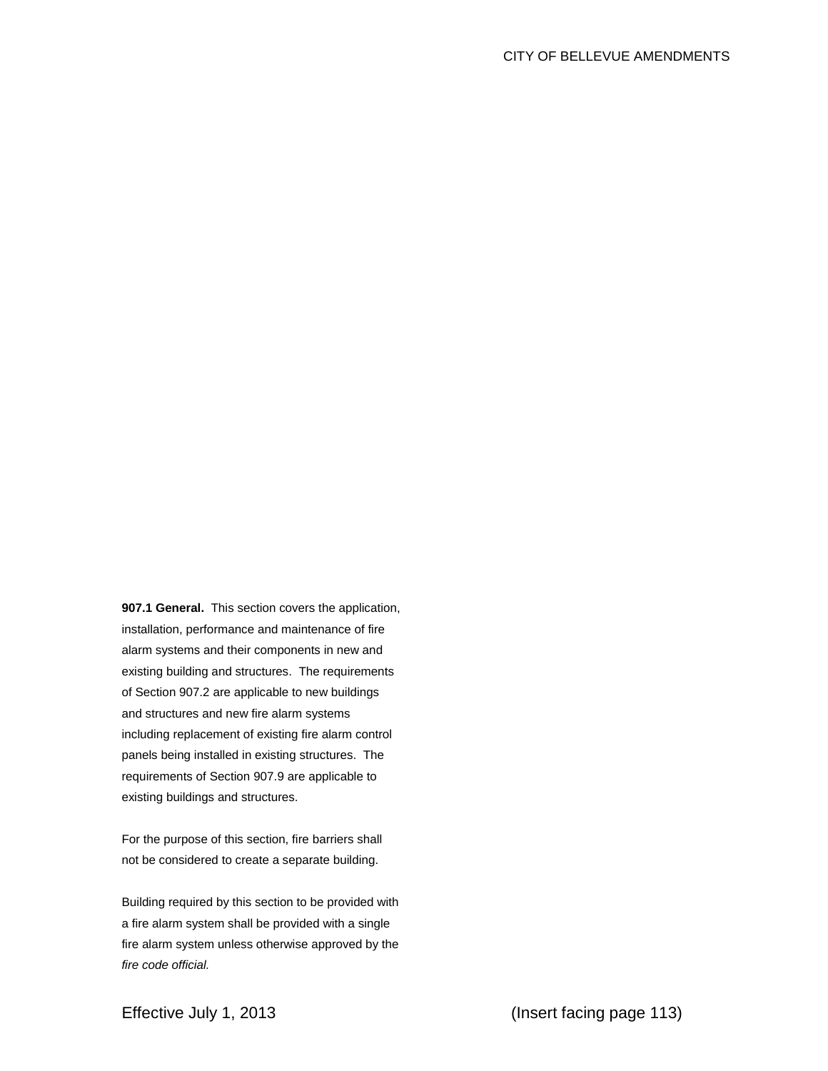**907.1 General.** This section covers the application, installation, performance and maintenance of fire alarm systems and their components in new and existing building and structures. The requirements of Section 907.2 are applicable to new buildings and structures and new fire alarm systems including replacement of existing fire alarm control panels being installed in existing structures. The requirements of Section 907.9 are applicable to existing buildings and structures.

For the purpose of this section, fire barriers shall not be considered to create a separate building.

Building required by this section to be provided with a fire alarm system shall be provided with a single fire alarm system unless otherwise approved by the *fire code official.*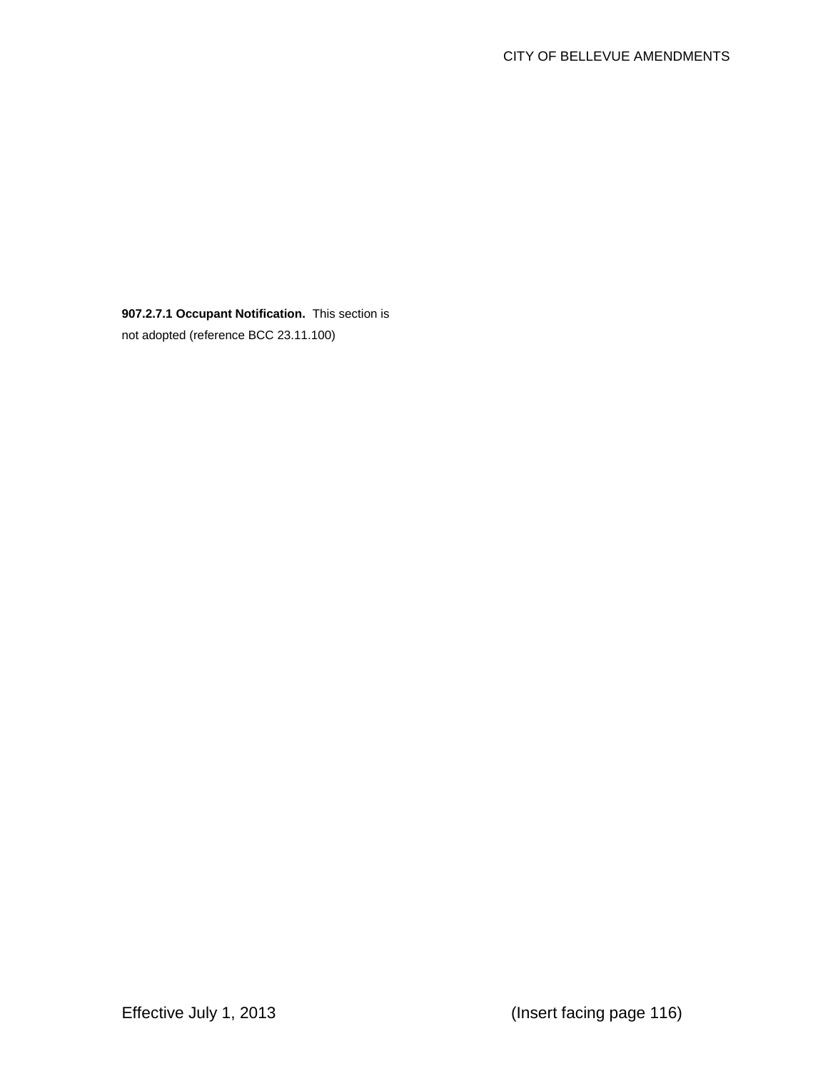**907.2.7.1 Occupant Notification.** This section is not adopted (reference BCC 23.11.100)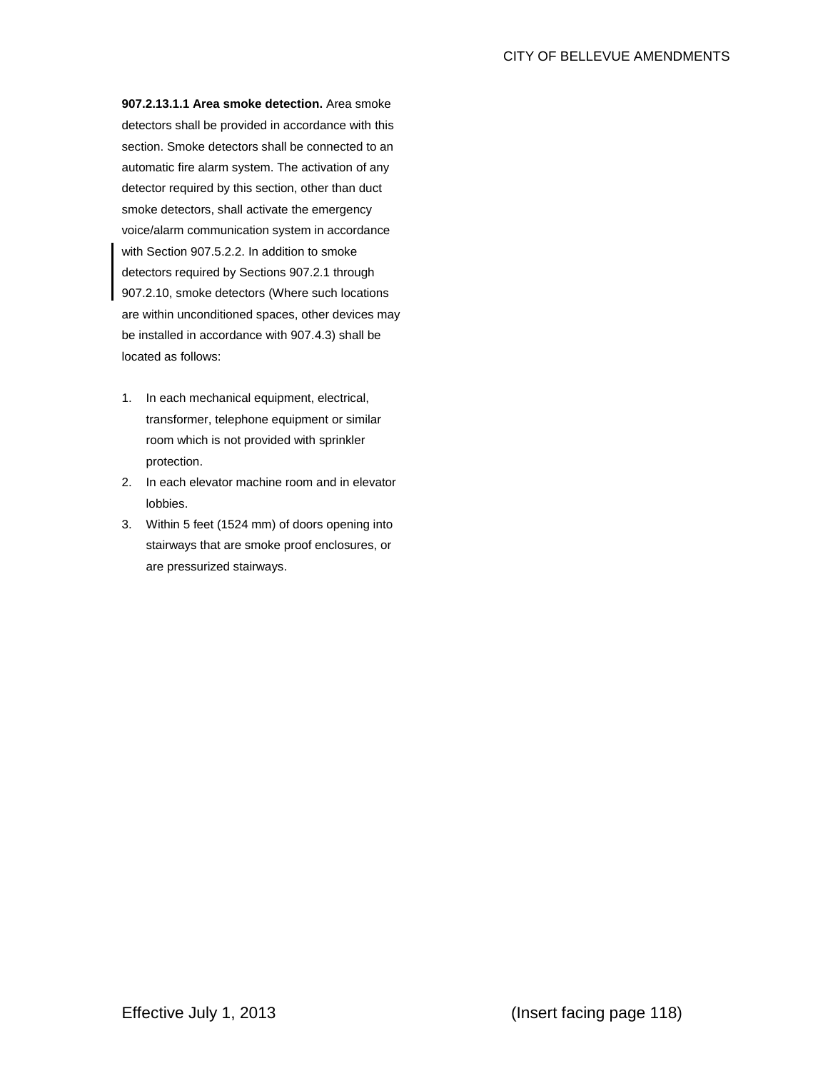**907.2.13.1.1 Area smoke detection.** Area smoke detectors shall be provided in accordance with this section. Smoke detectors shall be connected to an automatic fire alarm system. The activation of any detector required by this section, other than duct smoke detectors, shall activate the emergency voice/alarm communication system in accordance with Section 907.5.2.2. In addition to smoke detectors required by Sections 907.2.1 through 907.2.10, smoke detectors (Where such locations are within unconditioned spaces, other devices may be installed in accordance with 907.4.3) shall be located as follows:

- 1. In each mechanical equipment, electrical, transformer, telephone equipment or similar room which is not provided with sprinkler protection.
- 2. In each elevator machine room and in elevator lobbies.
- 3. Within 5 feet (1524 mm) of doors opening into stairways that are smoke proof enclosures, or are pressurized stairways.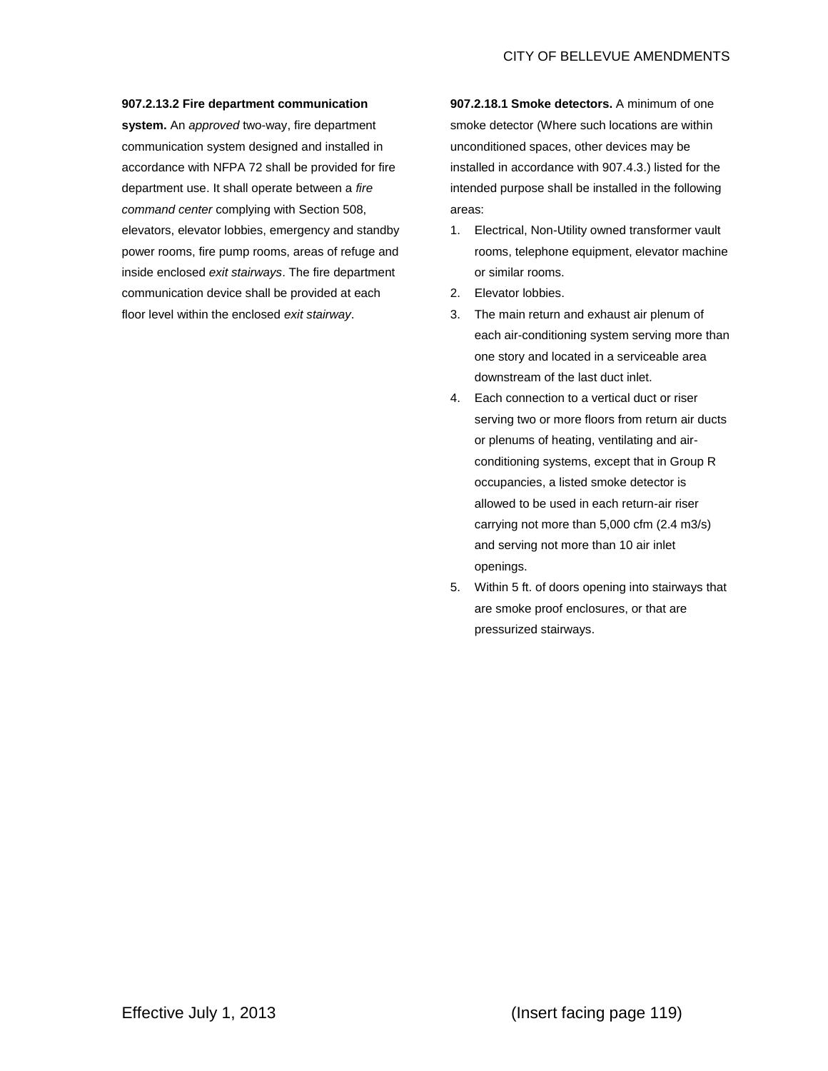## **907.2.13.2 Fire department communication**

**system.** An *approved* two-way, fire department communication system designed and installed in accordance with NFPA 72 shall be provided for fire department use. It shall operate between a *fire command center* complying with Section 508, elevators, elevator lobbies, emergency and standby power rooms, fire pump rooms, areas of refuge and inside enclosed *exit stairways*. The fire department communication device shall be provided at each floor level within the enclosed *exit stairway*.

**907.2.18.1 Smoke detectors.** A minimum of one smoke detector (Where such locations are within unconditioned spaces, other devices may be installed in accordance with 907.4.3.) listed for the intended purpose shall be installed in the following areas:

- 1. Electrical, Non-Utility owned transformer vault rooms, telephone equipment, elevator machine or similar rooms.
- 2. Elevator lobbies.
- 3. The main return and exhaust air plenum of each air-conditioning system serving more than one story and located in a serviceable area downstream of the last duct inlet.
- 4. Each connection to a vertical duct or riser serving two or more floors from return air ducts or plenums of heating, ventilating and airconditioning systems, except that in Group R occupancies, a listed smoke detector is allowed to be used in each return-air riser carrying not more than 5,000 cfm (2.4 m3/s) and serving not more than 10 air inlet openings.
- 5. Within 5 ft. of doors opening into stairways that are smoke proof enclosures, or that are pressurized stairways.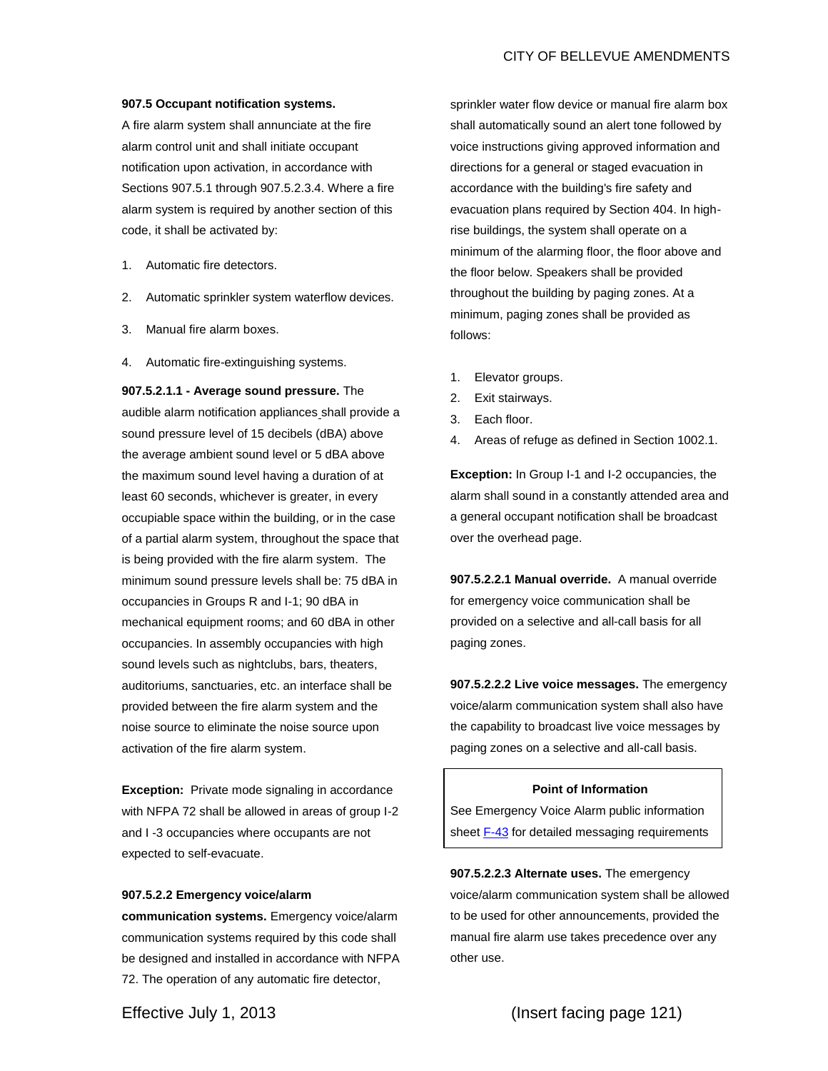#### **907.5 Occupant notification systems.**

A fire alarm system shall annunciate at the fire alarm control unit and shall initiate occupant notification upon activation, in accordance with Sections 907.5.1 through 907.5.2.3.4. Where a fire alarm system is required by another section of this code, it shall be activated by:

- 1. Automatic fire detectors.
- 2. Automatic sprinkler system waterflow devices.
- 3. Manual fire alarm boxes.
- 4. Automatic fire-extinguishing systems.

**907.5.2.1.1 - Average sound pressure.** The audible alarm notification appliances shall provide a sound pressure level of 15 decibels (dBA) above the average ambient sound level or 5 dBA above the maximum sound level having a duration of at least 60 seconds, whichever is greater, in every occupiable space within the building, or in the case of a partial alarm system, throughout the space that is being provided with the fire alarm system. The minimum sound pressure levels shall be: 75 dBA in occupancies in Groups R and I-1; 90 dBA in mechanical equipment rooms; and 60 dBA in other occupancies. In assembly occupancies with high sound levels such as nightclubs, bars, theaters, auditoriums, sanctuaries, etc. an interface shall be provided between the fire alarm system and the noise source to eliminate the noise source upon activation of the fire alarm system.

**Exception:** Private mode signaling in accordance with NFPA 72 shall be allowed in areas of group I-2 and I -3 occupancies where occupants are not expected to self-evacuate.

#### **907.5.2.2 Emergency voice/alarm**

**communication systems.** Emergency voice/alarm communication systems required by this code shall be designed and installed in accordance with NFPA 72. The operation of any automatic fire detector,

sprinkler water flow device or manual fire alarm box shall automatically sound an alert tone followed by voice instructions giving approved information and directions for a general or staged evacuation in accordance with the building's fire safety and evacuation plans required by Section 404. In highrise buildings, the system shall operate on a minimum of the alarming floor, the floor above and the floor below. Speakers shall be provided throughout the building by paging zones. At a minimum, paging zones shall be provided as follows:

- 1. Elevator groups.
- 2. Exit stairways.
- 3. Each floor.
- 4. Areas of refuge as defined in Section 1002.1.

**Exception:** In Group I-1 and I-2 occupancies, the alarm shall sound in a constantly attended area and a general occupant notification shall be broadcast over the overhead page.

**907.5.2.2.1 Manual override.** A manual override for emergency voice communication shall be provided on a selective and all-call basis for all paging zones.

**907.5.2.2.2 Live voice messages.** The emergency voice/alarm communication system shall also have the capability to broadcast live voice messages by paging zones on a selective and all-call basis.

#### **Point of Information**

See Emergency Voice Alarm public information shee[t F-43](http://cobnetsps/Departments/Fire%20Department/Fire%20Prevention%20Division/Document%20Library/Public%20Informational%20Handouts/F-43%20VoiceAlarmRequirements.pdf) for detailed messaging requirements

**907.5.2.2.3 Alternate uses.** The emergency voice/alarm communication system shall be allowed to be used for other announcements, provided the manual fire alarm use takes precedence over any other use.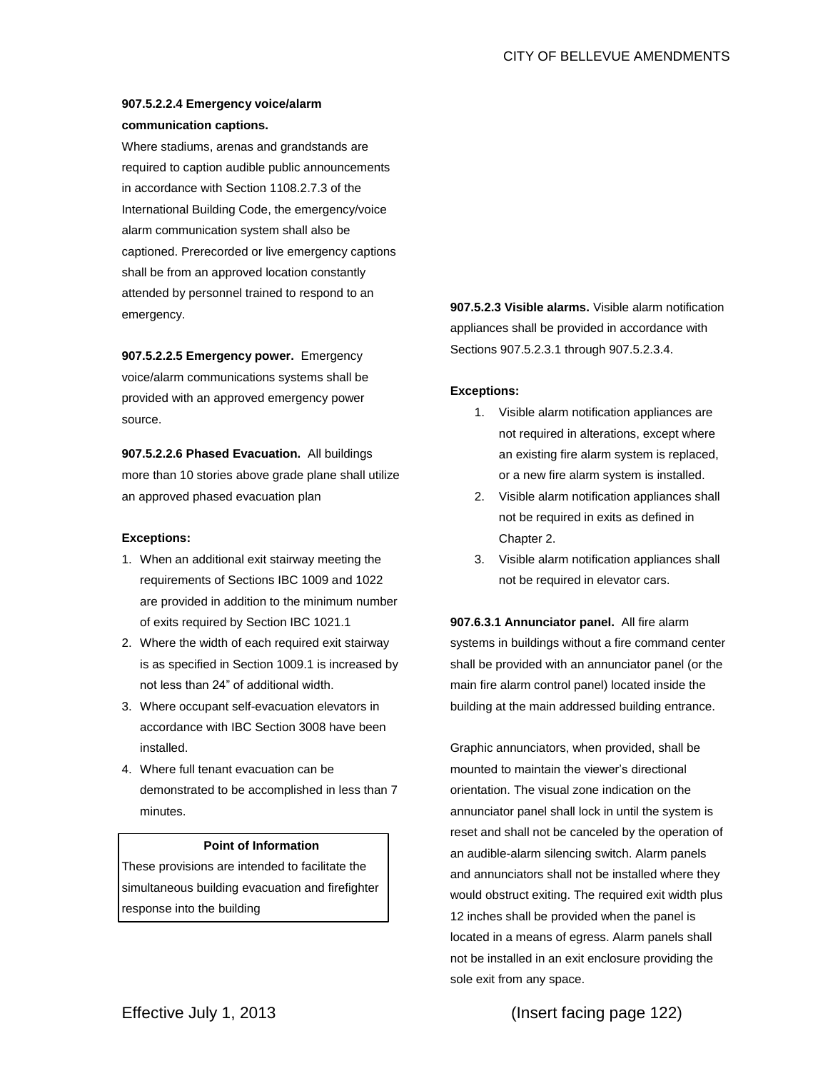# **907.5.2.2.4 Emergency voice/alarm communication captions.**

Where stadiums, arenas and grandstands are required to caption audible public announcements in accordance with Section 1108.2.7.3 of the International Building Code, the emergency/voice alarm communication system shall also be captioned. Prerecorded or live emergency captions shall be from an approved location constantly attended by personnel trained to respond to an emergency.

**907.5.2.2.5 Emergency power.** Emergency voice/alarm communications systems shall be provided with an approved emergency power source.

**907.5.2.2.6 Phased Evacuation.** All buildings more than 10 stories above grade plane shall utilize an approved phased evacuation plan

## **Exceptions:**

- 1. When an additional exit stairway meeting the requirements of Sections IBC 1009 and 1022 are provided in addition to the minimum number of exits required by Section IBC 1021.1
- 2. Where the width of each required exit stairway is as specified in Section 1009.1 is increased by not less than 24" of additional width.
- 3. Where occupant self-evacuation elevators in accordance with IBC Section 3008 have been installed.
- 4. Where full tenant evacuation can be demonstrated to be accomplished in less than 7 minutes.

## **Point of Information**

These provisions are intended to facilitate the simultaneous building evacuation and firefighter response into the building

**907.5.2.3 Visible alarms.** Visible alarm notification appliances shall be provided in accordance with Sections 907.5.2.3.1 through 907.5.2.3.4.

## **Exceptions:**

- 1. Visible alarm notification appliances are not required in alterations, except where an existing fire alarm system is replaced, or a new fire alarm system is installed.
- 2. Visible alarm notification appliances shall not be required in exits as defined in Chapter 2.
- 3. Visible alarm notification appliances shall not be required in elevator cars.

**907.6.3.1 Annunciator panel.** All fire alarm systems in buildings without a fire command center shall be provided with an annunciator panel (or the main fire alarm control panel) located inside the building at the main addressed building entrance.

Graphic annunciators, when provided, shall be mounted to maintain the viewer's directional orientation. The visual zone indication on the annunciator panel shall lock in until the system is reset and shall not be canceled by the operation of an audible-alarm silencing switch. Alarm panels and annunciators shall not be installed where they would obstruct exiting. The required exit width plus 12 inches shall be provided when the panel is located in a means of egress. Alarm panels shall not be installed in an exit enclosure providing the sole exit from any space.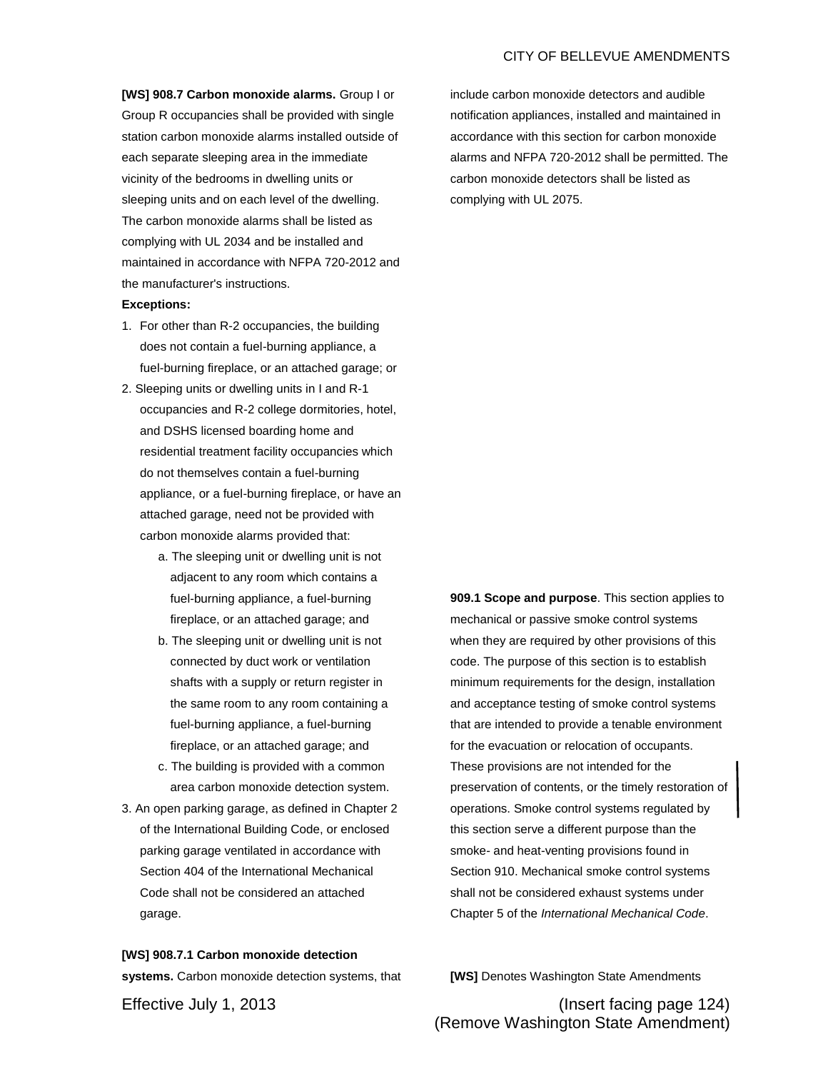## CITY OF BELLEVUE AMENDMENTS

**[WS] 908.7 Carbon monoxide alarms.** Group I or Group R occupancies shall be provided with single station carbon monoxide alarms installed outside of each separate sleeping area in the immediate vicinity of the bedrooms in dwelling units or sleeping units and on each level of the dwelling. The carbon monoxide alarms shall be listed as complying with UL 2034 and be installed and maintained in accordance with NFPA 720-2012 and the manufacturer's instructions.

## **Exceptions:**

- 1. For other than R-2 occupancies, the building does not contain a fuel-burning appliance, a fuel-burning fireplace, or an attached garage; or
- 2. Sleeping units or dwelling units in I and R-1 occupancies and R-2 college dormitories, hotel, and DSHS licensed boarding home and residential treatment facility occupancies which do not themselves contain a fuel-burning appliance, or a fuel-burning fireplace, or have an attached garage, need not be provided with carbon monoxide alarms provided that:
	- a. The sleeping unit or dwelling unit is not adjacent to any room which contains a fuel-burning appliance, a fuel-burning fireplace, or an attached garage; and
	- b. The sleeping unit or dwelling unit is not connected by duct work or ventilation shafts with a supply or return register in the same room to any room containing a fuel-burning appliance, a fuel-burning fireplace, or an attached garage; and
	- c. The building is provided with a common area carbon monoxide detection system.
- 3. An open parking garage, as defined in Chapter 2 of the International Building Code, or enclosed parking garage ventilated in accordance with Section 404 of the International Mechanical Code shall not be considered an attached garage.

**[WS] 908.7.1 Carbon monoxide detection systems.** Carbon monoxide detection systems, that include carbon monoxide detectors and audible notification appliances, installed and maintained in accordance with this section for carbon monoxide alarms and NFPA 720-2012 shall be permitted. The carbon monoxide detectors shall be listed as complying with UL 2075.

**909.1 Scope and purpose**. This section applies to mechanical or passive smoke control systems when they are required by other provisions of this code. The purpose of this section is to establish minimum requirements for the design, installation and acceptance testing of smoke control systems that are intended to provide a tenable environment for the evacuation or relocation of occupants. These provisions are not intended for the preservation of contents, or the timely restoration of operations. Smoke control systems regulated by this section serve a different purpose than the smoke- and heat-venting provisions found in Section 910. Mechanical smoke control systems shall not be considered exhaust systems under Chapter 5 of the *International Mechanical Code*.

**[WS]** Denotes Washington State Amendments

Effective July 1, 2013 (Insert facing page 124) (Remove Washington State Amendment)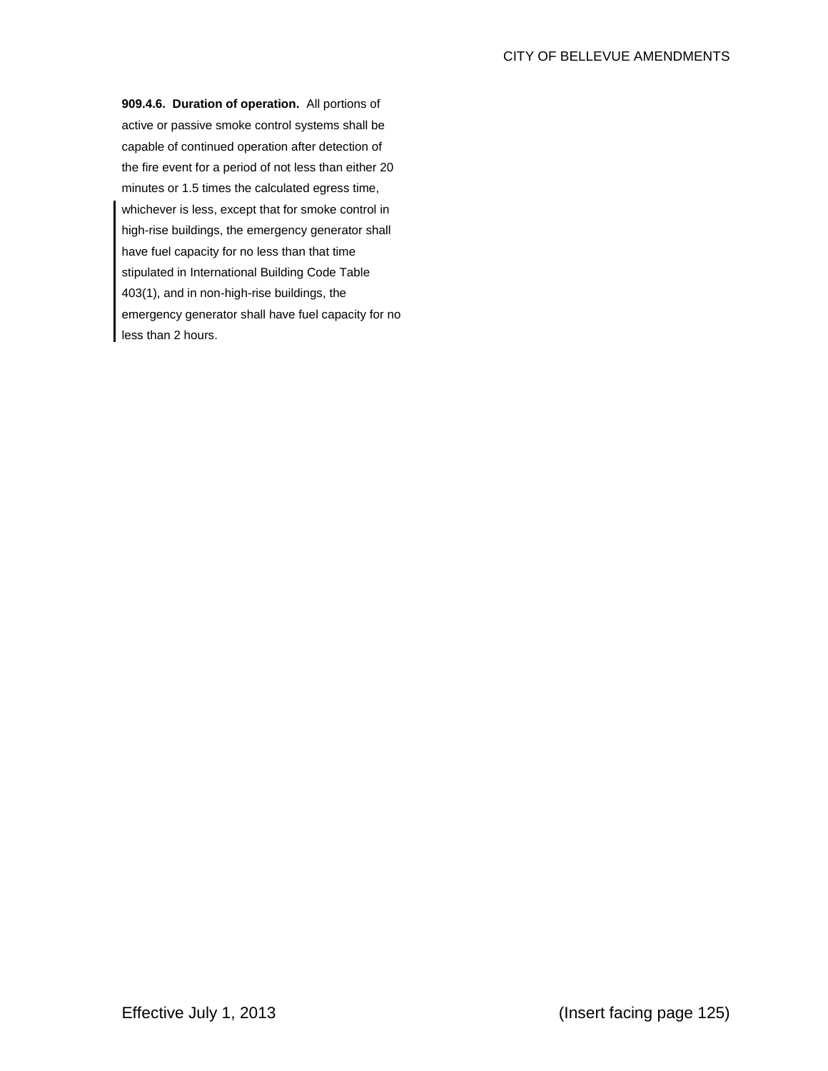**909.4.6. Duration of operation.** All portions of active or passive smoke control systems shall be capable of continued operation after detection of the fire event for a period of not less than either 20 minutes or 1.5 times the calculated egress time, whichever is less, except that for smoke control in high-rise buildings, the emergency generator shall have fuel capacity for no less than that time stipulated in International Building Code Table 403(1), and in non-high-rise buildings, the emergency generator shall have fuel capacity for no less than 2 hours.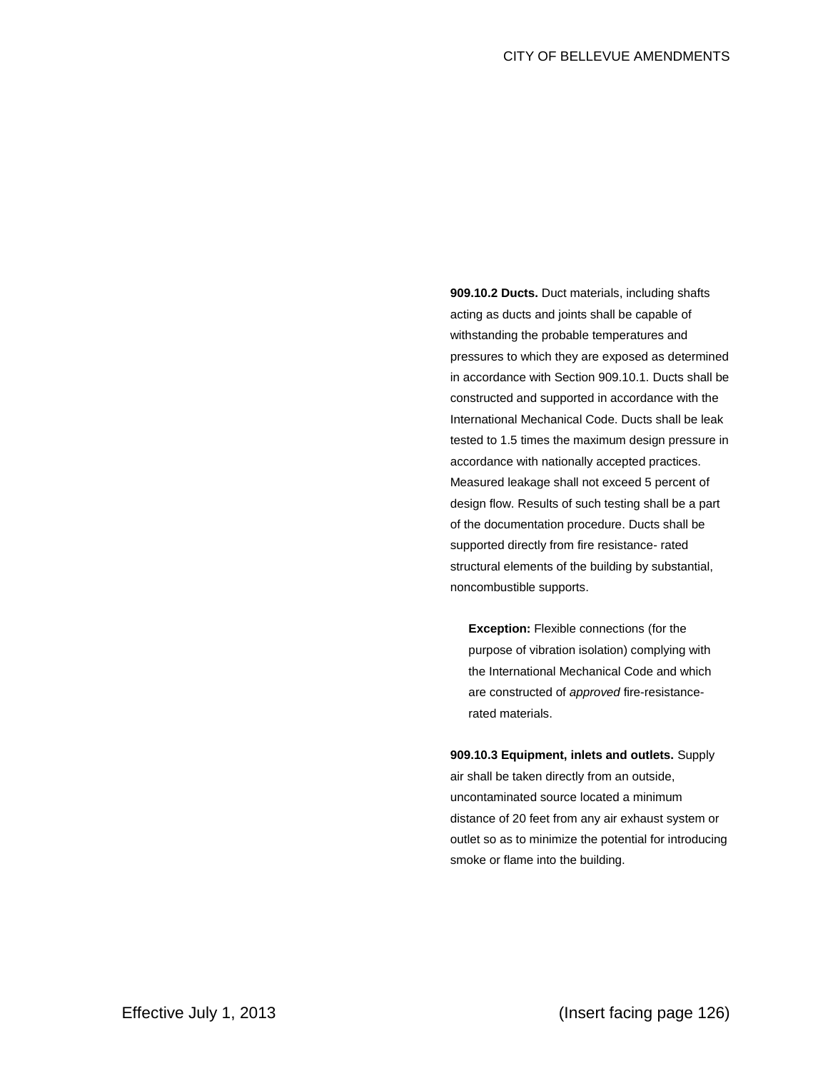**909.10.2 Ducts.** Duct materials, including shafts acting as ducts and joints shall be capable of withstanding the probable temperatures and pressures to which they are exposed as determined in accordance with Section 909.10.1. Ducts shall be constructed and supported in accordance with the International Mechanical Code. Ducts shall be leak tested to 1.5 times the maximum design pressure in accordance with nationally accepted practices. Measured leakage shall not exceed 5 percent of design flow. Results of such testing shall be a part of the documentation procedure. Ducts shall be supported directly from fire resistance- rated structural elements of the building by substantial, noncombustible supports.

**Exception:** Flexible connections (for the purpose of vibration isolation) complying with the International Mechanical Code and which are constructed of *approved* fire-resistancerated materials.

**909.10.3 Equipment, inlets and outlets.** Supply air shall be taken directly from an outside, uncontaminated source located a minimum distance of 20 feet from any air exhaust system or outlet so as to minimize the potential for introducing smoke or flame into the building.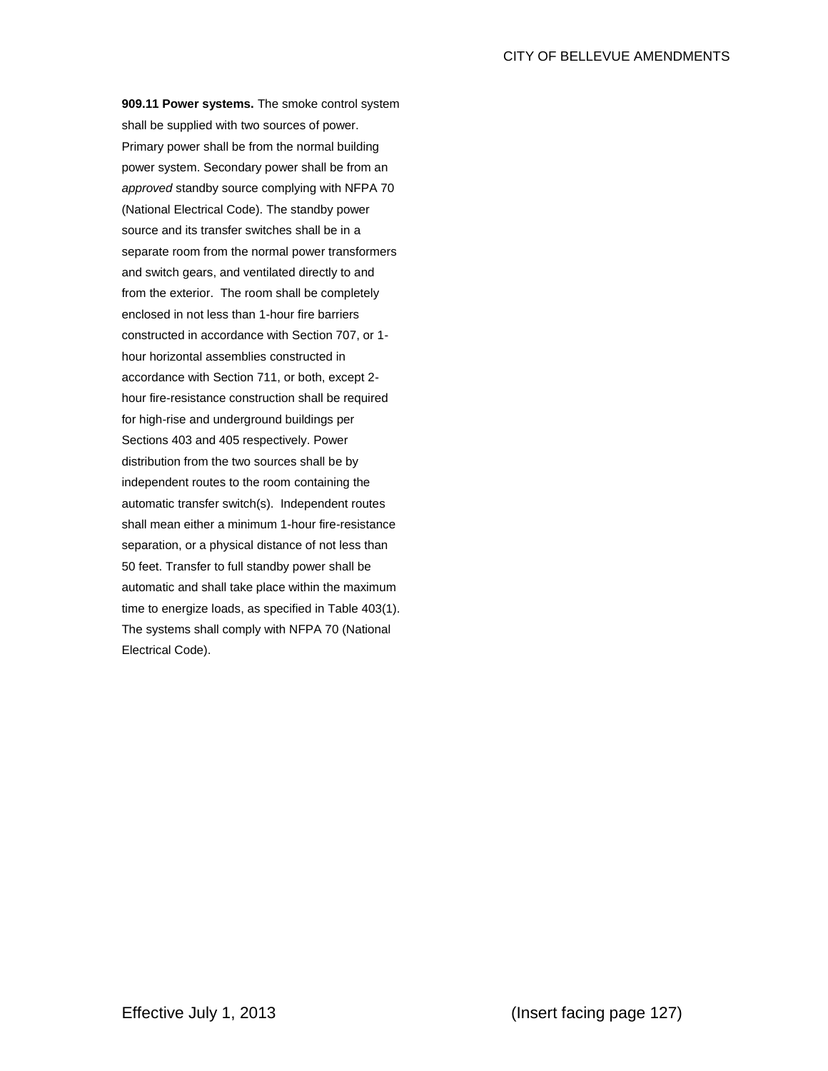**909.11 Power systems.** The smoke control system shall be supplied with two sources of power. Primary power shall be from the normal building power system. Secondary power shall be from an *approved* standby source complying with NFPA 70 (National Electrical Code). The standby power source and its transfer switches shall be in a separate room from the normal power transformers and switch gears, and ventilated directly to and from the exterior. The room shall be completely enclosed in not less than 1-hour fire barriers constructed in accordance with Section 707, or 1 hour horizontal assemblies constructed in accordance with Section 711, or both, except 2 hour fire-resistance construction shall be required for high-rise and underground buildings per Sections 403 and 405 respectively. Power distribution from the two sources shall be by independent routes to the room containing the automatic transfer switch(s). Independent routes shall mean either a minimum 1-hour fire-resistance separation, or a physical distance of not less than 50 feet. Transfer to full standby power shall be automatic and shall take place within the maximum time to energize loads, as specified in Table 403(1). The systems shall comply with NFPA 70 (National Electrical Code).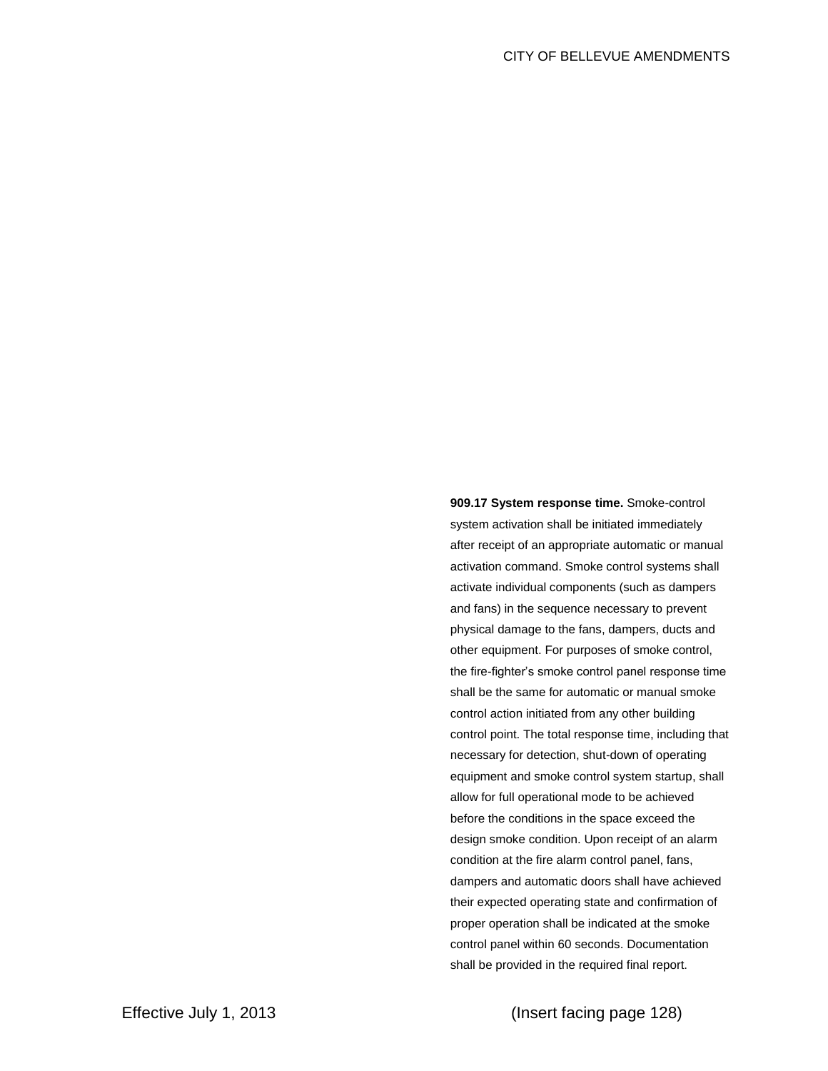**909.17 System response time.** Smoke-control system activation shall be initiated immediately after receipt of an appropriate automatic or manual activation command. Smoke control systems shall activate individual components (such as dampers and fans) in the sequence necessary to prevent physical damage to the fans, dampers, ducts and other equipment. For purposes of smoke control, the fire-fighter's smoke control panel response time shall be the same for automatic or manual smoke control action initiated from any other building control point. The total response time, including that necessary for detection, shut-down of operating equipment and smoke control system startup, shall allow for full operational mode to be achieved before the conditions in the space exceed the design smoke condition. Upon receipt of an alarm condition at the fire alarm control panel, fans, dampers and automatic doors shall have achieved their expected operating state and confirmation of proper operation shall be indicated at the smoke control panel within 60 seconds. Documentation shall be provided in the required final report.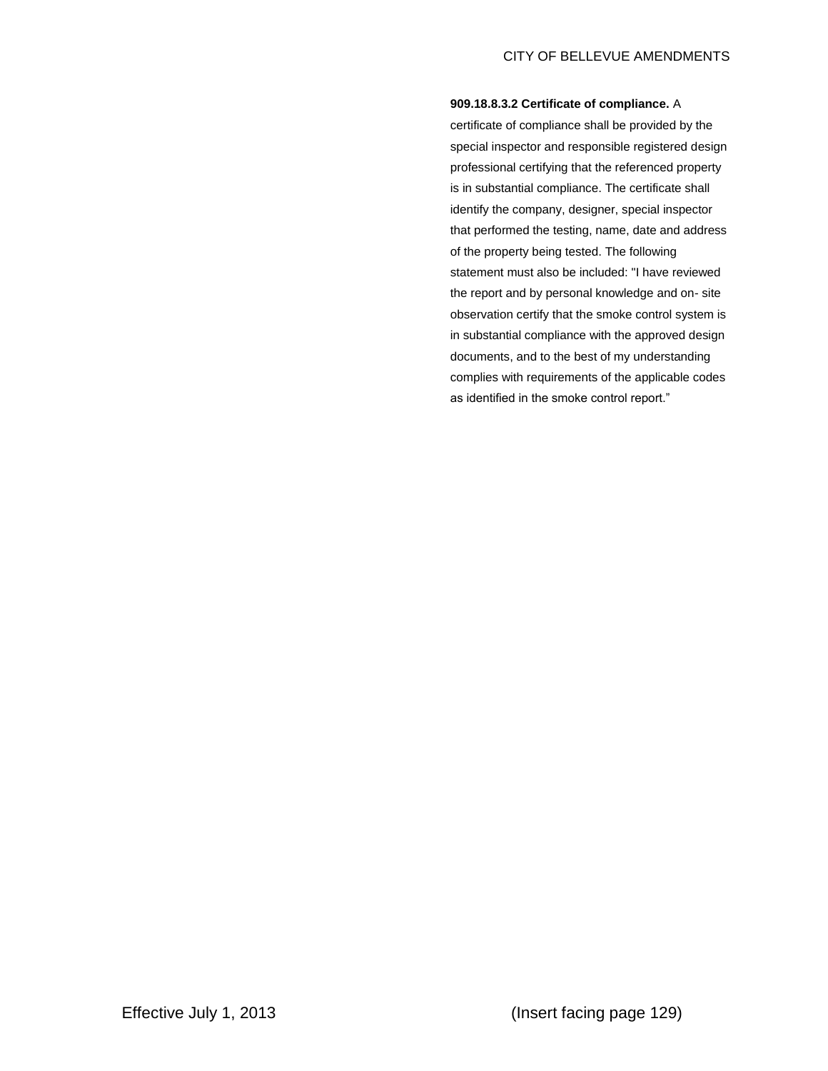## **909.18.8.3.2 Certificate of compliance.** A

certificate of compliance shall be provided by the special inspector and responsible registered design professional certifying that the referenced property is in substantial compliance. The certificate shall identify the company, designer, special inspector that performed the testing, name, date and address of the property being tested. The following statement must also be included: "I have reviewed the report and by personal knowledge and on- site observation certify that the smoke control system is in substantial compliance with the approved design documents, and to the best of my understanding complies with requirements of the applicable codes as identified in the smoke control report."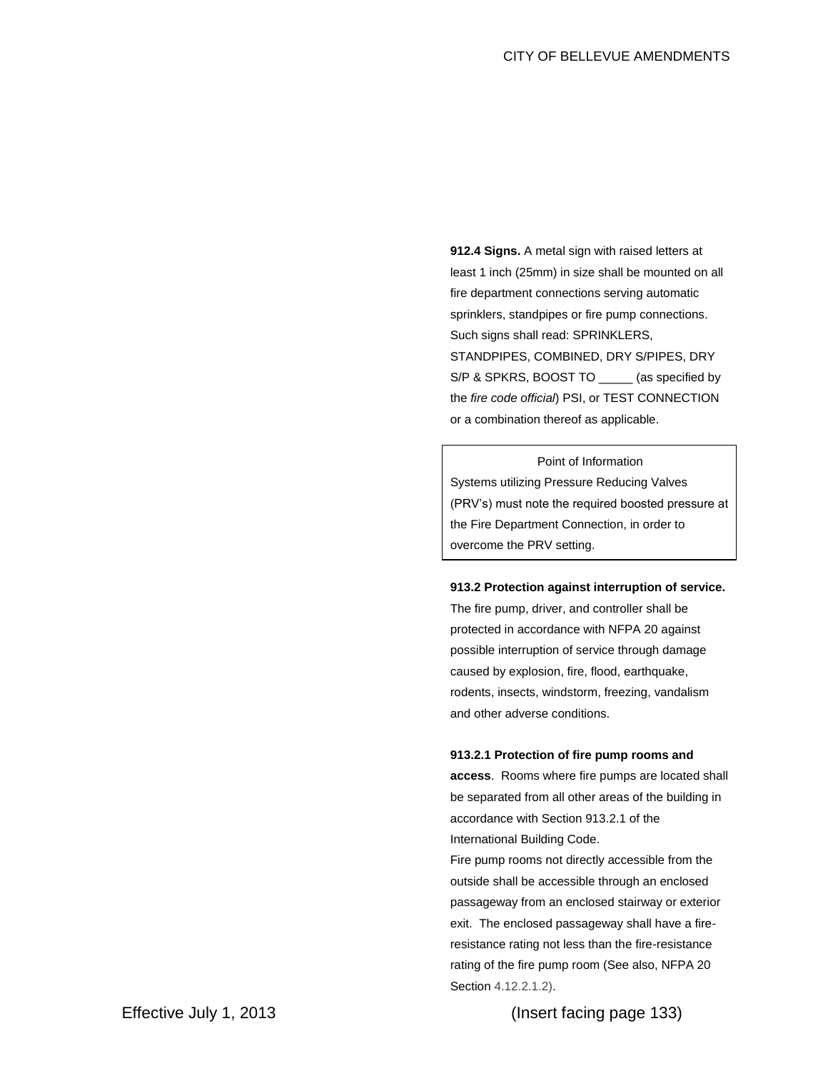**912.4 Signs.** A metal sign with raised letters at least 1 inch (25mm) in size shall be mounted on all fire department connections serving automatic sprinklers, standpipes or fire pump connections. Such signs shall read: SPRINKLERS, STANDPIPES, COMBINED, DRY S/PIPES, DRY S/P & SPKRS, BOOST TO \_\_\_\_\_ (as specified by the *fire code official*) PSI, or TEST CONNECTION or a combination thereof as applicable.

Point of Information Systems utilizing Pressure Reducing Valves (PRV's) must note the required boosted pressure at the Fire Department Connection, in order to overcome the PRV setting.

## **913.2 Protection against interruption of service.**

The fire pump, driver, and controller shall be protected in accordance with NFPA 20 against possible interruption of service through damage caused by explosion, fire, flood, earthquake, rodents, insects, windstorm, freezing, vandalism and other adverse conditions.

#### **913.2.1 Protection of fire pump rooms and**

**access**. Rooms where fire pumps are located shall be separated from all other areas of the building in accordance with Section 913.2.1 of the International Building Code.

Fire pump rooms not directly accessible from the outside shall be accessible through an enclosed passageway from an enclosed stairway or exterior exit. The enclosed passageway shall have a fireresistance rating not less than the fire-resistance rating of the fire pump room (See also, NFPA 20 Section 4.12.2.1.2).

Effective July 1, 2013 (Insert facing page 133)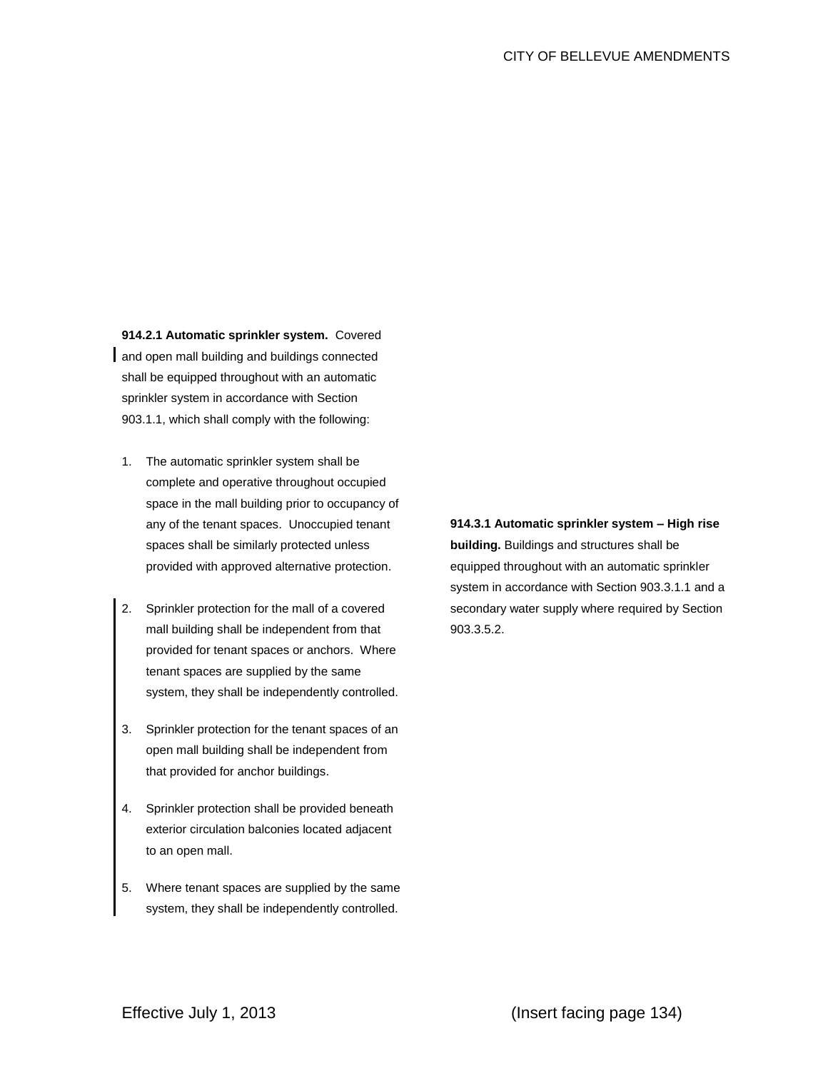**914.2.1 Automatic sprinkler system.** Covered and open mall building and buildings connected shall be equipped throughout with an automatic sprinkler system in accordance with Section 903.1.1, which shall comply with the following:

- 1. The automatic sprinkler system shall be complete and operative throughout occupied space in the mall building prior to occupancy of any of the tenant spaces. Unoccupied tenant spaces shall be similarly protected unless provided with approved alternative protection.
- 2. Sprinkler protection for the mall of a covered mall building shall be independent from that provided for tenant spaces or anchors. Where tenant spaces are supplied by the same system, they shall be independently controlled.
- 3. Sprinkler protection for the tenant spaces of an open mall building shall be independent from that provided for anchor buildings.
- 4. Sprinkler protection shall be provided beneath exterior circulation balconies located adjacent to an open mall.
- 5. Where tenant spaces are supplied by the same system, they shall be independently controlled.

**914.3.1 Automatic sprinkler system – High rise building.** Buildings and structures shall be equipped throughout with an automatic sprinkler system in accordance with Section 903.3.1.1 and a secondary water supply where required by Section 903.3.5.2.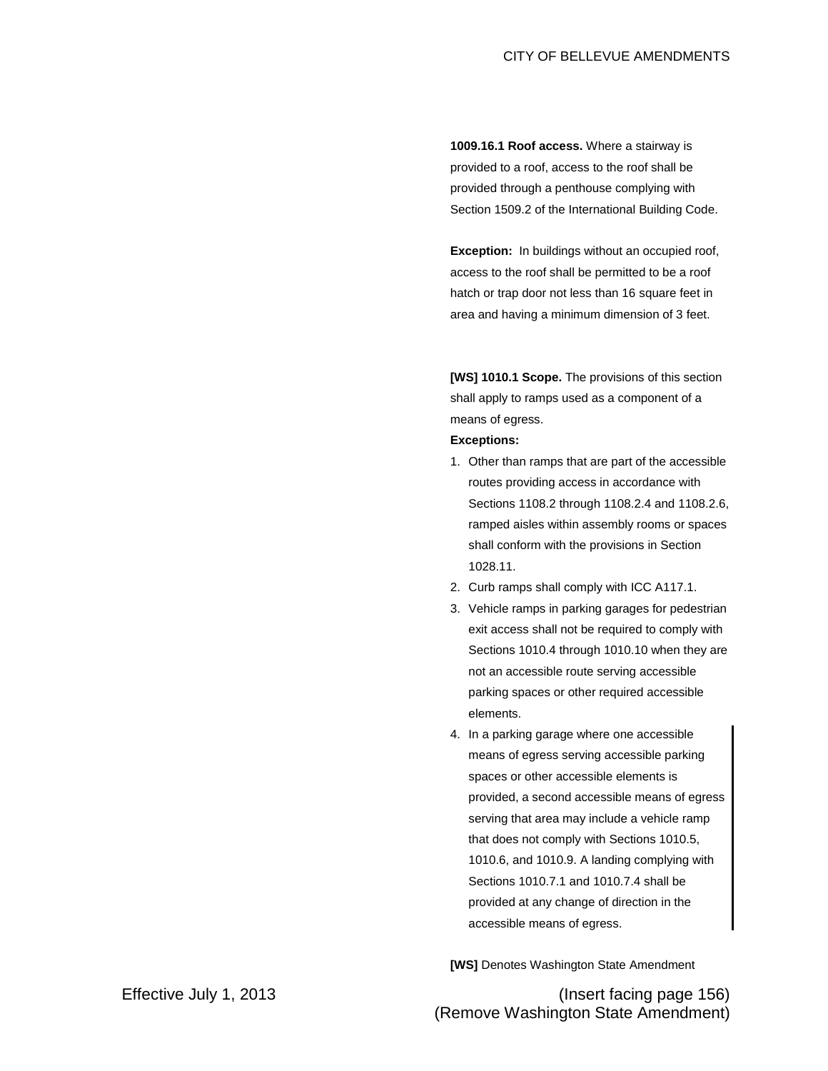**1009.16.1 Roof access.** Where a stairway is provided to a roof, access to the roof shall be provided through a penthouse complying with Section 1509.2 of the International Building Code.

**Exception:** In buildings without an occupied roof, access to the roof shall be permitted to be a roof hatch or trap door not less than 16 square feet in area and having a minimum dimension of 3 feet.

**[WS] 1010.1 Scope.** The provisions of this section shall apply to ramps used as a component of a means of egress.

## **Exceptions:**

- 1. Other than ramps that are part of the accessible routes providing access in accordance with Sections 1108.2 through 1108.2.4 and 1108.2.6, ramped aisles within assembly rooms or spaces shall conform with the provisions in Section 1028.11.
- 2. Curb ramps shall comply with ICC A117.1.
- 3. Vehicle ramps in parking garages for pedestrian exit access shall not be required to comply with Sections 1010.4 through 1010.10 when they are not an accessible route serving accessible parking spaces or other required accessible elements.
- 4. In a parking garage where one accessible means of egress serving accessible parking spaces or other accessible elements is provided, a second accessible means of egress serving that area may include a vehicle ramp that does not comply with Sections 1010.5, 1010.6, and 1010.9. A landing complying with Sections 1010.7.1 and 1010.7.4 shall be provided at any change of direction in the accessible means of egress.

**[WS]** Denotes Washington State Amendment

Effective July 1, 2013 (Insert facing page 156) (Remove Washington State Amendment)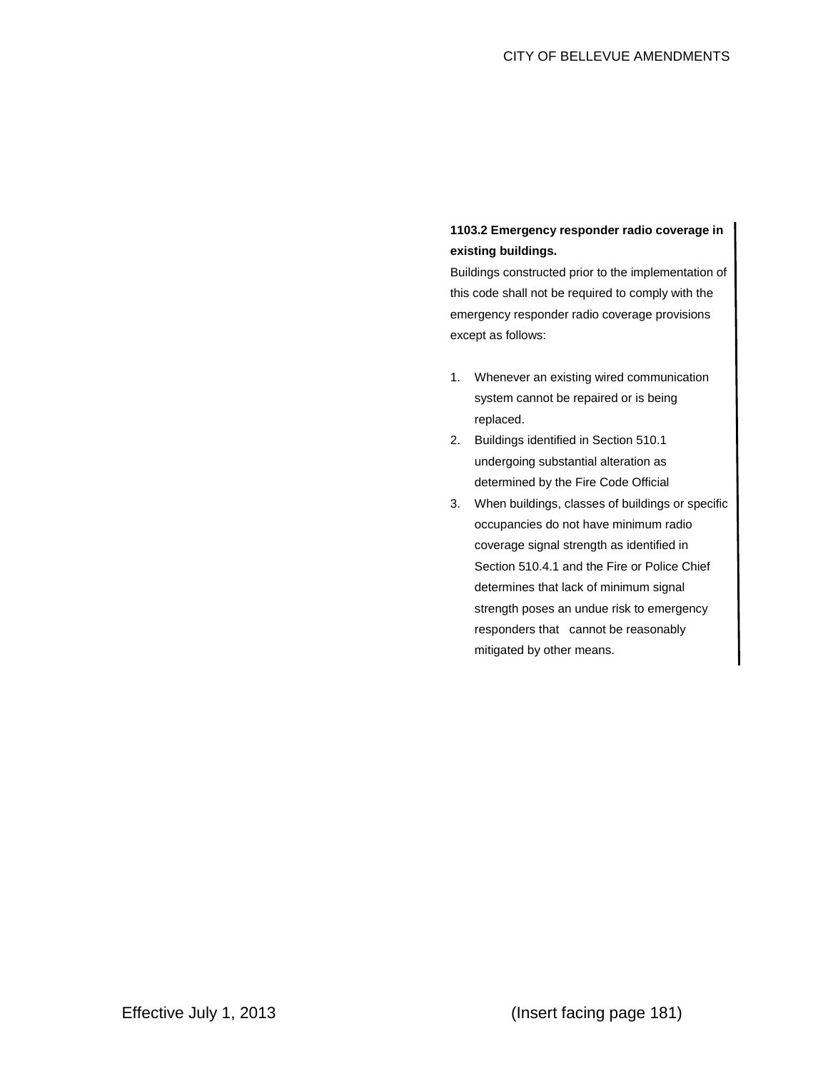# **1103.2 Emergency responder radio coverage in existing buildings.**

Buildings constructed prior to the implementation of this code shall not be required to comply with the emergency responder radio coverage provisions except as follows:

- 1. Whenever an existing wired communication system cannot be repaired or is being replaced.
- 2. Buildings identified in Section 510.1 undergoing substantial alteration as determined by the Fire Code Official
- 3. When buildings, classes of buildings or specific occupancies do not have minimum radio coverage signal strength as identified in Section 510.4.1 and the Fire or Police Chief determines that lack of minimum signal strength poses an undue risk to emergency responders that cannot be reasonably mitigated by other means.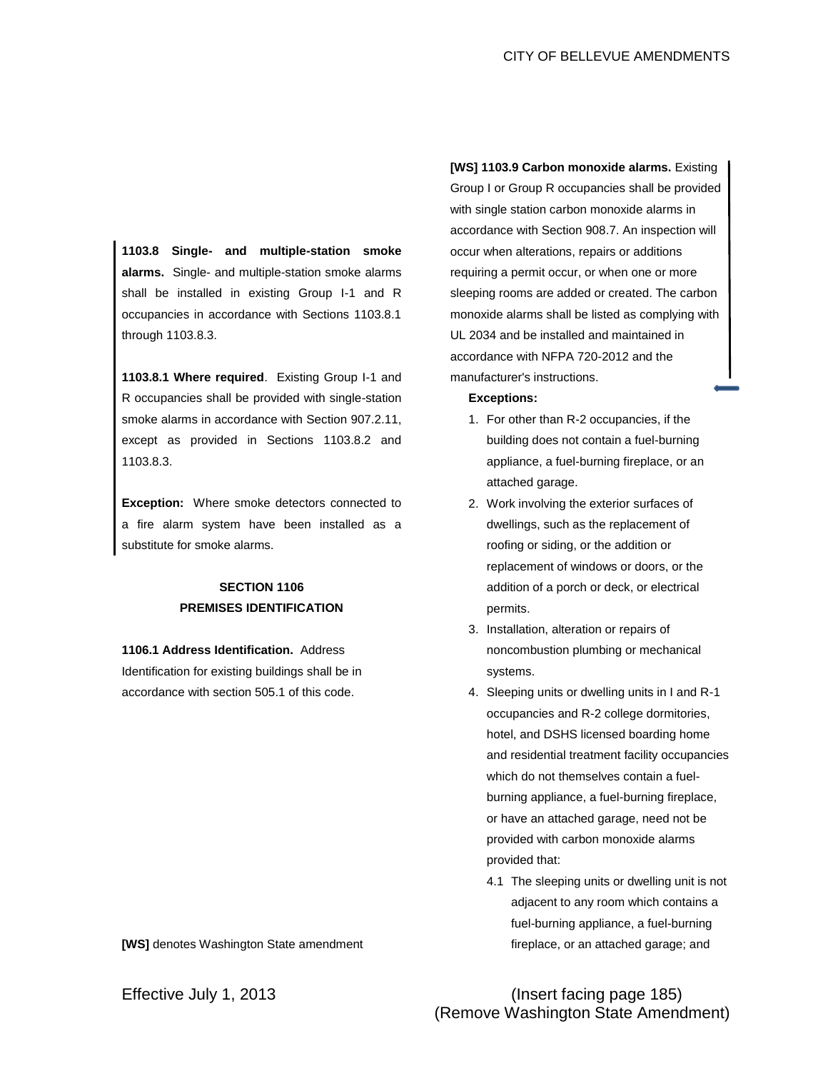**1103.8 Single- and multiple-station smoke alarms.** Single- and multiple-station smoke alarms shall be installed in existing Group I-1 and R occupancies in accordance with Sections 1103.8.1 through 1103.8.3.

**1103.8.1 Where required**. Existing Group I-1 and R occupancies shall be provided with single-station smoke alarms in accordance with Section 907.2.11, except as provided in Sections 1103.8.2 and 1103.8.3.

**Exception:** Where smoke detectors connected to a fire alarm system have been installed as a substitute for smoke alarms.

# **SECTION 1106 PREMISES IDENTIFICATION**

**1106.1 Address Identification.** Address Identification for existing buildings shall be in accordance with section 505.1 of this code.

**[WS]** denotes Washington State amendment

**[WS] 1103.9 Carbon monoxide alarms.** Existing Group I or Group R occupancies shall be provided with single station carbon monoxide alarms in accordance with Section 908.7. An inspection will occur when alterations, repairs or additions requiring a permit occur, or when one or more sleeping rooms are added or created. The carbon monoxide alarms shall be listed as complying with UL 2034 and be installed and maintained in accordance with NFPA 720-2012 and the manufacturer's instructions.

### **Exceptions:**

- 1. For other than R-2 occupancies, if the building does not contain a fuel-burning appliance, a fuel-burning fireplace, or an attached garage.
- 2. Work involving the exterior surfaces of dwellings, such as the replacement of roofing or siding, or the addition or replacement of windows or doors, or the addition of a porch or deck, or electrical permits.
- 3. Installation, alteration or repairs of noncombustion plumbing or mechanical systems.
- 4. Sleeping units or dwelling units in I and R-1 occupancies and R-2 college dormitories, hotel, and DSHS licensed boarding home and residential treatment facility occupancies which do not themselves contain a fuelburning appliance, a fuel-burning fireplace, or have an attached garage, need not be provided with carbon monoxide alarms provided that:
	- 4.1 The sleeping units or dwelling unit is not adjacent to any room which contains a fuel-burning appliance, a fuel-burning fireplace, or an attached garage; and

# Effective July 1, 2013 (Insert facing page 185) (Remove Washington State Amendment)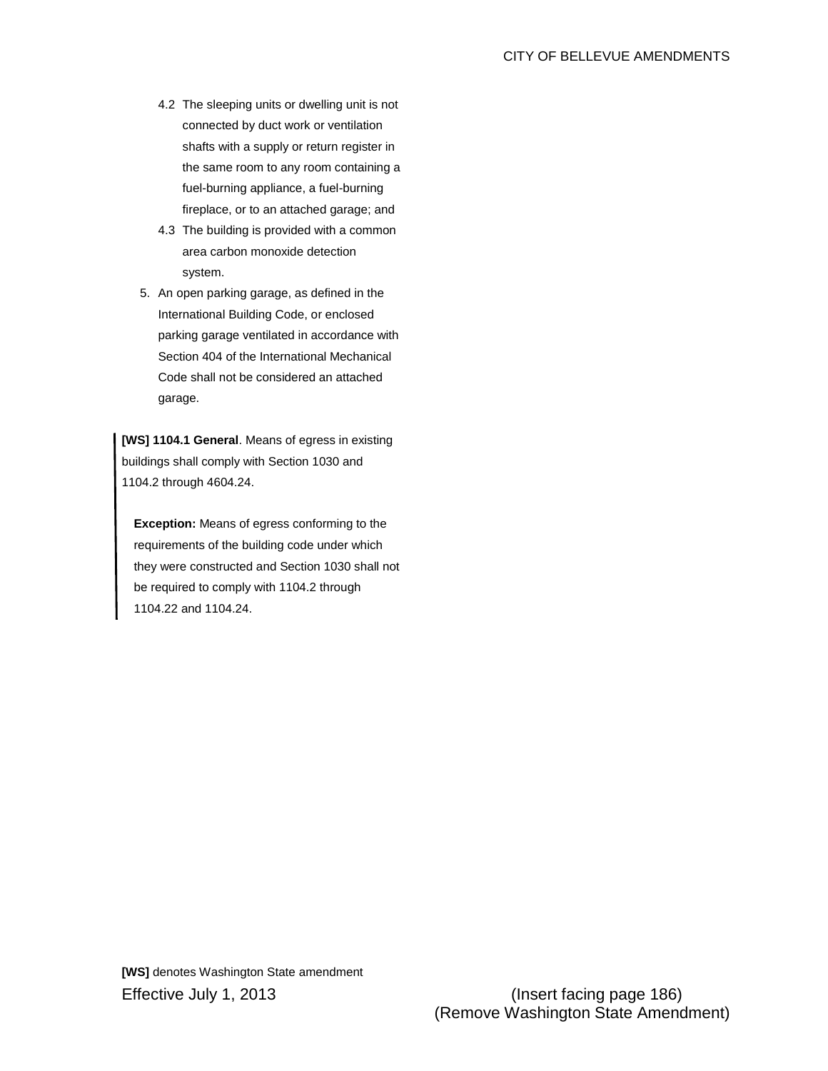- 4.2 The sleeping units or dwelling unit is not connected by duct work or ventilation shafts with a supply or return register in the same room to any room containing a fuel-burning appliance, a fuel-burning fireplace, or to an attached garage; and
- 4.3 The building is provided with a common area carbon monoxide detection system.
- 5. An open parking garage, as defined in the International Building Code, or enclosed parking garage ventilated in accordance with Section 404 of the International Mechanical Code shall not be considered an attached garage.

**[WS] 1104.1 General**. Means of egress in existing buildings shall comply with Section 1030 and 1104.2 through 4604.24.

**Exception:** Means of egress conforming to the requirements of the building code under which they were constructed and Section 1030 shall not be required to comply with 1104.2 through 1104.22 and 1104.24.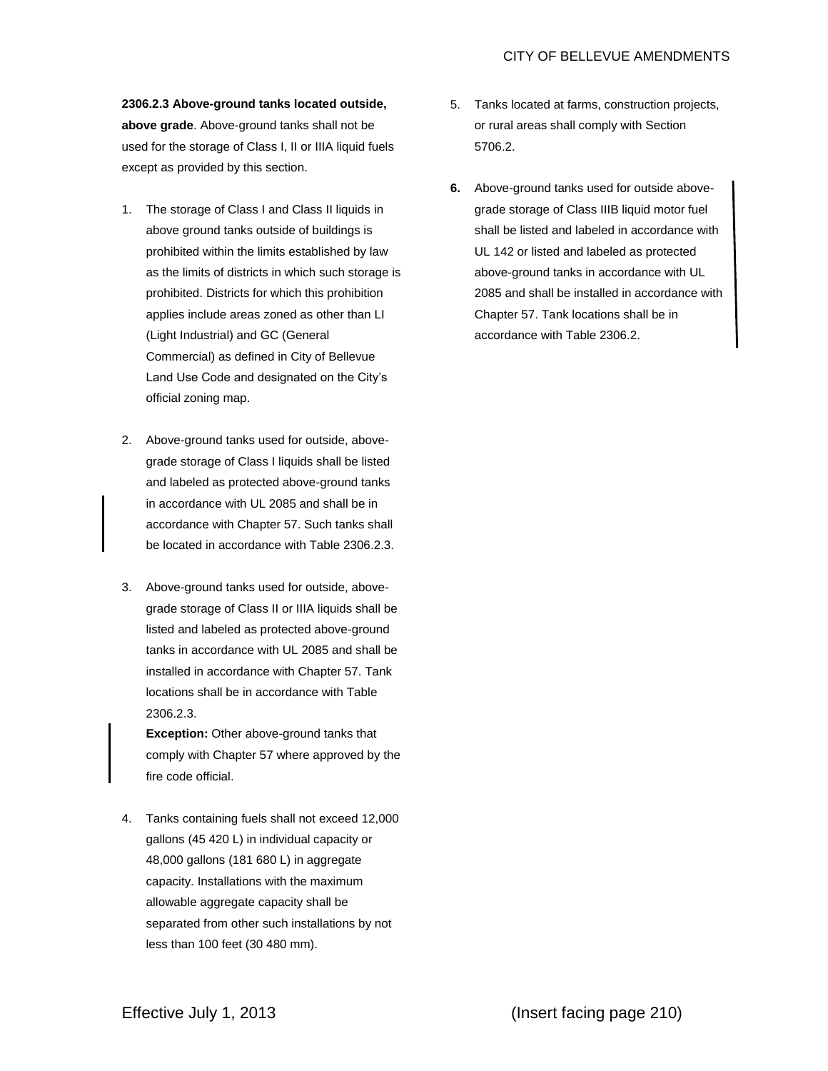**2306.2.3 Above-ground tanks located outside, above grade**. Above-ground tanks shall not be used for the storage of Class I, II or IIIA liquid fuels except as provided by this section.

- 1. The storage of Class I and Class II liquids in above ground tanks outside of buildings is prohibited within the limits established by law as the limits of districts in which such storage is prohibited. Districts for which this prohibition applies include areas zoned as other than LI (Light Industrial) and GC (General Commercial) as defined in City of Bellevue Land Use Code and designated on the City's official zoning map.
- 2. Above-ground tanks used for outside, abovegrade storage of Class I liquids shall be listed and labeled as protected above-ground tanks in accordance with UL 2085 and shall be in accordance with Chapter 57. Such tanks shall be located in accordance with Table 2306.2.3.
- 3. Above-ground tanks used for outside, abovegrade storage of Class II or IIIA liquids shall be listed and labeled as protected above-ground tanks in accordance with UL 2085 and shall be installed in accordance with Chapter 57. Tank locations shall be in accordance with Table 2306.2.3.

**Exception:** Other above-ground tanks that comply with Chapter 57 where approved by the fire code official.

4. Tanks containing fuels shall not exceed 12,000 gallons (45 420 L) in individual capacity or 48,000 gallons (181 680 L) in aggregate capacity. Installations with the maximum allowable aggregate capacity shall be separated from other such installations by not less than 100 feet (30 480 mm).

- 5. Tanks located at farms, construction projects, or rural areas shall comply with Section 5706.2.
- **6.** Above-ground tanks used for outside abovegrade storage of Class IIIB liquid motor fuel shall be listed and labeled in accordance with UL 142 or listed and labeled as protected above-ground tanks in accordance with UL 2085 and shall be installed in accordance with Chapter 57. Tank locations shall be in accordance with Table 2306.2.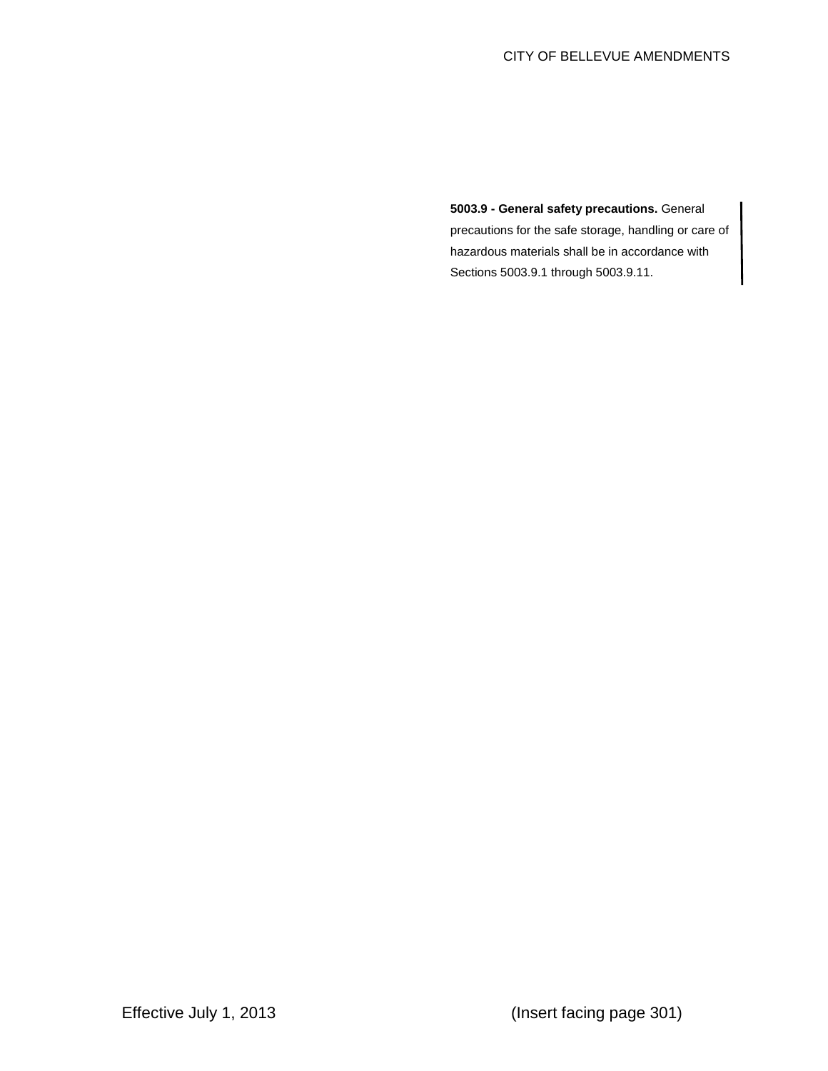**5003.9 - General safety precautions.** General precautions for the safe storage, handling or care of hazardous materials shall be in accordance with Sections 5003.9.1 through 5003.9.11.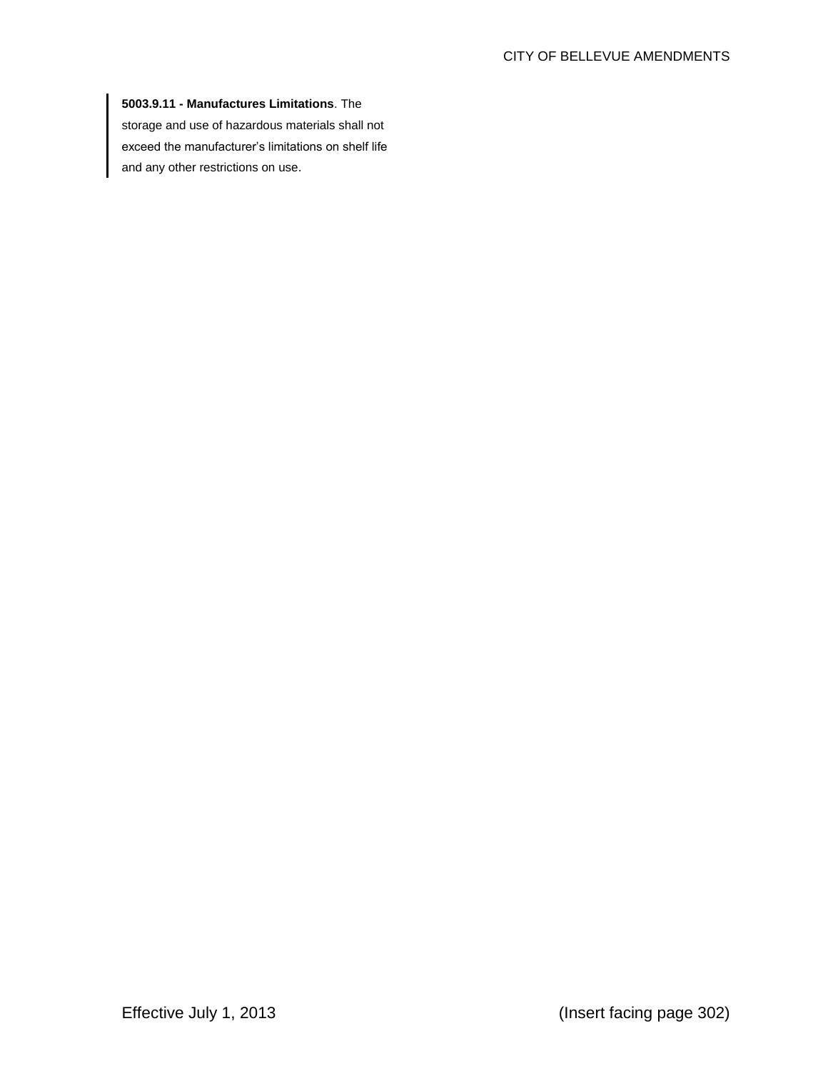## **5003.9.11 - Manufactures Limitations**. The

storage and use of hazardous materials shall not exceed the manufacturer's limitations on shelf life and any other restrictions on use.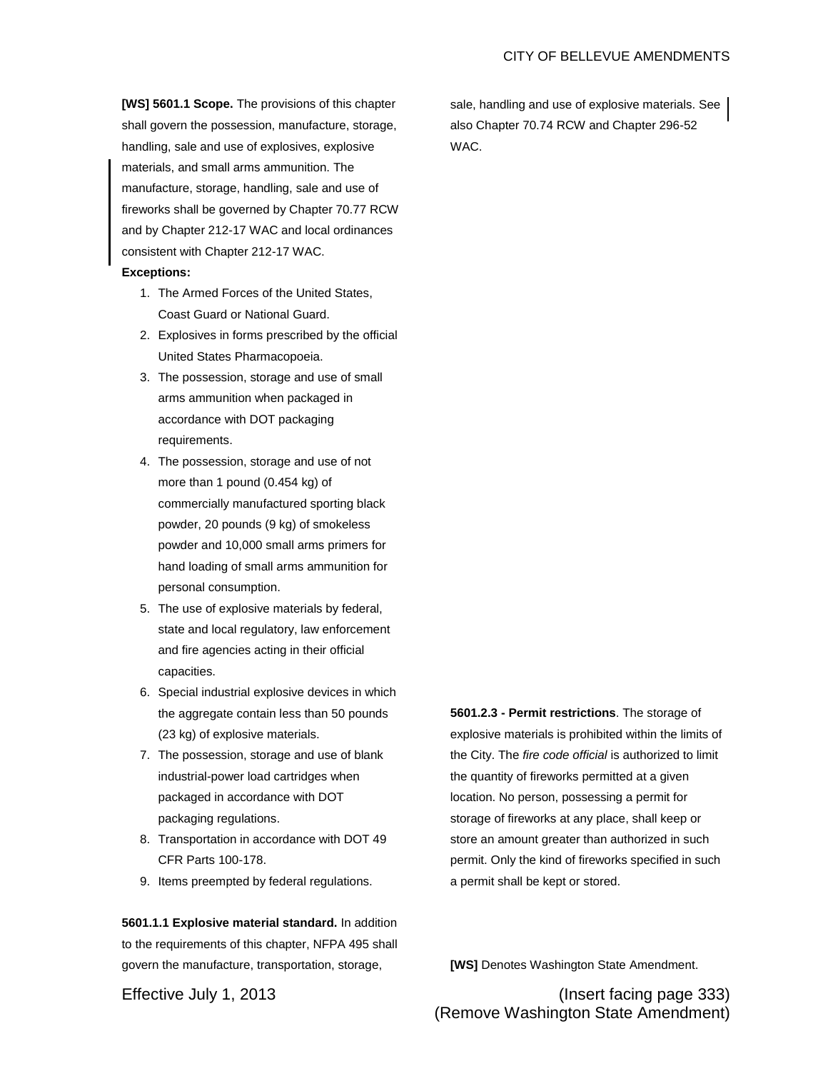**[WS] 5601.1 Scope.** The provisions of this chapter shall govern the possession, manufacture, storage, handling, sale and use of explosives, explosive materials, and small arms ammunition. The manufacture, storage, handling, sale and use of fireworks shall be governed by Chapter 70.77 RCW and by Chapter 212-17 WAC and local ordinances consistent with Chapter 212-17 WAC.

## **Exceptions:**

- 1. The Armed Forces of the United States, Coast Guard or National Guard.
- 2. Explosives in forms prescribed by the official United States Pharmacopoeia.
- 3. The possession, storage and use of small arms ammunition when packaged in accordance with DOT packaging requirements.
- 4. The possession, storage and use of not more than 1 pound (0.454 kg) of commercially manufactured sporting black powder, 20 pounds (9 kg) of smokeless powder and 10,000 small arms primers for hand loading of small arms ammunition for personal consumption.
- 5. The use of explosive materials by federal, state and local regulatory, law enforcement and fire agencies acting in their official capacities.
- 6. Special industrial explosive devices in which the aggregate contain less than 50 pounds (23 kg) of explosive materials.
- 7. The possession, storage and use of blank industrial-power load cartridges when packaged in accordance with DOT packaging regulations.
- 8. Transportation in accordance with DOT 49 CFR Parts 100-178.
- 9. Items preempted by federal regulations.

**5601.1.1 Explosive material standard.** In addition to the requirements of this chapter, NFPA 495 shall govern the manufacture, transportation, storage,

**5601.2.3 - Permit restrictions**. The storage of explosive materials is prohibited within the limits of the City. The *fire code official* is authorized to limit the quantity of fireworks permitted at a given location. No person, possessing a permit for storage of fireworks at any place, shall keep or store an amount greater than authorized in such permit. Only the kind of fireworks specified in such a permit shall be kept or stored.

**[WS]** Denotes Washington State Amendment.

Effective July 1, 2013 (Insert facing page 333) (Remove Washington State Amendment)

sale, handling and use of explosive materials. See also Chapter 70.74 RCW and Chapter 296-52 WAC.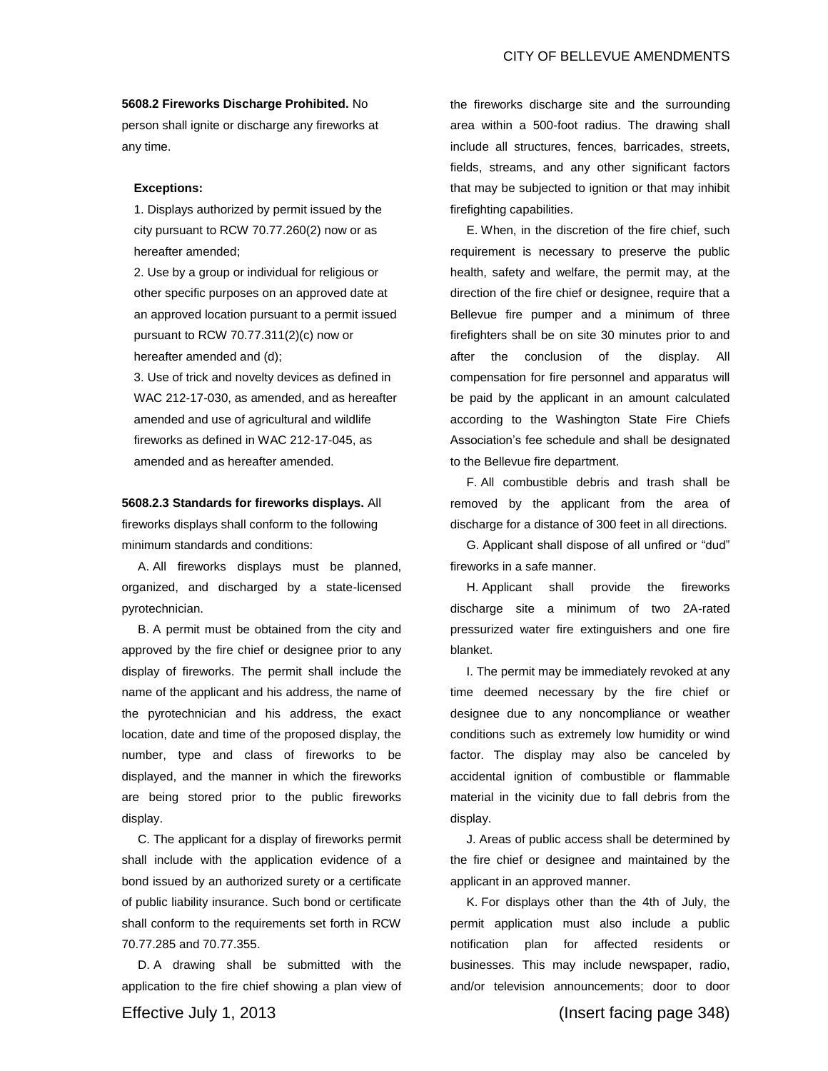### **5608.2 Fireworks Discharge Prohibited.** No

person shall ignite or discharge any fireworks at any time.

#### **Exceptions:**

1. Displays authorized by permit issued by the city pursuant to RCW 70.77.260(2) now or as hereafter amended;

2. Use by a group or individual for religious or other specific purposes on an approved date at an approved location pursuant to a permit issued pursuant to RCW 70.77.311(2)(c) now or hereafter amended and (d);

3. Use of trick and novelty devices as defined in WAC 212-17-030, as amended, and as hereafter amended and use of agricultural and wildlife fireworks as defined in WAC 212-17-045, as amended and as hereafter amended.

**5608.2.3 Standards for fireworks displays.** All fireworks displays shall conform to the following minimum standards and conditions:

A. All fireworks displays must be planned, organized, and discharged by a state-licensed pyrotechnician.

B. A permit must be obtained from the city and approved by the fire chief or designee prior to any display of fireworks. The permit shall include the name of the applicant and his address, the name of the pyrotechnician and his address, the exact location, date and time of the proposed display, the number, type and class of fireworks to be displayed, and the manner in which the fireworks are being stored prior to the public fireworks display.

C. The applicant for a display of fireworks permit shall include with the application evidence of a bond issued by an authorized surety or a certificate of public liability insurance. Such bond or certificate shall conform to the requirements set forth in RCW 70.77.285 and 70.77.355.

D. A drawing shall be submitted with the application to the fire chief showing a plan view of the fireworks discharge site and the surrounding area within a 500-foot radius. The drawing shall include all structures, fences, barricades, streets, fields, streams, and any other significant factors that may be subjected to ignition or that may inhibit firefighting capabilities.

E. When, in the discretion of the fire chief, such requirement is necessary to preserve the public health, safety and welfare, the permit may, at the direction of the fire chief or designee, require that a Bellevue fire pumper and a minimum of three firefighters shall be on site 30 minutes prior to and after the conclusion of the display. All compensation for fire personnel and apparatus will be paid by the applicant in an amount calculated according to the Washington State Fire Chiefs Association's fee schedule and shall be designated to the Bellevue fire department.

F. All combustible debris and trash shall be removed by the applicant from the area of discharge for a distance of 300 feet in all directions.

G. Applicant shall dispose of all unfired or "dud" fireworks in a safe manner.

H. Applicant shall provide the fireworks discharge site a minimum of two 2A-rated pressurized water fire extinguishers and one fire blanket.

I. The permit may be immediately revoked at any time deemed necessary by the fire chief or designee due to any noncompliance or weather conditions such as extremely low humidity or wind factor. The display may also be canceled by accidental ignition of combustible or flammable material in the vicinity due to fall debris from the display.

J. Areas of public access shall be determined by the fire chief or designee and maintained by the applicant in an approved manner.

K. For displays other than the 4th of July, the permit application must also include a public notification plan for affected residents or businesses. This may include newspaper, radio, and/or television announcements; door to door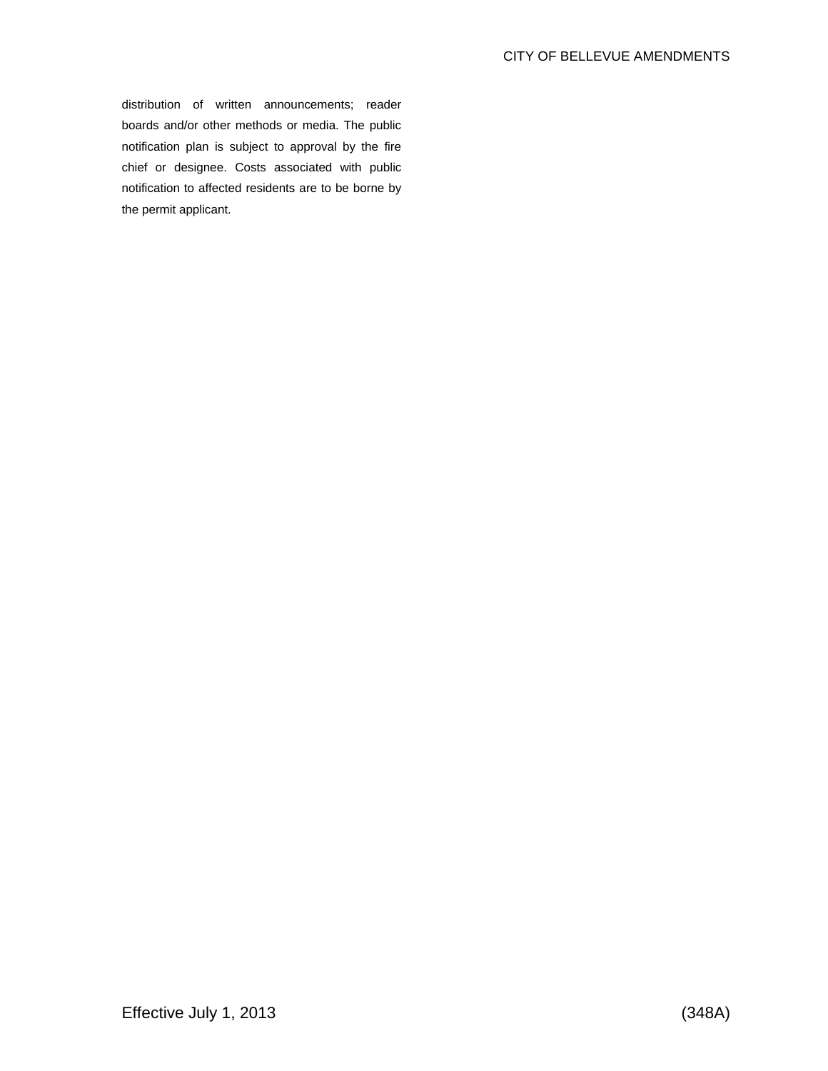distribution of written announcements; reader boards and/or other methods or media. The public notification plan is subject to approval by the fire chief or designee. Costs associated with public notification to affected residents are to be borne by the permit applicant.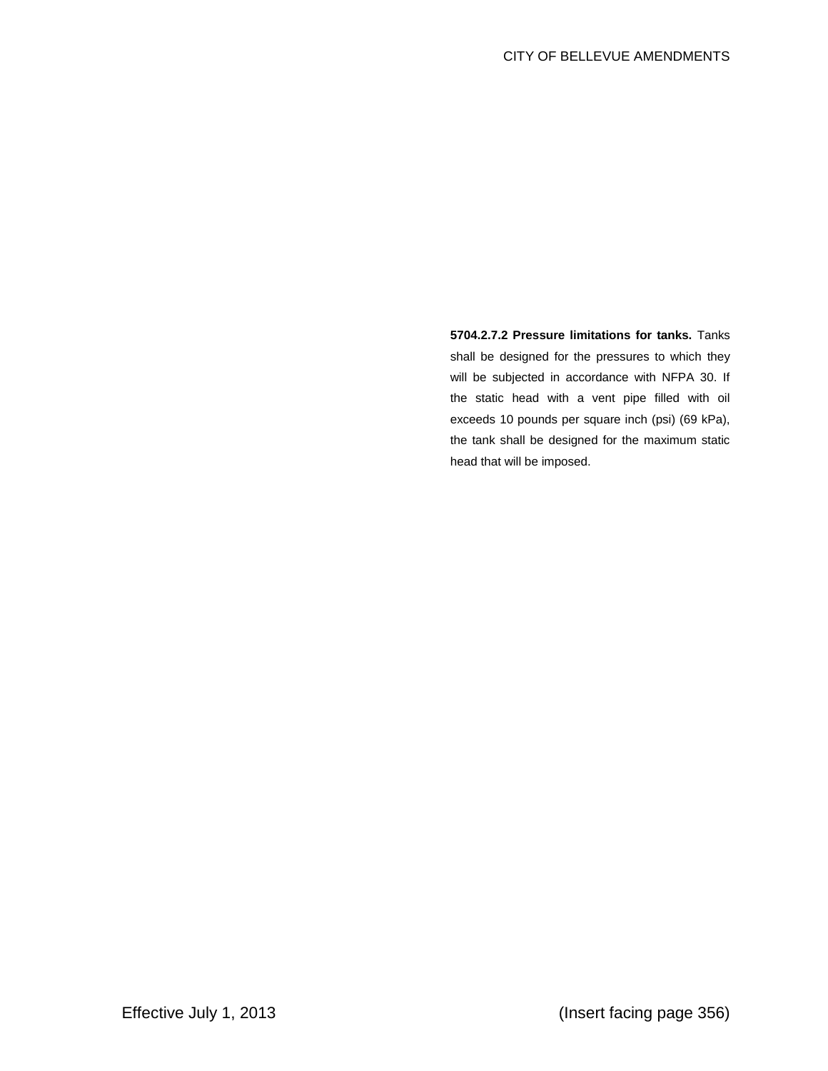**5704.2.7.2 Pressure limitations for tanks.** Tanks shall be designed for the pressures to which they will be subjected in accordance with NFPA 30. If the static head with a vent pipe filled with oil exceeds 10 pounds per square inch (psi) (69 kPa), the tank shall be designed for the maximum static head that will be imposed.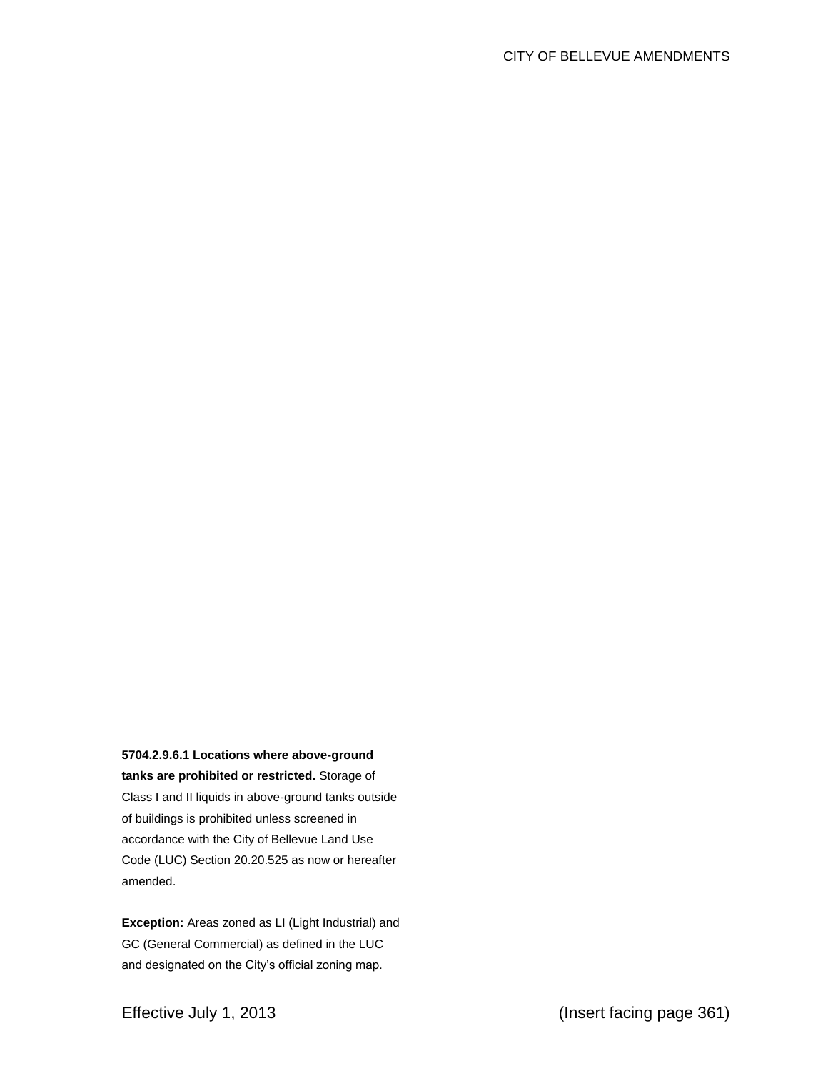## **5704.2.9.6.1 Locations where above-ground**

**tanks are prohibited or restricted.** Storage of Class I and II liquids in above-ground tanks outside of buildings is prohibited unless screened in accordance with the City of Bellevue Land Use Code (LUC) Section 20.20.525 as now or hereafter amended.

**Exception:** Areas zoned as LI (Light Industrial) and GC (General Commercial) as defined in the LUC and designated on the City's official zoning map.